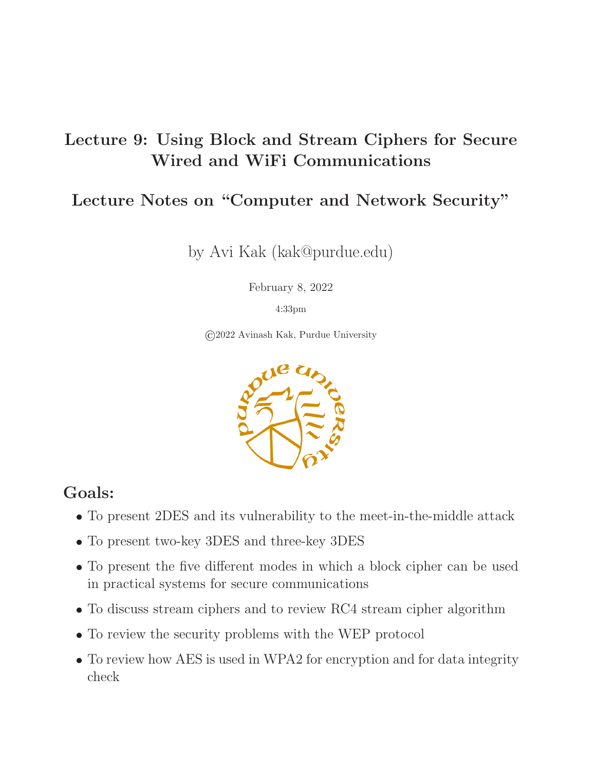#### Lecture 9: Using Block and Stream Ciphers for Secure Wired and WiFi Communications

#### Lecture Notes on "Computer and Network Security"

by Avi Kak (kak@purdue.edu)

February 8, 2022

4:33pm

©2022 Avinash Kak, Purdue University



#### Goals:

- To present 2DES and its vulnerability to the meet-in-the-middle attack
- To present two-key 3DES and three-key 3DES
- To present the five different modes in which a block cipher can be used in practical systems for secure communications
- To discuss stream ciphers and to review RC4 stream cipher algorithm
- To review the security problems with the WEP protocol
- To review how AES is used in WPA2 for encryption and for data integrity check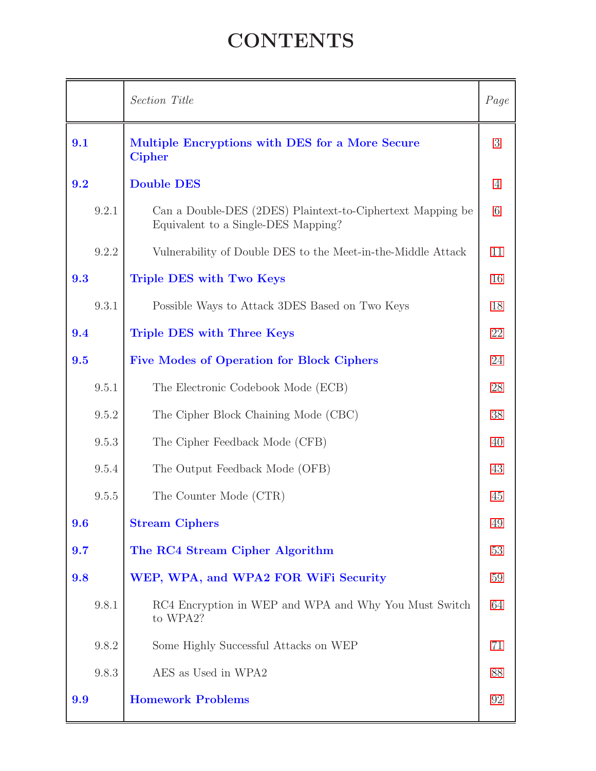# **CONTENTS**

<span id="page-1-0"></span>

|       | Section Title                                                                                     | Page           |
|-------|---------------------------------------------------------------------------------------------------|----------------|
| 9.1   | Multiple Encryptions with DES for a More Secure<br><b>Cipher</b>                                  | 3              |
| 9.2   | <b>Double DES</b>                                                                                 | $\overline{4}$ |
| 9.2.1 | Can a Double-DES (2DES) Plaintext-to-Ciphertext Mapping be<br>Equivalent to a Single-DES Mapping? | 6              |
| 9.2.2 | Vulnerability of Double DES to the Meet-in-the-Middle Attack                                      | 11             |
| 9.3   | Triple DES with Two Keys                                                                          | 16             |
| 9.3.1 | Possible Ways to Attack 3DES Based on Two Keys                                                    | 18             |
| 9.4   | <b>Triple DES with Three Keys</b>                                                                 | 22             |
| 9.5   | <b>Five Modes of Operation for Block Ciphers</b>                                                  | 24             |
| 9.5.1 | The Electronic Codebook Mode (ECB)                                                                | 28             |
| 9.5.2 | The Cipher Block Chaining Mode (CBC)                                                              | 38             |
| 9.5.3 | The Cipher Feedback Mode (CFB)                                                                    | 40             |
| 9.5.4 | The Output Feedback Mode (OFB)                                                                    | 43             |
| 9.5.5 | The Counter Mode (CTR)                                                                            | 45             |
| 9.6   | <b>Stream Ciphers</b>                                                                             | 49             |
| 9.7   | The RC4 Stream Cipher Algorithm                                                                   | 53             |
| 9.8   | WEP, WPA, and WPA2 FOR WiFi Security                                                              | 59             |
| 9.8.1 | RC4 Encryption in WEP and WPA and Why You Must Switch<br>to WPA2?                                 | 64             |
| 9.8.2 | Some Highly Successful Attacks on WEP                                                             | 71             |
| 9.8.3 | AES as Used in WPA2                                                                               | 88             |
| 9.9   | <b>Homework Problems</b>                                                                          | 92             |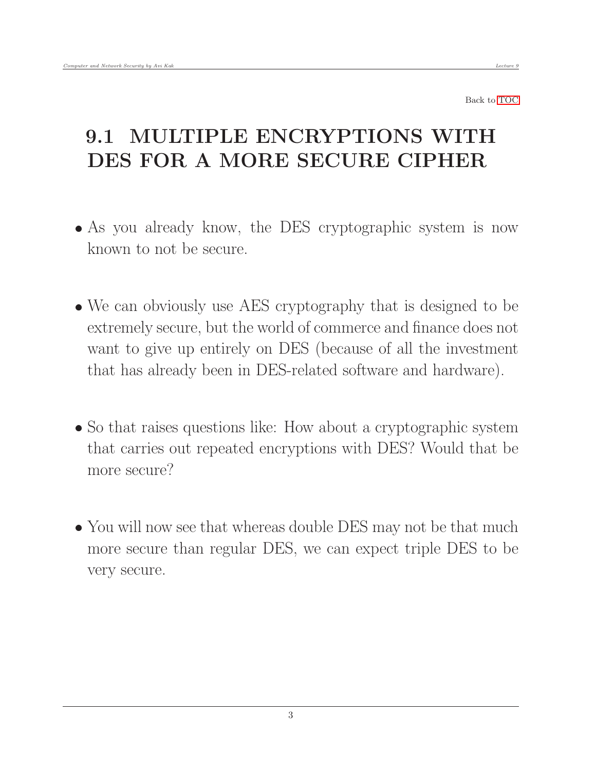# <span id="page-2-0"></span>9.1 MULTIPLE ENCRYPTIONS WITH DES FOR A MORE SECURE CIPHER

- As you already know, the DES cryptographic system is now known to not be secure.
- We can obviously use AES cryptography that is designed to be extremely secure, but the world of commerce and finance does not want to give up entirely on DES (because of all the investment that has already been in DES-related software and hardware).
- So that raises questions like: How about a cryptographic system that carries out repeated encryptions with DES? Would that be more secure?
- You will now see that whereas double DES may not be that much more secure than regular DES, we can expect triple DES to be very secure.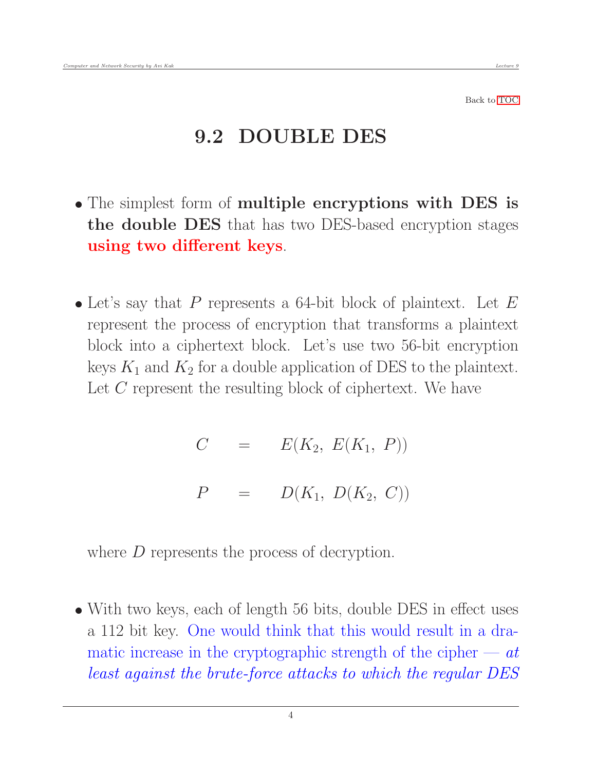#### <span id="page-3-0"></span>9.2 DOUBLE DES

- The simplest form of multiple encryptions with DES is the double DES that has two DES-based encryption stages using two different keys.
- Let's say that  $P$  represents a 64-bit block of plaintext. Let  $E$ represent the process of encryption that transforms a plaintext block into a ciphertext block. Let's use two 56-bit encryption keys  $K_1$  and  $K_2$  for a double application of DES to the plaintext. Let  $C$  represent the resulting block of ciphertext. We have

 $C = E(K_2, E(K_1, P))$  $P = D(K_1, D(K_2, C))$ 

where D represents the process of decryption.

• With two keys, each of length 56 bits, double DES in effect uses a 112 bit key. One would think that this would result in a dramatic increase in the cryptographic strength of the cipher  $-at$ least against the brute-force attacks to which the regular DES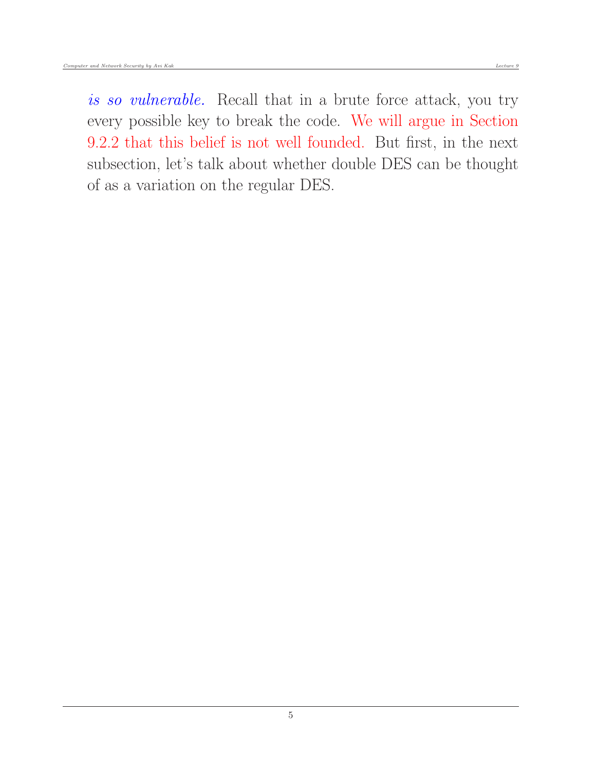is so vulnerable. Recall that in a brute force attack, you try every possible key to break the code. We will argue in Section 9.2.2 that this belief is not well founded. But first, in the next subsection, let's talk about whether double DES can be thought of as a variation on the regular DES.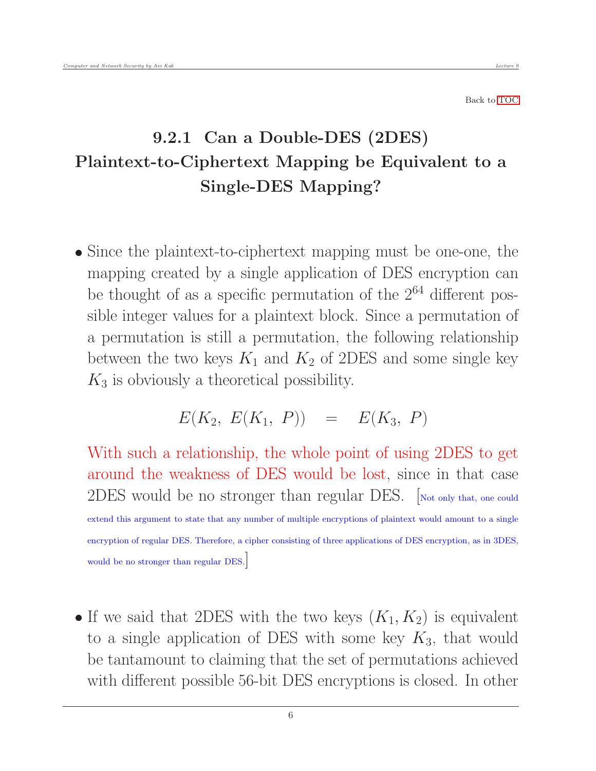#### <span id="page-5-0"></span>9.2.1 Can a Double-DES (2DES) Plaintext-to-Ciphertext Mapping be Equivalent to a Single-DES Mapping?

• Since the plaintext-to-ciphertext mapping must be one-one, the mapping created by a single application of DES encryption can be thought of as a specific permutation of the  $2^{64}$  different possible integer values for a plaintext block. Since a permutation of a permutation is still a permutation, the following relationship between the two keys  $K_1$  and  $K_2$  of 2DES and some single key  $K_3$  is obviously a theoretical possibility.

$$
E(K_2, E(K_1, P)) = E(K_3, P)
$$

With such a relationship, the whole point of using 2DES to get around the weakness of DES would be lost, since in that case 2DES would be no stronger than regular DES. [Not only that, one could extend this argument to state that any number of multiple encryptions of plaintext would amount to a single encryption of regular DES. Therefore, a cipher consisting of three applications of DES encryption, as in 3DES, would be no stronger than regular DES.]

If we said that 2DES with the two keys  $(K_1, K_2)$  is equivalent to a single application of DES with some key  $K_3$ , that would be tantamount to claiming that the set of permutations achieved with different possible 56-bit DES encryptions is closed. In other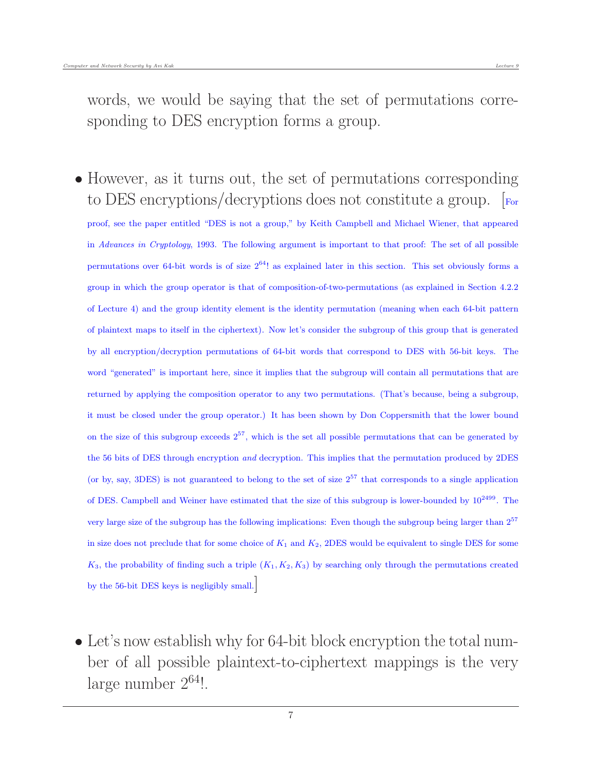words, we would be saying that the set of permutations corresponding to DES encryption forms a group.

- However, as it turns out, the set of permutations corresponding to DES encryptions/decryptions does not constitute a group. [For
	- proof, see the paper entitled "DES is not a group," by Keith Campbell and Michael Wiener, that appeared in Advances in Cryptology, 1993. The following argument is important to that proof: The set of all possible permutations over 64-bit words is of size  $2^{64}$ ! as explained later in this section. This set obviously forms a group in which the group operator is that of composition-of-two-permutations (as explained in Section 4.2.2 of Lecture 4) and the group identity element is the identity permutation (meaning when each 64-bit pattern of plaintext maps to itself in the ciphertext). Now let's consider the subgroup of this group that is generated by all encryption/decryption permutations of 64-bit words that correspond to DES with 56-bit keys. The word "generated" is important here, since it implies that the subgroup will contain all permutations that are returned by applying the composition operator to any two permutations. (That's because, being a subgroup, it must be closed under the group operator.) It has been shown by Don Coppersmith that the lower bound on the size of this subgroup exceeds  $2^{57}$ , which is the set all possible permutations that can be generated by the 56 bits of DES through encryption *and* decryption. This implies that the permutation produced by 2DES (or by, say, 3DES) is not guaranteed to belong to the set of size  $2^{57}$  that corresponds to a single application of DES. Campbell and Weiner have estimated that the size of this subgroup is lower-bounded by  $10^{2499}$ . The very large size of the subgroup has the following implications: Even though the subgroup being larger than 2<sup>57</sup> in size does not preclude that for some choice of  $K_1$  and  $K_2$ , 2DES would be equivalent to single DES for some  $K_3$ , the probability of finding such a triple  $(K_1, K_2, K_3)$  by searching only through the permutations created by the 56-bit DES keys is negligibly small.]
- Let's now establish why for 64-bit block encryption the total number of all possible plaintext-to-ciphertext mappings is the very large number  $2^{64}$ !.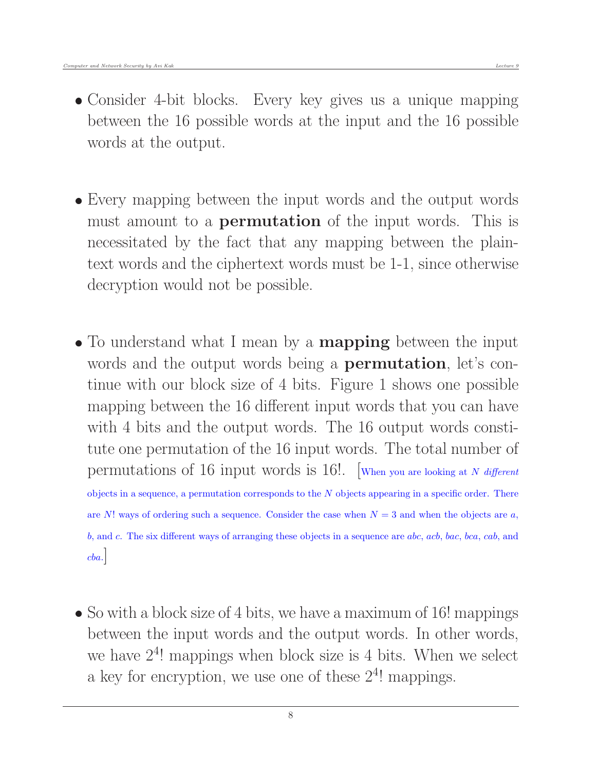- Consider 4-bit blocks. Every key gives us a unique mapping between the 16 possible words at the input and the 16 possible words at the output.
- Every mapping between the input words and the output words must amount to a **permutation** of the input words. This is necessitated by the fact that any mapping between the plaintext words and the ciphertext words must be 1-1, since otherwise decryption would not be possible.
- To understand what I mean by a **mapping** between the input words and the output words being a **permutation**, let's continue with our block size of 4 bits. Figure 1 shows one possible mapping between the 16 different input words that you can have with 4 bits and the output words. The 16 output words constitute one permutation of the 16 input words. The total number of permutations of 16 input words is 16!. [When you are looking at N different objects in a sequence, a permutation corresponds to the  $N$  objects appearing in a specific order. There are N! ways of ordering such a sequence. Consider the case when  $N = 3$  and when the objects are a, b, and c. The six different ways of arranging these objects in a sequence are abc, acb, bac, bca, cab, and  $cba.$
- So with a block size of 4 bits, we have a maximum of 16! mappings between the input words and the output words. In other words, we have  $2<sup>4</sup>$ ! mappings when block size is 4 bits. When we select a key for encryption, we use one of these  $2<sup>4</sup>$ ! mappings.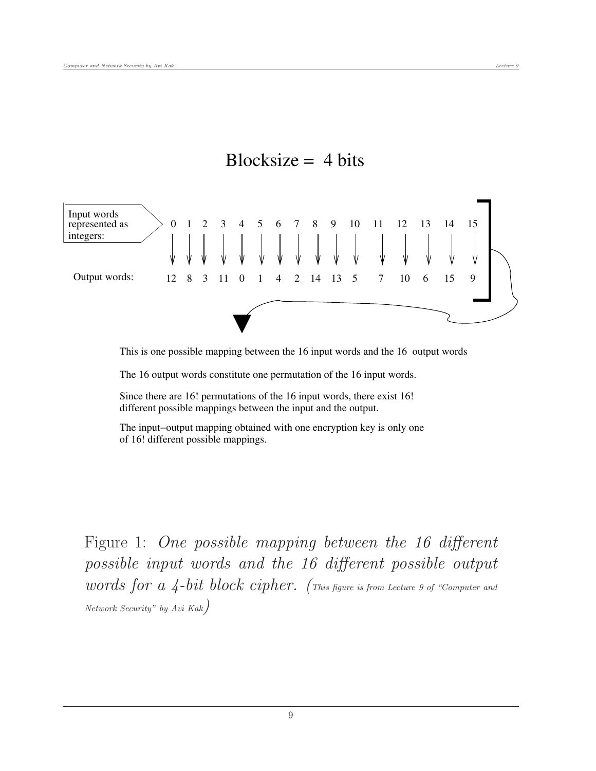

Blocksize  $= 4$  bits

This is one possible mapping between the 16 input words and the 16 output words

The 16 output words constitute one permutation of the 16 input words.

Since there are 16! permutations of the 16 input words, there exist 16! different possible mappings between the input and the output.

The input−output mapping obtained with one encryption key is only one of 16! different possible mappings.

Figure 1: One possible mapping between the 16 different possible input words and the 16 different possible output words for  $a$  4-bit block cipher. (This figure is from Lecture 9 of "Computer and Network Security" by Avi Kak)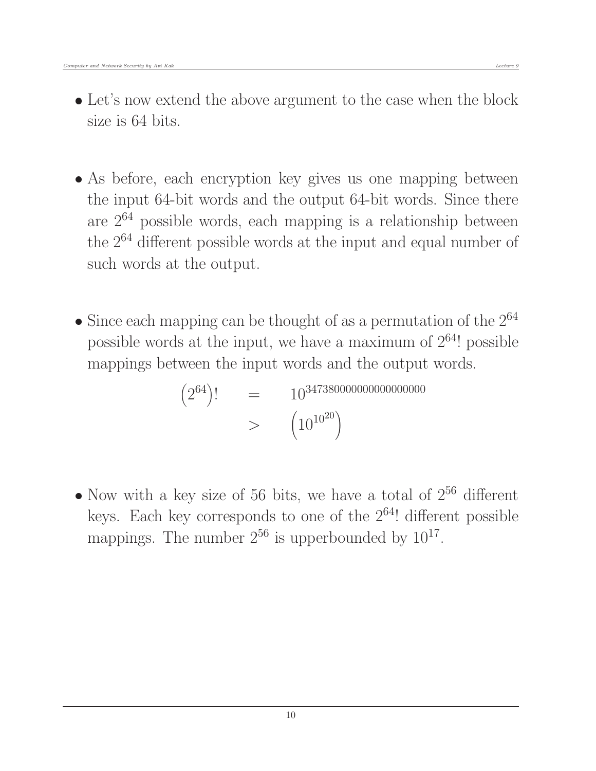- As before, each encryption key gives us one mapping between the input 64-bit words and the output 64-bit words. Since there are  $2^{64}$  possible words, each mapping is a relationship between the 2<sup>64</sup> different possible words at the input and equal number of such words at the output.
- Since each mapping can be thought of as a permutation of the  $2^{64}$ possible words at the input, we have a maximum of  $2^{64}$ ! possible mappings between the input words and the output words.

 $(2^{64})!$  =  $10^{347380000000000000000}$  $>$   $\left(10^{10^{20}}\right)$ 

• Now with a key size of 56 bits, we have a total of  $2^{56}$  different keys. Each key corresponds to one of the  $2^{64}$ ! different possible mappings. The number  $2^{56}$  is upperbounded by  $10^{17}$ .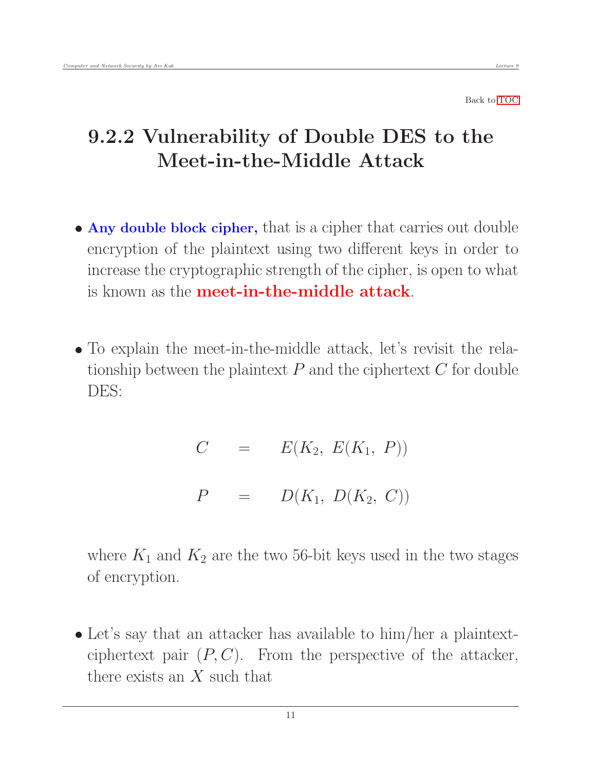# <span id="page-10-0"></span>9.2.2 Vulnerability of Double DES to the Meet-in-the-Middle Attack

- Any double block cipher, that is a cipher that carries out double encryption of the plaintext using two different keys in order to increase the cryptographic strength of the cipher, is open to what is known as the meet-in-the-middle attack.
- To explain the meet-in-the-middle attack, let's revisit the relationship between the plaintext  $P$  and the ciphertext  $C$  for double DES:

 $C = E(K_2, E(K_1, P))$  $P = D(K_1, D(K_2, C))$ 

where  $K_1$  and  $K_2$  are the two 56-bit keys used in the two stages of encryption.

 Let's say that an attacker has available to him/her a plaintextciphertext pair  $(P, C)$ . From the perspective of the attacker, there exists an  $X$  such that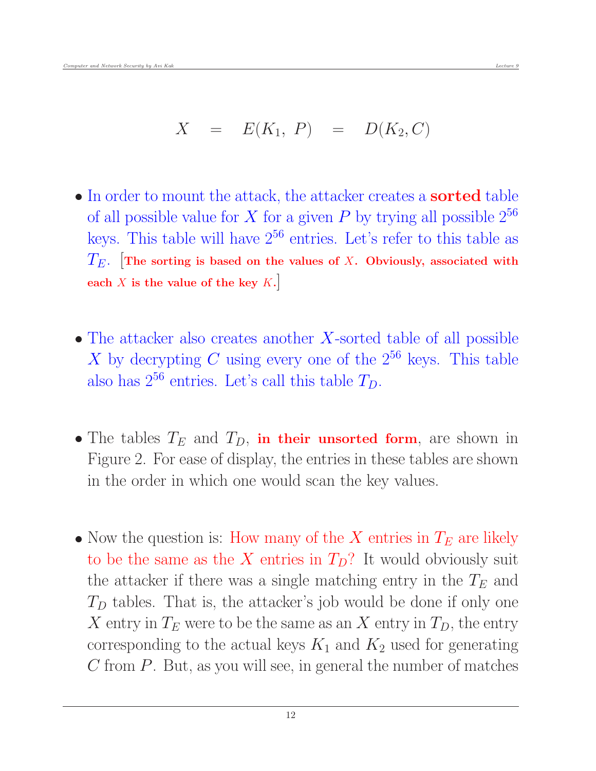- In order to mount the attack, the attacker creates a **sorted** table of all possible value for X for a given P by trying all possible  $2^{56}$ keys. This table will have  $2^{56}$  entries. Let's refer to this table as  $T_E$ . The sorting is based on the values of X. Obviously, associated with each  $X$  is the value of the key  $K$ .
- $\bullet$  The attacker also creates another X-sorted table of all possible X by decrypting C using every one of the  $2^{56}$  keys. This table also has  $2^{56}$  entries. Let's call this table  $T_D$ .
- The tables  $T_E$  and  $T_D$ , in their unsorted form, are shown in Figure 2. For ease of display, the entries in these tables are shown in the order in which one would scan the key values.
- Now the question is: How many of the  $X$  entries in  $T_E$  are likely to be the same as the X entries in  $T_D$ ? It would obviously suit the attacker if there was a single matching entry in the  $T_E$  and  $T<sub>D</sub>$  tables. That is, the attacker's job would be done if only one X entry in  $T_E$  were to be the same as an X entry in  $T_D$ , the entry corresponding to the actual keys  $K_1$  and  $K_2$  used for generating  $C$  from  $P$ . But, as you will see, in general the number of matches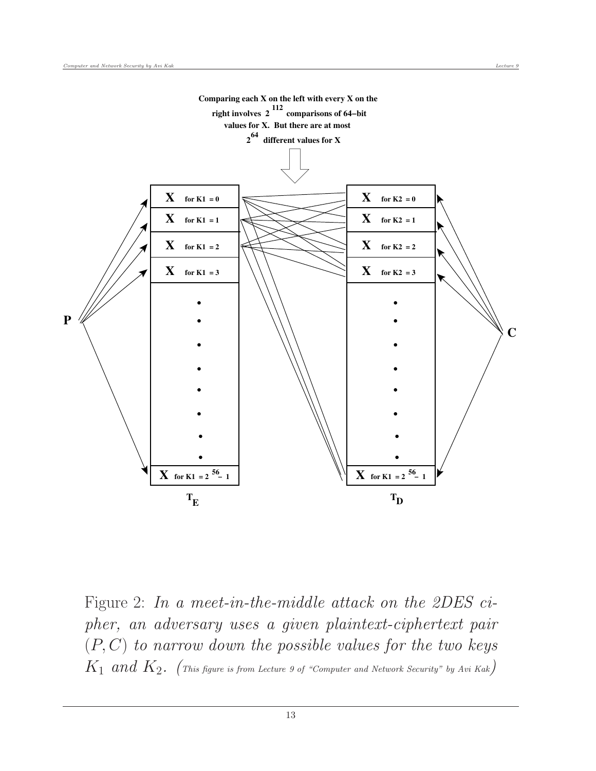

Figure 2: In a meet-in-the-middle attack on the 2DES cipher, an adversary uses a given plaintext-ciphertext pair  $(P, C)$  to narrow down the possible values for the two keys  $K_1$  and  $K_2$ . (This figure is from Lecture 9 of "Computer and Network Security" by Avi Kak)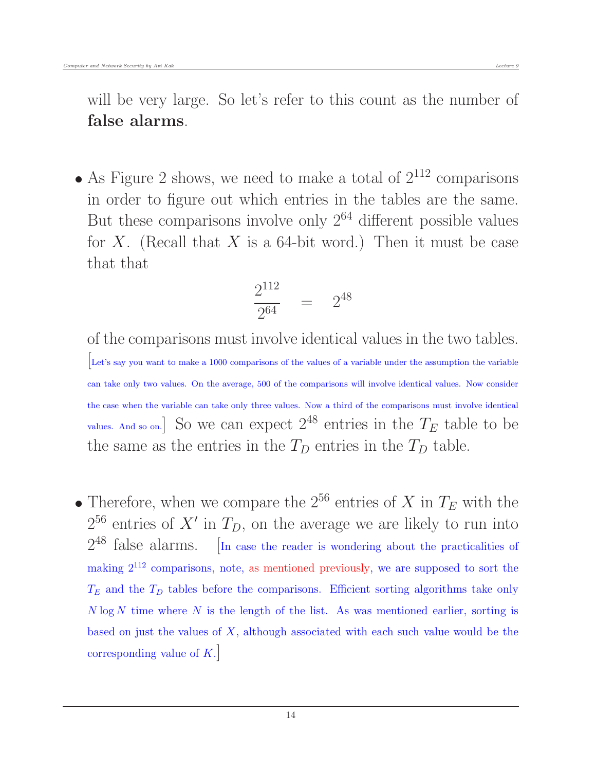will be very large. So let's refer to this count as the number of false alarms.

• As Figure 2 shows, we need to make a total of  $2^{112}$  comparisons in order to figure out which entries in the tables are the same. But these comparisons involve only  $2^{64}$  different possible values for X. (Recall that X is a 64-bit word.) Then it must be case that that

$$
\frac{2^{112}}{2^{64}} = 2^{48}
$$

of the comparisons must involve identical values in the two tables. [Let's say you want to make a 1000 comparisons of the values of a variable under the assumption the variable can take only two values. On the average, 500 of the comparisons will involve identical values. Now consider the case when the variable can take only three values. Now a third of the comparisons must involve identical values. And so on.] So we can expect  $2^{48}$  entries in the  $T_E$  table to be the same as the entries in the  $T_D$  entries in the  $T_D$  table.

• Therefore, when we compare the  $2^{56}$  entries of X in  $T_E$  with the  $2^{56}$  entries of X' in  $T_D$ , on the average we are likely to run into  $2^{48}$  false alarms.  $\ln$  case the reader is wondering about the practicalities of making 2<sup>112</sup> comparisons, note, as mentioned previously, we are supposed to sort the  $T_E$  and the  $T_D$  tables before the comparisons. Efficient sorting algorithms take only  $N \log N$  time where N is the length of the list. As was mentioned earlier, sorting is based on just the values of  $X$ , although associated with each such value would be the corresponding value of  $K$ .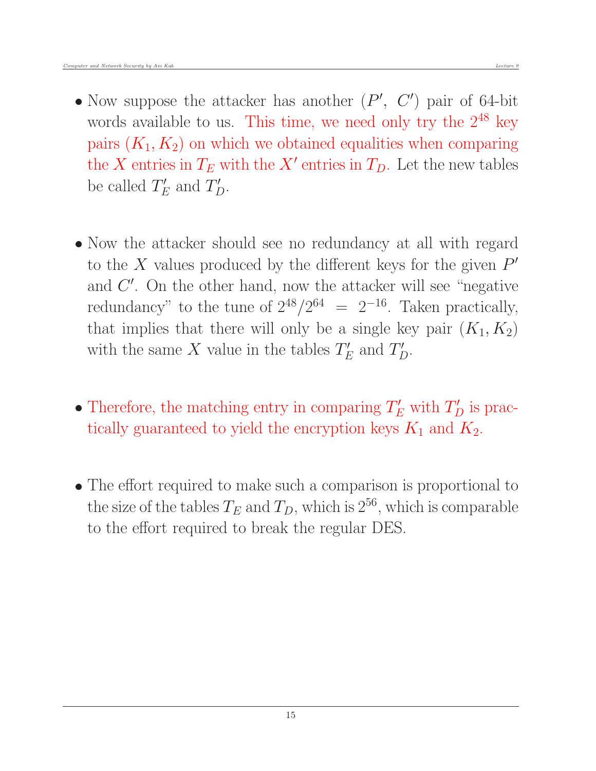- Now suppose the attacker has another  $(P', C')$  pair of 64-bit words available to us. This time, we need only try the  $2^{48}$  key pairs  $(K_1, K_2)$  on which we obtained equalities when comparing the X entries in  $T_E$  with the X' entries in  $T_D$ . Let the new tables be called  $T'_E$  and  $T'_D$ .
- Now the attacker should see no redundancy at all with regard to the X values produced by the different keys for the given  $P'$ and  $C'$ . On the other hand, now the attacker will see "negative" redundancy" to the tune of  $2^{48}/2^{64} = 2^{-16}$ . Taken practically, that implies that there will only be a single key pair  $(K_1, K_2)$ with the same X value in the tables  $T'_E$  and  $T'_D$ .
- Therefore, the matching entry in comparing  $T'_E$  with  $T'_D$  is practically guaranteed to yield the encryption keys  $K_1$  and  $K_2$ .
- The effort required to make such a comparison is proportional to the size of the tables  $T_E$  and  $T_D$ , which is 2<sup>56</sup>, which is comparable to the effort required to break the regular DES.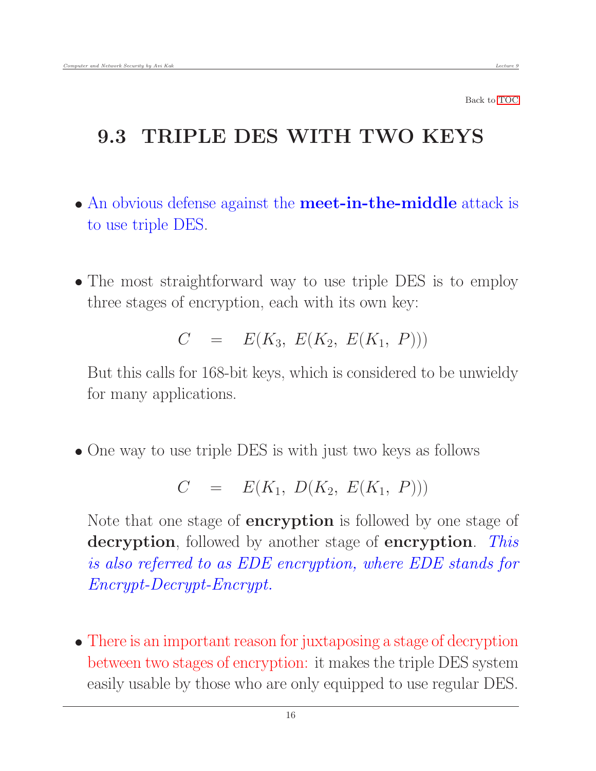## 9.3 TRIPLE DES WITH TWO KEYS

- An obvious defense against the **meet-in-the-middle** attack is to use triple DES.
- The most straightforward way to use triple DES is to employ three stages of encryption, each with its own key:

<span id="page-15-0"></span>
$$
C = E(K_3, E(K_2, E(K_1, P)))
$$

But this calls for 168-bit keys, which is considered to be unwieldy for many applications.

• One way to use triple DES is with just two keys as follows

$$
C = E(K_1, D(K_2, E(K_1, P)))
$$

Note that one stage of **encryption** is followed by one stage of decryption, followed by another stage of encryption. This is also referred to as EDE encryption, where EDE stands for Encrypt-Decrypt-Encrypt.

 There is an important reason for juxtaposing a stage of decryption between two stages of encryption: it makes the triple DES system easily usable by those who are only equipped to use regular DES.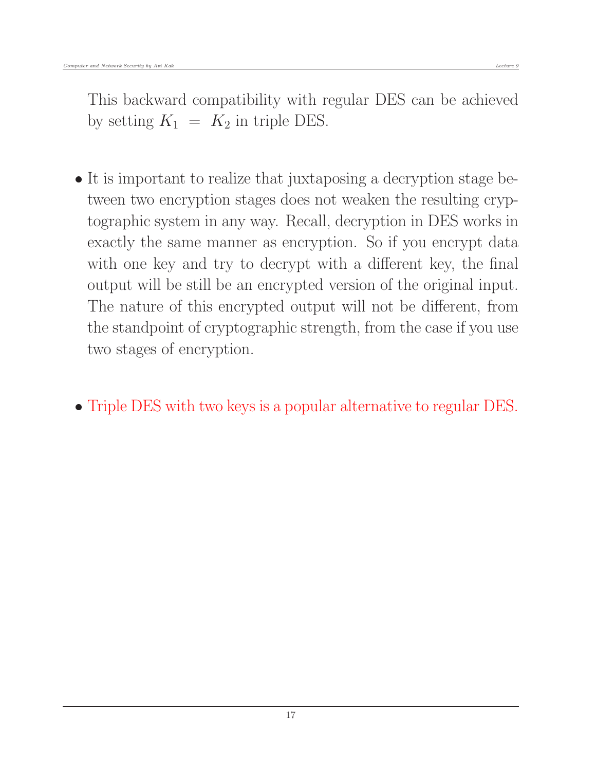This backward compatibility with regular DES can be achieved by setting  $K_1 = K_2$  in triple DES.

- It is important to realize that juxtaposing a decryption stage between two encryption stages does not weaken the resulting cryptographic system in any way. Recall, decryption in DES works in exactly the same manner as encryption. So if you encrypt data with one key and try to decrypt with a different key, the final output will be still be an encrypted version of the original input. The nature of this encrypted output will not be different, from the standpoint of cryptographic strength, from the case if you use two stages of encryption.
- Triple DES with two keys is a popular alternative to regular DES.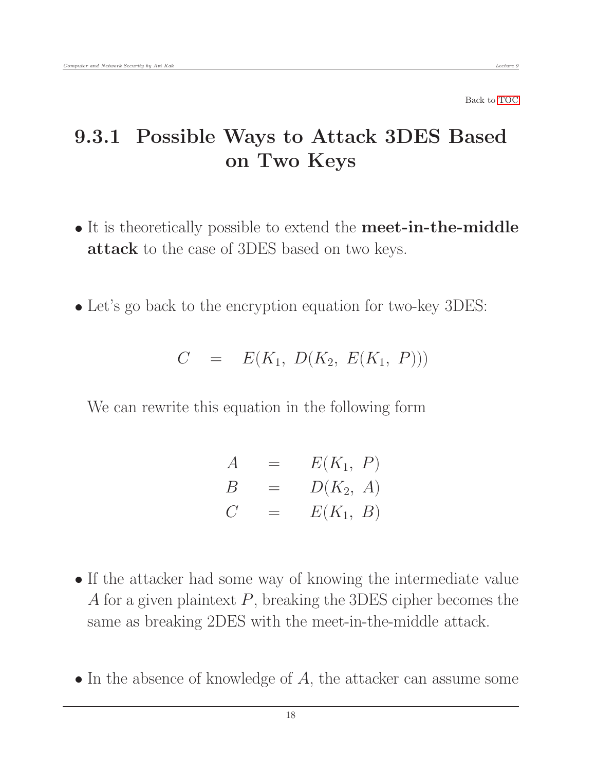# 9.3.1 Possible Ways to Attack 3DES Based on Two Keys

- It is theoretically possible to extend the **meet-in-the-middle** attack to the case of 3DES based on two keys.
- Let's go back to the encryption equation for two-key 3DES:

<span id="page-17-0"></span>
$$
C = E(K_1, D(K_2, E(K_1, P)))
$$

We can rewrite this equation in the following form

| $\overline{A}$    | $=$ | $E(K_1, P)$ |
|-------------------|-----|-------------|
| B                 | $=$ | $D(K_2, A)$ |
| $C_{\mathcal{L}}$ | $=$ | $E(K_1, B)$ |

- If the attacker had some way of knowing the intermediate value A for a given plaintext  $P$ , breaking the 3DES cipher becomes the same as breaking 2DES with the meet-in-the-middle attack.
- $\bullet$  In the absence of knowledge of A, the attacker can assume some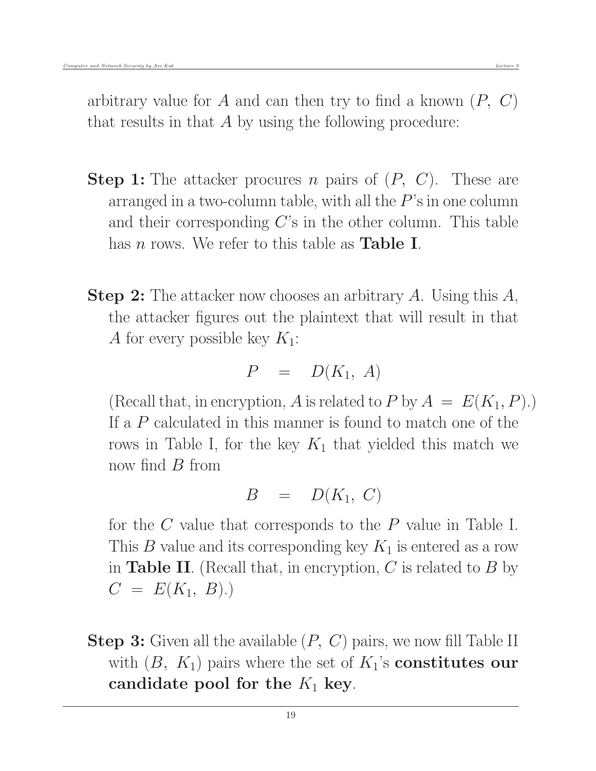arbitrary value for A and can then try to find a known  $(P, C)$ that results in that A by using the following procedure:

- **Step 1:** The attacker procures n pairs of  $(P, C)$ . These are arranged in a two-column table, with all the  $P$ 's in one column and their corresponding  $C$ 's in the other column. This table has  $n$  rows. We refer to this table as **Table I**.
- **Step 2:** The attacker now chooses an arbitrary A. Using this A, the attacker figures out the plaintext that will result in that A for every possible key  $K_1$ :

$$
P = D(K_1, A)
$$

(Recall that, in encryption, A is related to P by  $A = E(K_1, P)$ .) If a P calculated in this manner is found to match one of the rows in Table I, for the key  $K_1$  that yielded this match we now find  $B$  from

$$
B = D(K_1, C)
$$

for the C value that corresponds to the P value in Table I. This B value and its corresponding key  $K_1$  is entered as a row in **Table II**. (Recall that, in encryption, C is related to  $B$  by  $C = E(K_1, B).$ 

**Step 3:** Given all the available  $(P, C)$  pairs, we now fill Table II with  $(B, K_1)$  pairs where the set of  $K_1$ 's **constitutes our** candidate pool for the  $K_1$  key.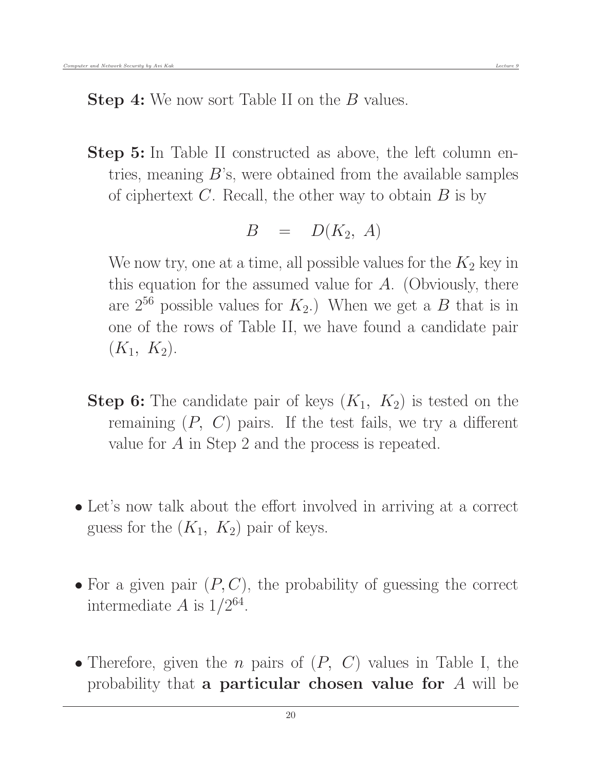**Step 4:** We now sort Table II on the B values.

Step 5: In Table II constructed as above, the left column entries, meaning  $B$ 's, were obtained from the available samples of ciphertext  $C$ . Recall, the other way to obtain  $B$  is by

$$
B = D(K_2, A)
$$

We now try, one at a time, all possible values for the  $K_2$  key in this equation for the assumed value for  $A$ . (Obviously, there are  $2^{56}$  possible values for  $K_2$ .) When we get a B that is in one of the rows of Table II, we have found a candidate pair  $(K_1, K_2).$ 

- **Step 6:** The candidate pair of keys  $(K_1, K_2)$  is tested on the remaining  $(P, C)$  pairs. If the test fails, we try a different value for A in Step 2 and the process is repeated.
- Let's now talk about the effort involved in arriving at a correct guess for the  $(K_1, K_2)$  pair of keys.
- For a given pair  $(P, C)$ , the probability of guessing the correct intermediate A is  $1/2^{64}$ .
- Therefore, given the *n* pairs of  $(P, C)$  values in Table I, the probability that a particular chosen value for A will be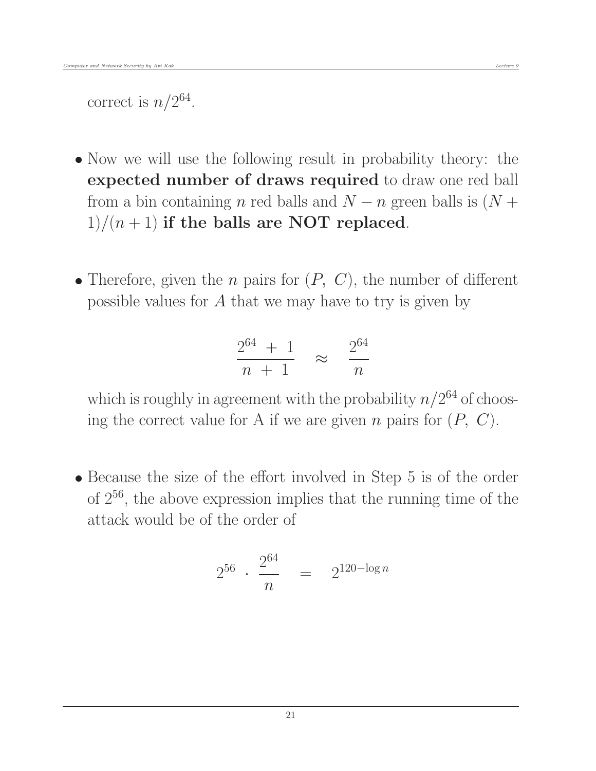correct is  $n/2^{64}$ .

- Now we will use the following result in probability theory: the expected number of draws required to draw one red ball from a bin containing n red balls and  $N - n$  green balls is  $(N +$  $1)/(n+1)$  if the balls are NOT replaced.
- Therefore, given the *n* pairs for  $(P, C)$ , the number of different possible values for  $A$  that we may have to try is given by

$$
\frac{2^{64} + 1}{n + 1} \approx \frac{2^{64}}{n}
$$

which is roughly in agreement with the probability  $n/2^{64}$  of choosing the correct value for A if we are given n pairs for  $(P, C)$ .

 Because the size of the effort involved in Step 5 is of the order of 2<sup>56</sup>, the above expression implies that the running time of the attack would be of the order of

$$
2^{56} \cdot \frac{2^{64}}{n} = 2^{120 - \log n}
$$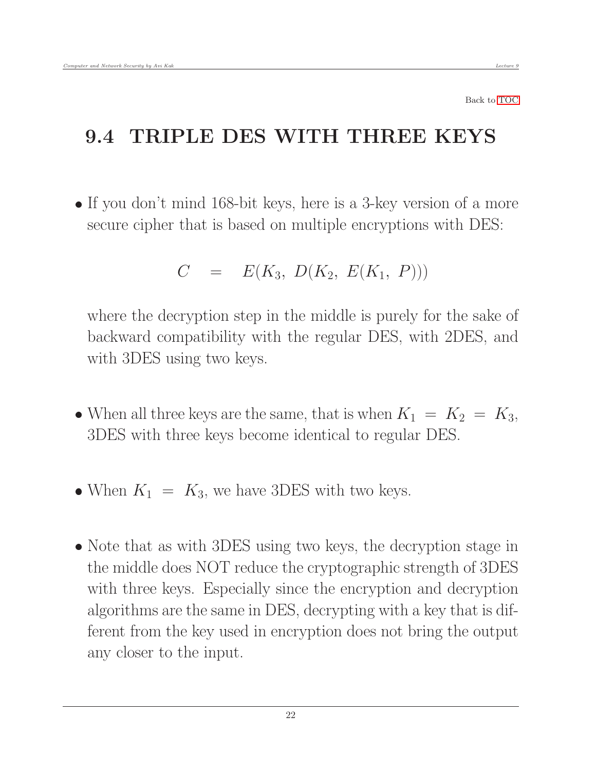#### 9.4 TRIPLE DES WITH THREE KEYS

• If you don't mind 168-bit keys, here is a 3-key version of a more secure cipher that is based on multiple encryptions with DES:

<span id="page-21-0"></span>
$$
C = E(K_3, D(K_2, E(K_1, P)))
$$

where the decryption step in the middle is purely for the sake of backward compatibility with the regular DES, with 2DES, and with 3DES using two keys.

- When all three keys are the same, that is when  $K_1 = K_2 = K_3$ , 3DES with three keys become identical to regular DES.
- When  $K_1 = K_3$ , we have 3DES with two keys.
- Note that as with 3DES using two keys, the decryption stage in the middle does NOT reduce the cryptographic strength of 3DES with three keys. Especially since the encryption and decryption algorithms are the same in DES, decrypting with a key that is different from the key used in encryption does not bring the output any closer to the input.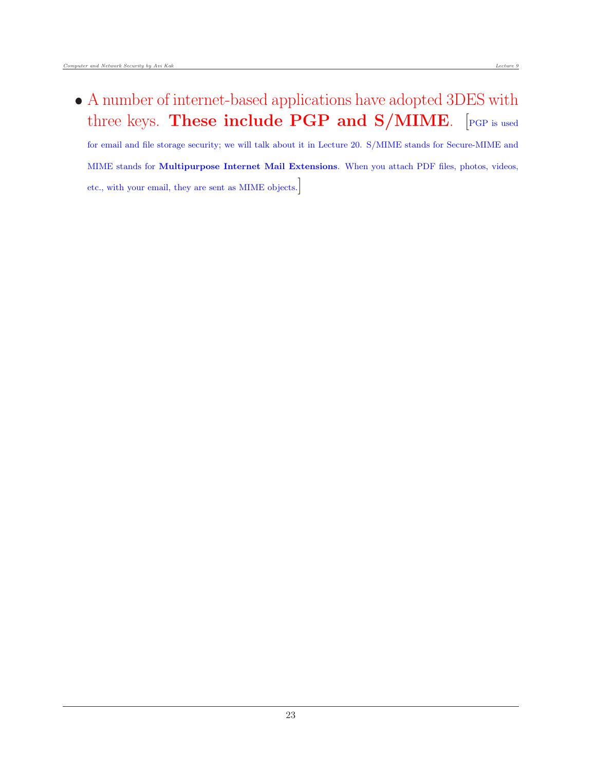A number of internet-based applications have adopted 3DES with three keys. These include PGP and S/MIME. [PGP is used

for email and file storage security; we will talk about it in Lecture 20. S/MIME stands for Secure-MIME and MIME stands for Multipurpose Internet Mail Extensions. When you attach PDF files, photos, videos, etc., with your email, they are sent as MIME objects.]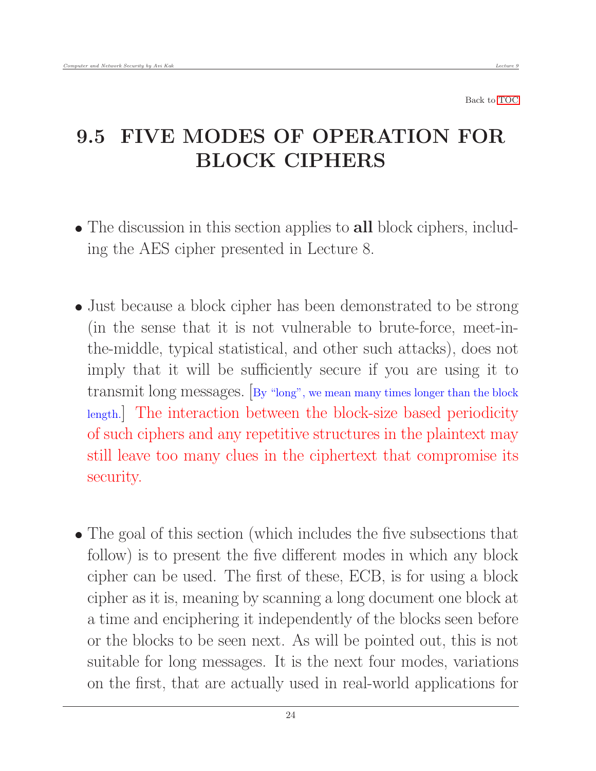# <span id="page-23-0"></span>9.5 FIVE MODES OF OPERATION FOR BLOCK CIPHERS

- The discussion in this section applies to all block ciphers, including the AES cipher presented in Lecture 8.
- Just because a block cipher has been demonstrated to be strong (in the sense that it is not vulnerable to brute-force, meet-inthe-middle, typical statistical, and other such attacks), does not imply that it will be sufficiently secure if you are using it to transmit long messages. [By "long", we mean many times longer than the block length.] The interaction between the block-size based periodicity of such ciphers and any repetitive structures in the plaintext may still leave too many clues in the ciphertext that compromise its security.
- The goal of this section (which includes the five subsections that follow) is to present the five different modes in which any block cipher can be used. The first of these, ECB, is for using a block cipher as it is, meaning by scanning a long document one block at a time and enciphering it independently of the blocks seen before or the blocks to be seen next. As will be pointed out, this is not suitable for long messages. It is the next four modes, variations on the first, that are actually used in real-world applications for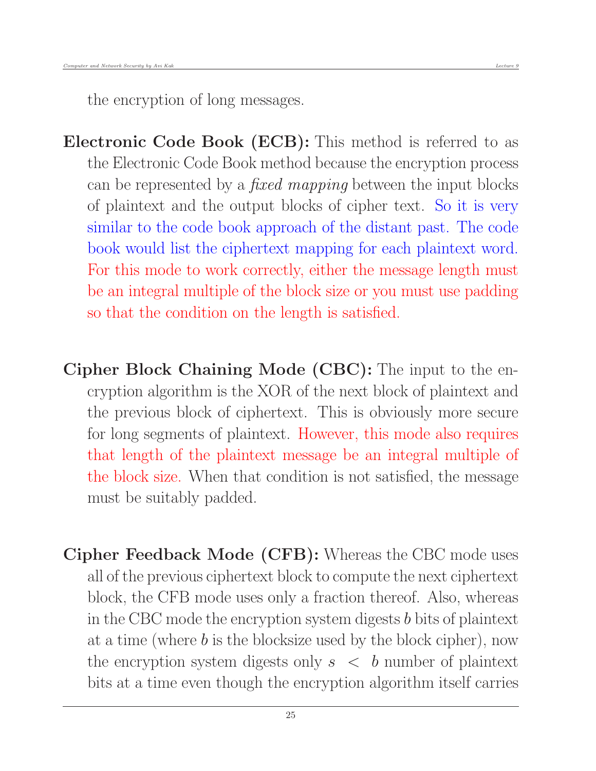the encryption of long messages.

Electronic Code Book (ECB): This method is referred to as the Electronic Code Book method because the encryption process can be represented by a *fixed mapping* between the input blocks of plaintext and the output blocks of cipher text. So it is very similar to the code book approach of the distant past. The code book would list the ciphertext mapping for each plaintext word. For this mode to work correctly, either the message length must be an integral multiple of the block size or you must use padding so that the condition on the length is satisfied.

- Cipher Block Chaining Mode (CBC): The input to the encryption algorithm is the XOR of the next block of plaintext and the previous block of ciphertext. This is obviously more secure for long segments of plaintext. However, this mode also requires that length of the plaintext message be an integral multiple of the block size. When that condition is not satisfied, the message must be suitably padded.
- Cipher Feedback Mode (CFB): Whereas the CBC mode uses all of the previous ciphertext block to compute the next ciphertext block, the CFB mode uses only a fraction thereof. Also, whereas in the CBC mode the encryption system digests b bits of plaintext at a time (where  $b$  is the blocksize used by the block cipher), now the encryption system digests only  $s < b$  number of plaintext bits at a time even though the encryption algorithm itself carries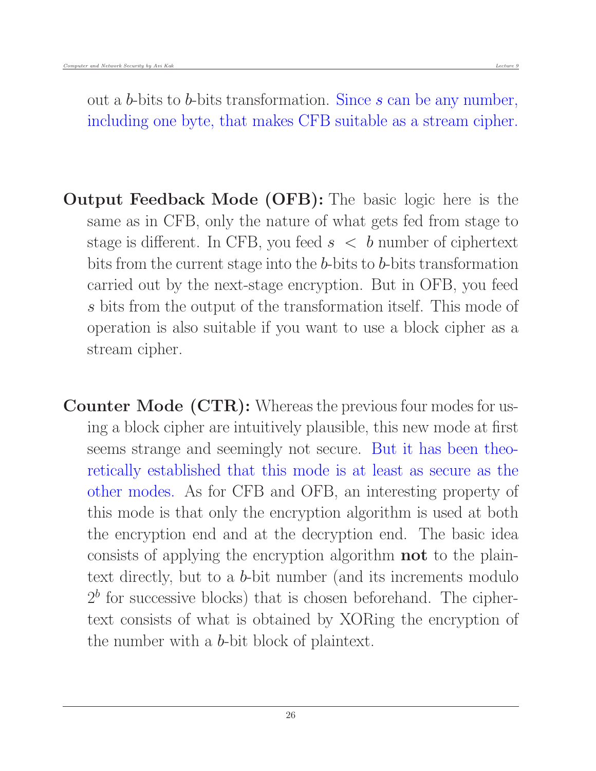out a b-bits to b-bits transformation. Since s can be any number, including one byte, that makes CFB suitable as a stream cipher.

- Output Feedback Mode (OFB): The basic logic here is the same as in CFB, only the nature of what gets fed from stage to stage is different. In CFB, you feed  $s < b$  number of ciphertext bits from the current stage into the b-bits to b-bits transformation carried out by the next-stage encryption. But in OFB, you feed s bits from the output of the transformation itself. This mode of operation is also suitable if you want to use a block cipher as a stream cipher.
- Counter Mode (CTR): Whereas the previous four modes for using a block cipher are intuitively plausible, this new mode at first seems strange and seemingly not secure. But it has been theoretically established that this mode is at least as secure as the other modes. As for CFB and OFB, an interesting property of this mode is that only the encryption algorithm is used at both the encryption end and at the decryption end. The basic idea consists of applying the encryption algorithm not to the plaintext directly, but to a b-bit number (and its increments modulo  $2<sup>b</sup>$  for successive blocks) that is chosen beforehand. The ciphertext consists of what is obtained by XORing the encryption of the number with a b-bit block of plaintext.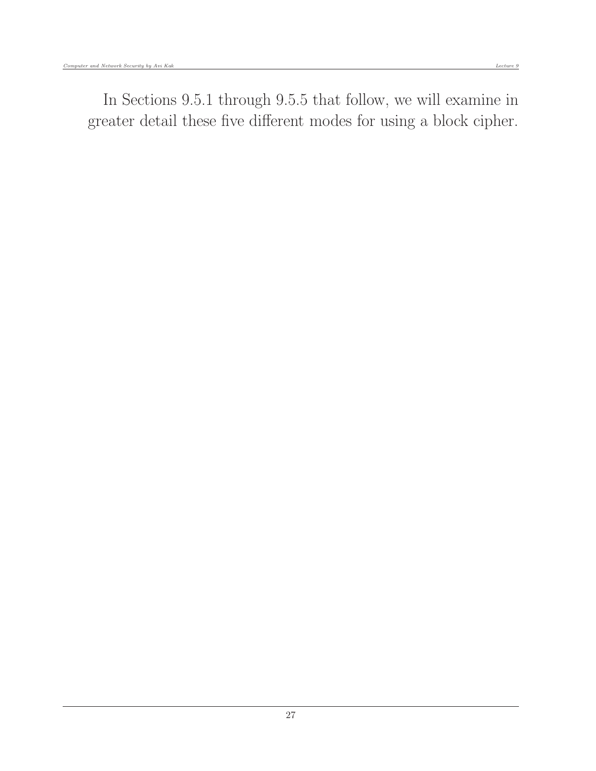In Sections 9.5.1 through 9.5.5 that follow, we will examine in greater detail these five different modes for using a block cipher.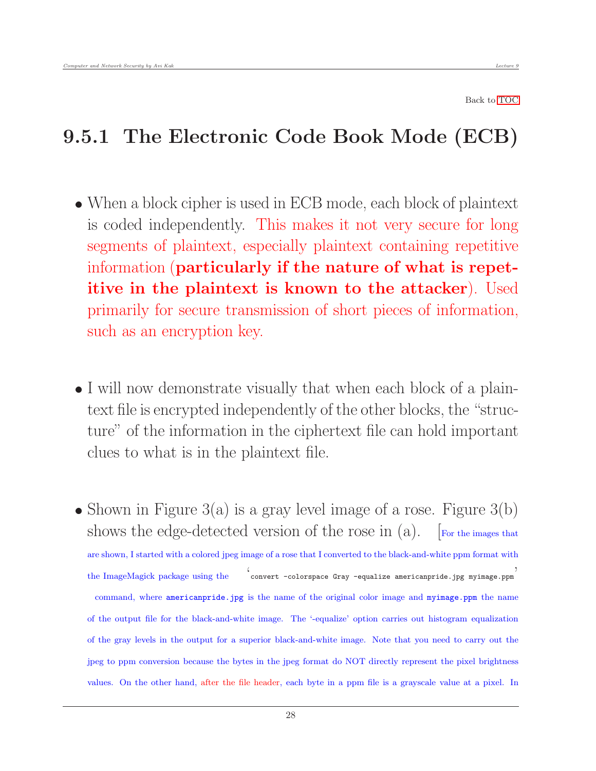# <span id="page-27-0"></span>9.5.1 The Electronic Code Book Mode (ECB)

- When a block cipher is used in ECB mode, each block of plaintext is coded independently. This makes it not very secure for long segments of plaintext, especially plaintext containing repetitive information (particularly if the nature of what is repetitive in the plaintext is known to the attacker). Used primarily for secure transmission of short pieces of information, such as an encryption key.
- I will now demonstrate visually that when each block of a plaintext file is encrypted independently of the other blocks, the "structure" of the information in the ciphertext file can hold important clues to what is in the plaintext file.
- Shown in Figure  $3(a)$  is a gray level image of a rose. Figure  $3(b)$ shows the edge-detected version of the rose in  $(a)$ . [For the images that are shown, I started with a colored jpeg image of a rose that I converted to the black-and-white ppm format with the ImageMagick package using the ' convert -colorspace Gray -equalize americanpride.jpg myimage.ppm ' command, where americanpride.jpg is the name of the original color image and myimage.ppm the name of the output file for the black-and-white image. The '-equalize' option carries out histogram equalization of the gray levels in the output for a superior black-and-white image. Note that you need to carry out the jpeg to ppm conversion because the bytes in the jpeg format do NOT directly represent the pixel brightness values. On the other hand, after the file header, each byte in a ppm file is a grayscale value at a pixel. In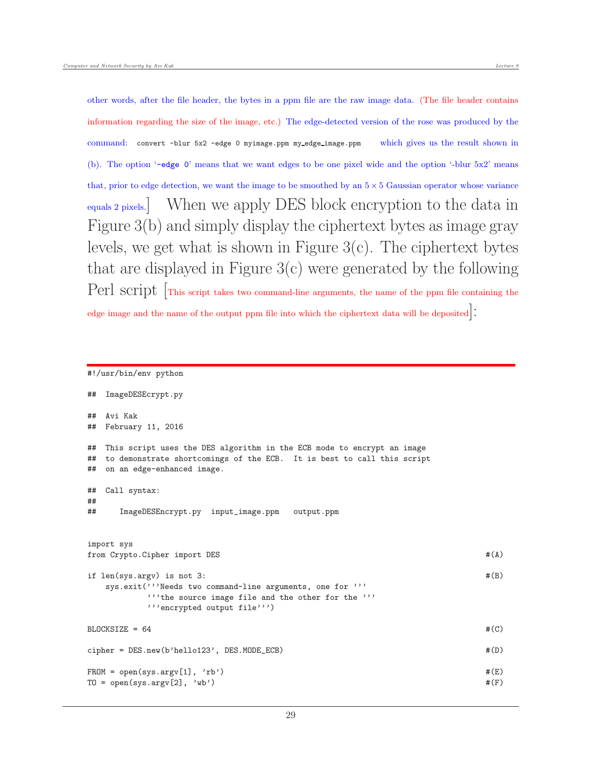other words, after the file header, the bytes in a ppm file are the raw image data. (The file header contains information regarding the size of the image, etc.) The edge-detected version of the rose was produced by the command: convert -blur 5x2 -edge 0 myimage.ppm my edge image.ppm which gives us the result shown in (b). The option '-edge 0' means that we want edges to be one pixel wide and the option '-blur 5x2' means that, prior to edge detection, we want the image to be smoothed by an  $5 \times 5$  Gaussian operator whose variance equals 2 pixels.] When we apply DES block encryption to the data in Figure 3(b) and simply display the ciphertext bytes as image gray levels, we get what is shown in Figure 3(c). The ciphertext bytes that are displayed in Figure 3(c) were generated by the following Perl script  $\lceil$ This script takes two command-line arguments, the name of the ppm file containing the

edge image and the name of the output ppm file into which the ciphertext data will be deposited.

#### #!/usr/bin/env python

```
## ImageDESEcrypt.py
## Avi Kak
## February 11, 2016
## This script uses the DES algorithm in the ECB mode to encrypt an image
## to demonstrate shortcomings of the ECB. It is best to call this script
## on an edge-enhanced image.
## Call syntax:
##
## ImageDESEncrypt.py input_image.ppm output.ppm
import sys
from Crypto.Cipher import DES \#(A)if len(sys.argv) is not 3: \#(B)sys.exit('''Needs two command-line arguments, one for '''
        '''the source image file and the other for the '''
        '''encrypted output file''')
BLOCKSIZE = 64 \#(C)cipher = DES.new(b'hello123', DES.MODE_ECB) #(D)
FROM = open(sys.argv[1], 'rb') #(E)TO = open(sys.argv[2], 'wb') #(F)
```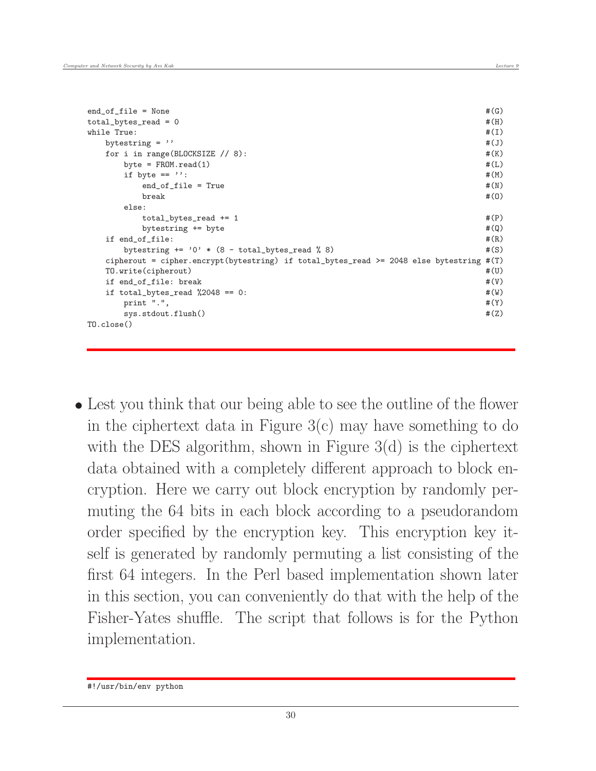```
end of file = None \#(G)total\_bytes\_read = 0 #(H)while True: \#(I)bytestring = '' \#(J)for i in range(BLOCKSIZE // 8): \#(K)byte = FROM.read(1) #(L)if byte == '': \#(M)end_of_file = True #(N)\texttt{break} \hspace{2.5mm} \texttt{\#(0)}else:
    total\_bytes\_read += 1 \#(P)bytestring += byte \#(Q)if end_of_file: #(R)bytestring += '0' * (8 - total_bytes\_read % 8) #(S)
 cipherout = cipher.encrypt(bytestring) if total_bytes_read >= 2048 else bytestring #(T)
 TO.write(cipherout) #(U)
 if end_of_file: break \#(V)if total_bytes_read \frac{0.2048}{0.2048} = 0:
  print ".", \#(Y)sys.stdout.flush() #(Z)TO.close()
```
 Lest you think that our being able to see the outline of the flower in the ciphertext data in Figure  $3(c)$  may have something to do with the DES algorithm, shown in Figure 3(d) is the ciphertext data obtained with a completely different approach to block encryption. Here we carry out block encryption by randomly permuting the 64 bits in each block according to a pseudorandom order specified by the encryption key. This encryption key itself is generated by randomly permuting a list consisting of the first 64 integers. In the Perl based implementation shown later in this section, you can conveniently do that with the help of the Fisher-Yates shuffle. The script that follows is for the Python implementation.

<sup>#!/</sup>usr/bin/env python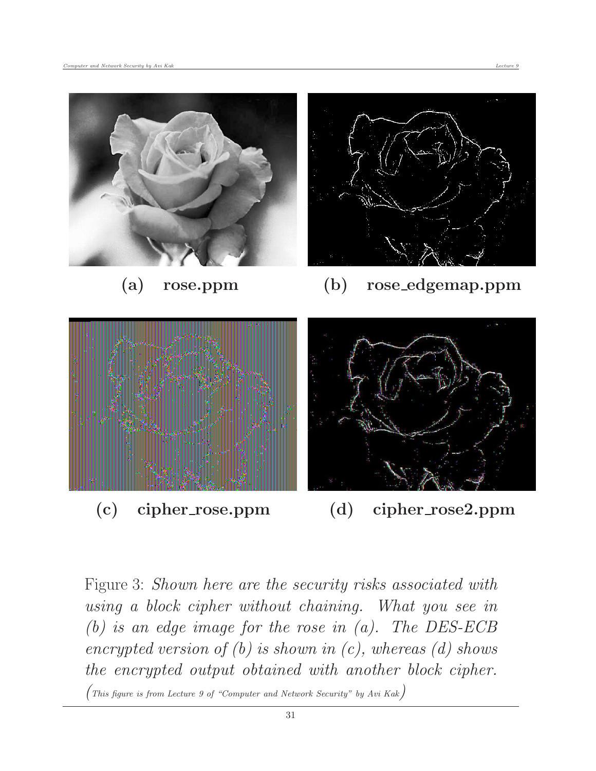

Figure 3: Shown here are the security risks associated with using a block cipher without chaining. What you see in (b) is an edge image for the rose in (a). The DES-ECB encrypted version of  $(b)$  is shown in  $(c)$ , whereas  $(d)$  shows the encrypted output obtained with another block cipher.

(This figure is from Lecture 9 of "Computer and Network Security" by Avi Kak)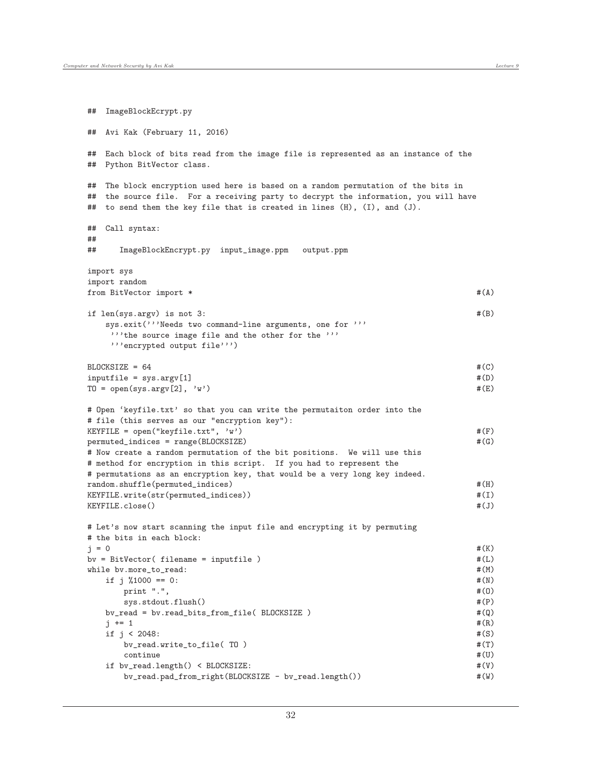```
## ImageBlockEcrypt.py
## Avi Kak (February 11, 2016)
## Each block of bits read from the image file is represented as an instance of the
## Python BitVector class.
## The block encryption used here is based on a random permutation of the bits in
## the source file. For a receiving party to decrypt the information, you will have
## to send them the key file that is created in lines (H), (I), and (J).
## Call syntax:
##
## ImageBlockEncrypt.py input_image.ppm output.ppm
import sys
import random
from BitVector import * # (A)
if len(sys.argv) is not 3: \#(B)sys.exit('''Needs two command-line arguments, one for '''
   '''the source image file and the other for the '''
   '''encrypted output file''')
BLOCKSIZE = 64 \#(C)inputfile = sys.argv[1] #(D)
TO = open(sys.argv[2], 'w') #(E)
# Open 'keyfile.txt' so that you can write the permutaiton order into the
# file (this serves as our "encryption key"):
KEYFILE = open("keyfile.txt", 'w') \#(F)permuted_indices = range(BLOCKSIZE) \#(G)# Now create a random permutation of the bit positions. We will use this
# method for encryption in this script. If you had to represent the
# permutations as an encryption key, that would be a very long key indeed.
random.shuffle(permuted_indices) \#(H)KEYFILE.write(str(permuted_indices)) \#(I)KEYFILE.close() \#(J)# Let's now start scanning the input file and encrypting it by permuting
# the bits in each block:
j = 0 #(K)
b\nu = BitVector( filename = inputfile) \#(L)while bv.more_to_read: \text{\#(M)}if j \text{ % } 1000 == 0: \#(\text{N})\text{print} ".", \text{\#(0)}sys.stdout.flush() \#(P)bv_read = bv.read_bits_from_file( BLOCKSIZE ) \#(Q)j += 1 \#(R)if j < 2048: \#(S)bv_read.write_to_file( TO ) #(T)
     \qquad \qquad \text{continue} \qquad \qquad \text{#(U)}if bv_read.length() < BLOCKSIZE: #(V)
    bv_read.pad_from_right(BLOCKSIZE - bv_read.length()) \#(W)
```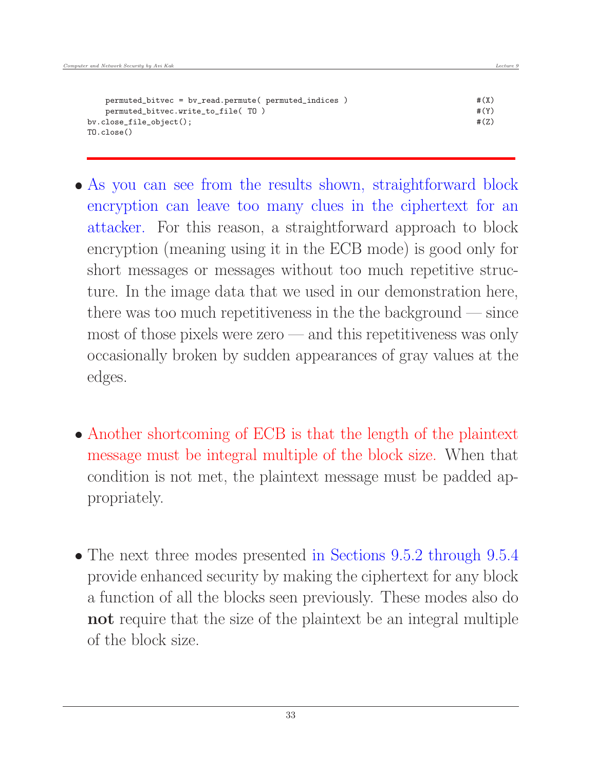| permuted_bitvec = bv_read.permute( permuted_indices ) | #(X) |
|-------------------------------------------------------|------|
| permuted_bitvec.write_to_file(TO)                     | #(Y) |
| bv.close_file_object();                               | #(Z) |
| TO.close()                                            |      |

- As you can see from the results shown, straightforward block encryption can leave too many clues in the ciphertext for an attacker. For this reason, a straightforward approach to block encryption (meaning using it in the ECB mode) is good only for short messages or messages without too much repetitive structure. In the image data that we used in our demonstration here, there was too much repetitiveness in the the background — since most of those pixels were zero — and this repetitiveness was only occasionally broken by sudden appearances of gray values at the edges.
- Another shortcoming of ECB is that the length of the plaintext message must be integral multiple of the block size. When that condition is not met, the plaintext message must be padded appropriately.
- The next three modes presented in Sections 9.5.2 through 9.5.4 provide enhanced security by making the ciphertext for any block a function of all the blocks seen previously. These modes also do not require that the size of the plaintext be an integral multiple of the block size.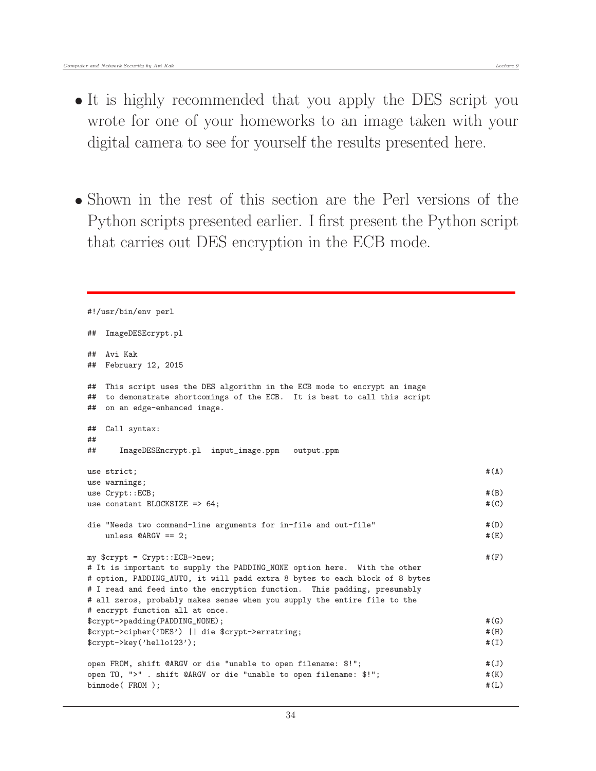• Shown in the rest of this section are the Perl versions of the Python scripts presented earlier. I first present the Python script that carries out DES encryption in the ECB mode.

```
#!/usr/bin/env perl
## ImageDESEcrypt.pl
## Avi Kak
## February 12, 2015
## This script uses the DES algorithm in the ECB mode to encrypt an image
## to demonstrate shortcomings of the ECB. It is best to call this script
## on an edge-enhanced image.
## Call syntax:
##
## ImageDESEncrypt.pl input_image.ppm output.ppm
use strict; \#(\Lambda)use warnings;
use Crypt::ECB; \#(B)use constant BLOCKSIZE => 64; \#(C)die "Needs two command-line arguments for in-file and out-file" \#(D)unless \mathcal{Q}ARGV == 2; \mathcal{H}(E)my $crypt = Crypt::ECB->new; #(F)
# It is important to supply the PADDING_NONE option here. With the other
# option, PADDING_AUTO, it will padd extra 8 bytes to each block of 8 bytes
# I read and feed into the encryption function. This padding, presumably
# all zeros, probably makes sense when you supply the entire file to the
# encrypt function all at once.
$crypt->padding(PADDING_NONE); #(G)
$crypt->cipher('DES') || die $crypt->errstring; #(H)
$crypt->key('hello123'); #(I)
open FROM, shift @ARGV or die "unable to open filename: $!"; #(J)
open TO, ">" . shift @ARGV or die "unable to open filename: $!"; #(K)
binmode (FROM ); \# (L)
```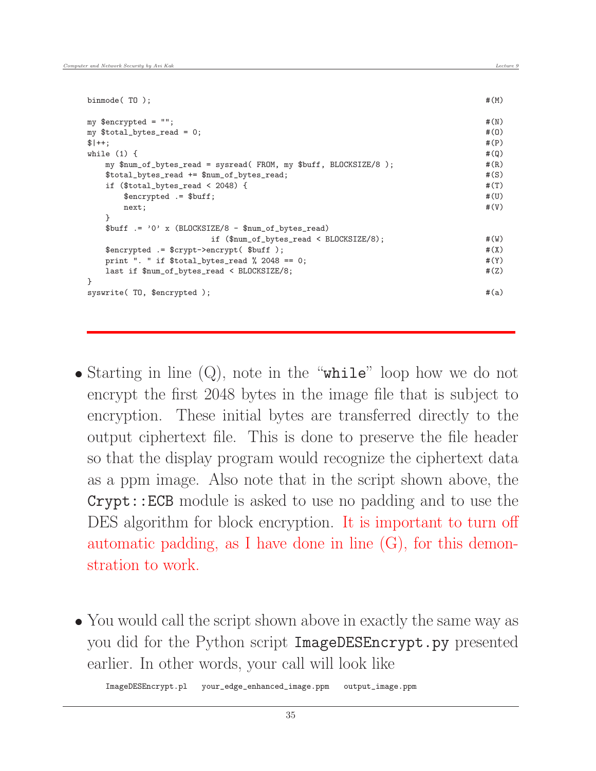| binmode( $T0$ );                                                 | #(M)  |
|------------------------------------------------------------------|-------|
| my $\text{Sencrypted} = \text{""}$ ;                             | #(N)  |
| my $$total_bytes_read = 0;$                                      | #(0)  |
| $$ ++:$                                                          |       |
| while $(1)$ {                                                    | #(Q)  |
| my \$num_of_bytes_read = sysread( FROM, my \$buff, BLOCKSIZE/8); | #(R)  |
| \$total_bytes_read += \$num_of_bytes_read;                       | #(S)  |
| if $($total_bytes_read < 2048)$ {                                | #(T)  |
| $$encrypted = $buff;$                                            | #(U)  |
| next;                                                            | #(V)  |
| ł                                                                |       |
| $$buffer := '0' x (BLOCKSIZE/8 - $num_of_bytes.read)$            |       |
| if $(\text{ $num_of_bytes_read} < \text{BCCKSIZE}/8);$           | #(W)  |
| \$encrypted .= \$crypt->encrypt(\$buff);                         | #(X)  |
| print ". " if \$total_bytes_read % 2048 == 0;                    | # (Y) |
| last if \$num_of_bytes_read < BLOCKSIZE/8;                       | #(Z)  |
| $\mathcal{F}$                                                    |       |
| syswrite(TO, \$encrypted);                                       |       |

- Starting in line  $(Q)$ , note in the "while" loop how we do not encrypt the first 2048 bytes in the image file that is subject to encryption. These initial bytes are transferred directly to the output ciphertext file. This is done to preserve the file header so that the display program would recognize the ciphertext data as a ppm image. Also note that in the script shown above, the Crypt::ECB module is asked to use no padding and to use the DES algorithm for block encryption. It is important to turn off automatic padding, as I have done in line (G), for this demonstration to work.
- You would call the script shown above in exactly the same way as you did for the Python script ImageDESEncrypt.py presented earlier. In other words, your call will look like

ImageDESEncrypt.pl your\_edge\_enhanced\_image.ppm output\_image.ppm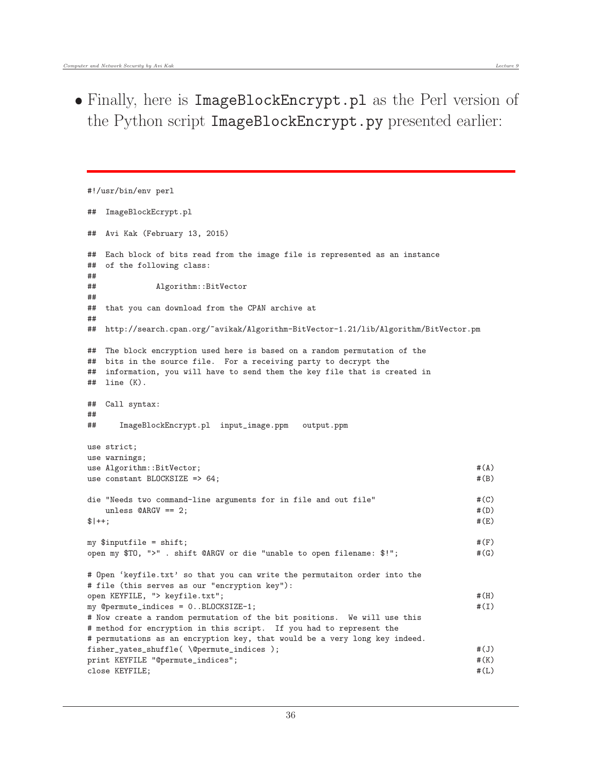• Finally, here is ImageBlockEncrypt.pl as the Perl version of the Python script ImageBlockEncrypt.py presented earlier:

```
#!/usr/bin/env perl
## ImageBlockEcrypt.pl
## Avi Kak (February 13, 2015)
## Each block of bits read from the image file is represented as an instance
## of the following class:
##
## Algorithm::BitVector
##
## that you can download from the CPAN archive at
##
## http://search.cpan.org/~avikak/Algorithm-BitVector-1.21/lib/Algorithm/BitVector.pm
## The block encryption used here is based on a random permutation of the
## bits in the source file. For a receiving party to decrypt the
## information, you will have to send them the key file that is created in
## line (K).
## Call syntax:
##
## ImageBlockEncrypt.pl input_image.ppm output.ppm
use strict;
use warnings;
use Algorithm::BitVector; \#(A)use constant BLOCKSIZE \Rightarrow 64; \#(B)
die "Needs two command-line arguments for in file and out file" \#(C)unless \mathcal{Q}ARGV == 2; \mathcal{H}(D)\text{#}(E) + + ;
my \text{S inputfile} = \text{shift}; \#(F)open my $TO, ">" . shift @ARGV or die "unable to open filename: $!"; #(G)
# Open 'keyfile.txt' so that you can write the permutaiton order into the
# file (this serves as our "encryption key"):
open KEYFILE, "> keyfile.txt"; #(H)
my @permute_indices = 0..BLOCKSIZE-1; \#(I)# Now create a random permutation of the bit positions. We will use this
# method for encryption in this script. If you had to represent the
# permutations as an encryption key, that would be a very long key indeed.
fisher_yates_shuffle( \@permute_indices ); #(J)
print KEYFILE "@permute_indices"; #(K)
close KEYFILE; \#(L)
```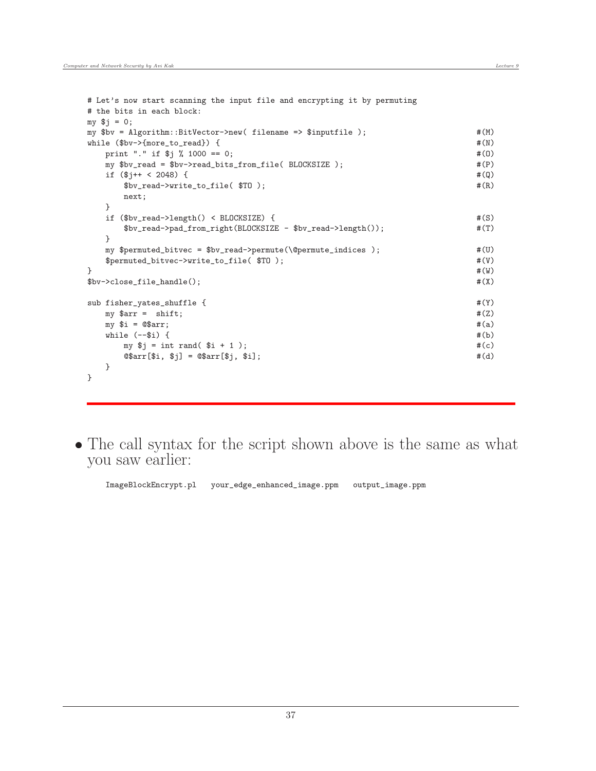```
# Let's now start scanning the input file and encrypting it by permuting
# the bits in each block:
my $j = 0;
my $bv = Algorithm::BitVector->new( filename => $inputfile ); #(M)
while ($bv->{more_to\_read}) { \#(N)print "." if \frac{4}{3} % 1000 == 0; #(0)
  my $bv_read = $bv->read_bits_from_file( BLOCKSIZE ); #(P)
  if (\frac{1}{2})^{++} < 2048 { \qquad$bv\_read->write_to_file( $TO ); \#(R)next;
  }
  if ($bv_read->length() < BLOCKSIZE) { #(S)
     $bv_read->pad_from_right(BLOCKSIZE - $bv_read->length()); #(T)
  }
  my $permuted_bitvec = $bv_read->permute(\@permute_indices ); #(U)
  $permuted_bitvec->write_to_file( $TO ); #(V)
\} #(W)
$b-v>close_file\_handle(); \#(X)sub fisher_yates_shuffle { \#(Y)my \text{Sarr} = \text{shift}; \#(Z)my $i = @$arr; \qquad \qquad \qquad \qquad \qquad \qquad \qquad \qquad \qquad \qquad \qquad \qquad \qquad \qquad \qquad \qquad \qquad \qquad \qquad \qquad \qquad \qquad \qquad \qquad \qquad \qquad \qquad \qquad \qquad \qquad \qquad \qquad \qquad \qquad \qquadwhile (--\$i) { \#(b)my \hat{s} = int rand(\hat{s} + 1); \#(c)@5arr[$i, $j] = @5arr[$j, $i];}
}
```
 The call syntax for the script shown above is the same as what you saw earlier:

ImageBlockEncrypt.pl your\_edge\_enhanced\_image.ppm output\_image.ppm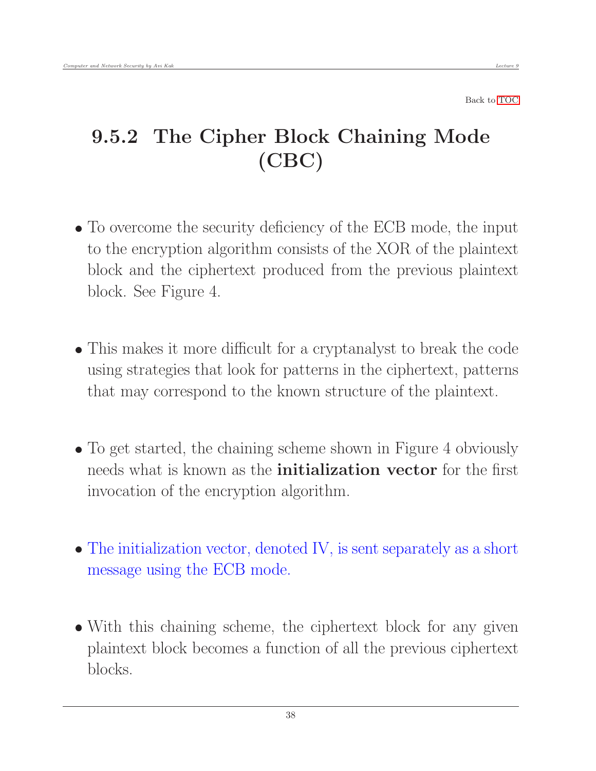# 9.5.2 The Cipher Block Chaining Mode (CBC)

- To overcome the security deficiency of the ECB mode, the input to the encryption algorithm consists of the XOR of the plaintext block and the ciphertext produced from the previous plaintext block. See Figure 4.
- This makes it more difficult for a cryptanalyst to break the code using strategies that look for patterns in the ciphertext, patterns that may correspond to the known structure of the plaintext.
- To get started, the chaining scheme shown in Figure 4 obviously needs what is known as the **initialization vector** for the first invocation of the encryption algorithm.
- The initialization vector, denoted IV, is sent separately as a short message using the ECB mode.
- With this chaining scheme, the ciphertext block for any given plaintext block becomes a function of all the previous ciphertext blocks.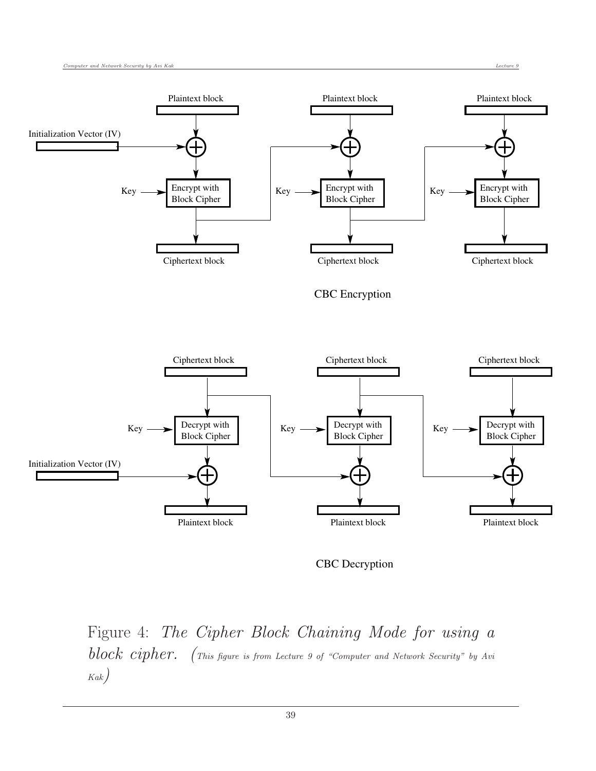

CBC Decryption

Figure 4: The Cipher Block Chaining Mode for using a block cipher. (This figure is from Lecture 9 of "Computer and Network Security" by Avi Kak)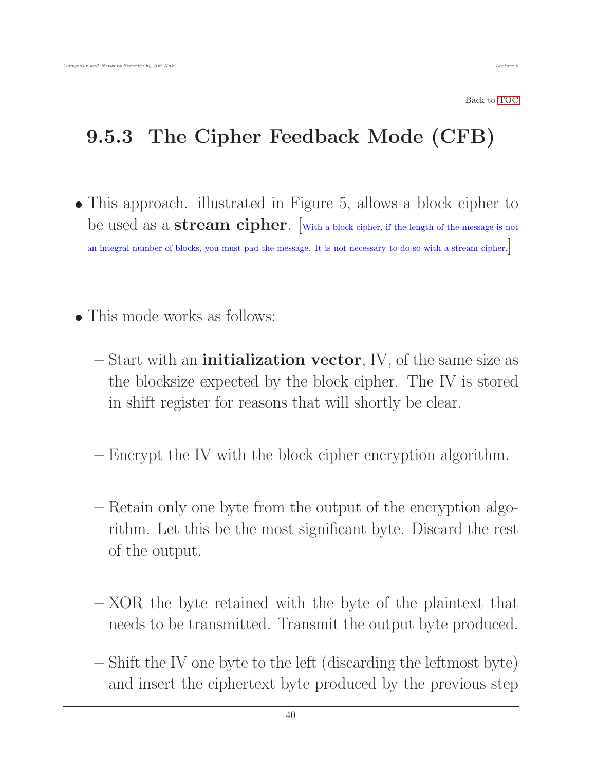#### 9.5.3 The Cipher Feedback Mode (CFB)

- This approach. illustrated in Figure 5, allows a block cipher to be used as a **stream cipher**. With a block cipher, if the length of the message is not an integral number of blocks, you must pad the message. It is not necessary to do so with a stream cipher.]
- This mode works as follows:
	- $-$  Start with an **initialization vector**, IV, of the same size as the blocksize expected by the block cipher. The IV is stored in shift register for reasons that will shortly be clear.
	- Encrypt the IV with the block cipher encryption algorithm.
	- Retain only one byte from the output of the encryption algorithm. Let this be the most significant byte. Discard the rest of the output.
	- XOR the byte retained with the byte of the plaintext that needs to be transmitted. Transmit the output byte produced.
	- Shift the IV one byte to the left (discarding the leftmost byte) and insert the ciphertext byte produced by the previous step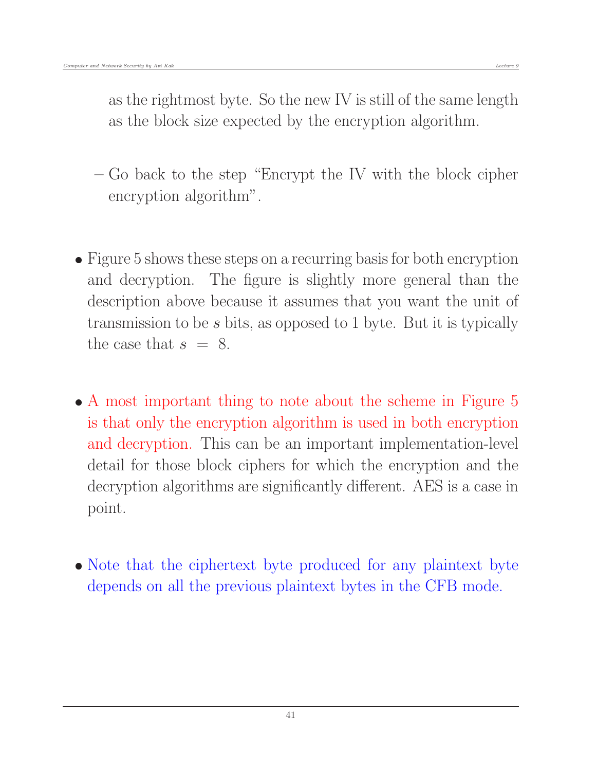as the rightmost byte. So the new IV is still of the same length as the block size expected by the encryption algorithm.

- Go back to the step "Encrypt the IV with the block cipher encryption algorithm".
- Figure 5 shows these steps on a recurring basis for both encryption and decryption. The figure is slightly more general than the description above because it assumes that you want the unit of transmission to be s bits, as opposed to 1 byte. But it is typically the case that  $s = 8$ .
- A most important thing to note about the scheme in Figure 5 is that only the encryption algorithm is used in both encryption and decryption. This can be an important implementation-level detail for those block ciphers for which the encryption and the decryption algorithms are significantly different. AES is a case in point.
- Note that the ciphertext byte produced for any plaintext byte depends on all the previous plaintext bytes in the CFB mode.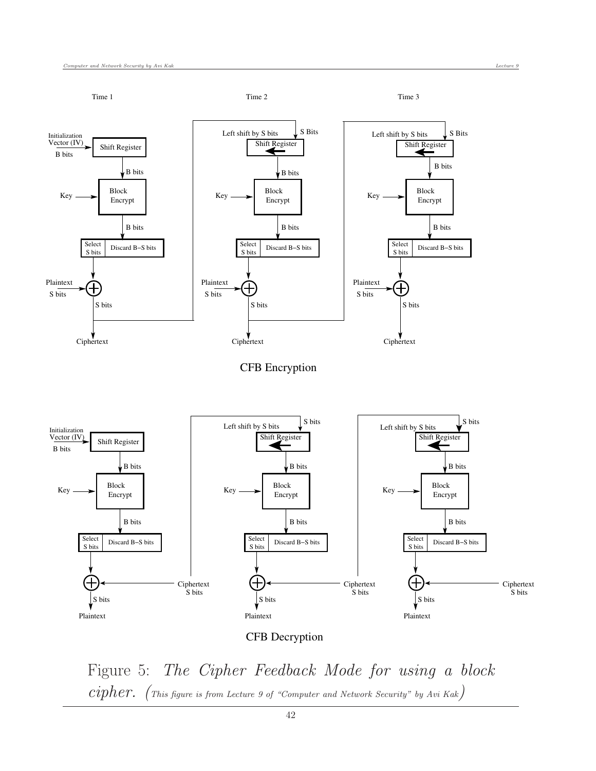

Figure 5: The Cipher Feedback Mode for using a block  $cipher.$  (This figure is from Lecture 9 of "Computer and Network Security" by Avi Kak)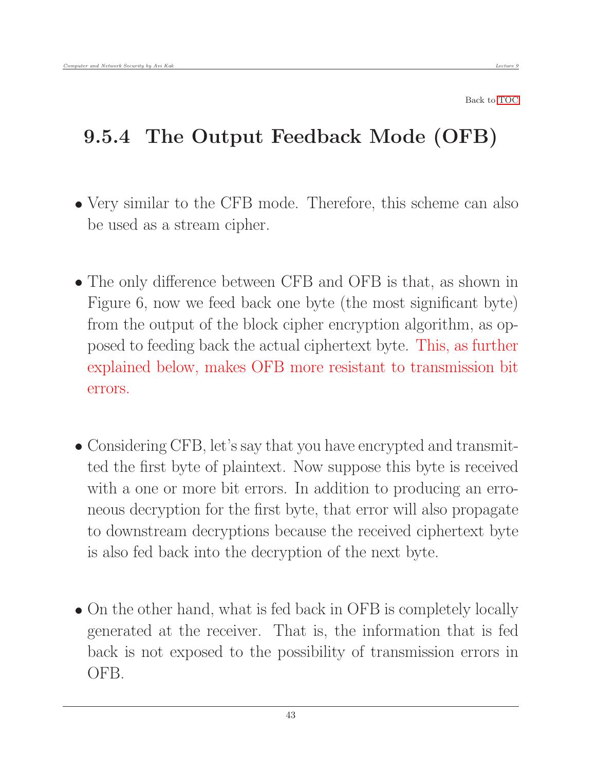# 9.5.4 The Output Feedback Mode (OFB)

- Very similar to the CFB mode. Therefore, this scheme can also be used as a stream cipher.
- The only difference between CFB and OFB is that, as shown in Figure 6, now we feed back one byte (the most significant byte) from the output of the block cipher encryption algorithm, as opposed to feeding back the actual ciphertext byte. This, as further explained below, makes OFB more resistant to transmission bit errors.
- Considering CFB, let's say that you have encrypted and transmitted the first byte of plaintext. Now suppose this byte is received with a one or more bit errors. In addition to producing an erroneous decryption for the first byte, that error will also propagate to downstream decryptions because the received ciphertext byte is also fed back into the decryption of the next byte.
- On the other hand, what is fed back in OFB is completely locally generated at the receiver. That is, the information that is fed back is not exposed to the possibility of transmission errors in OFB.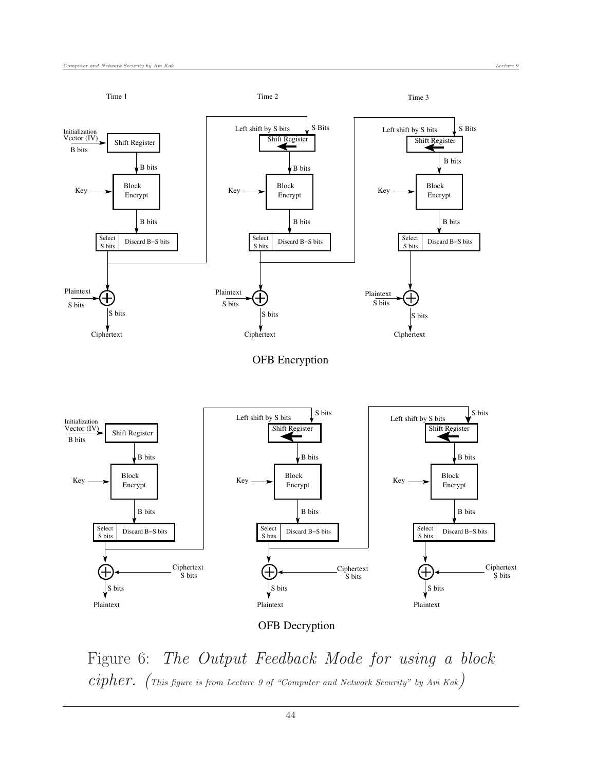

Figure 6: The Output Feedback Mode for using a block  $cipher.$  (This figure is from Lecture 9 of "Computer and Network Security" by Avi Kak)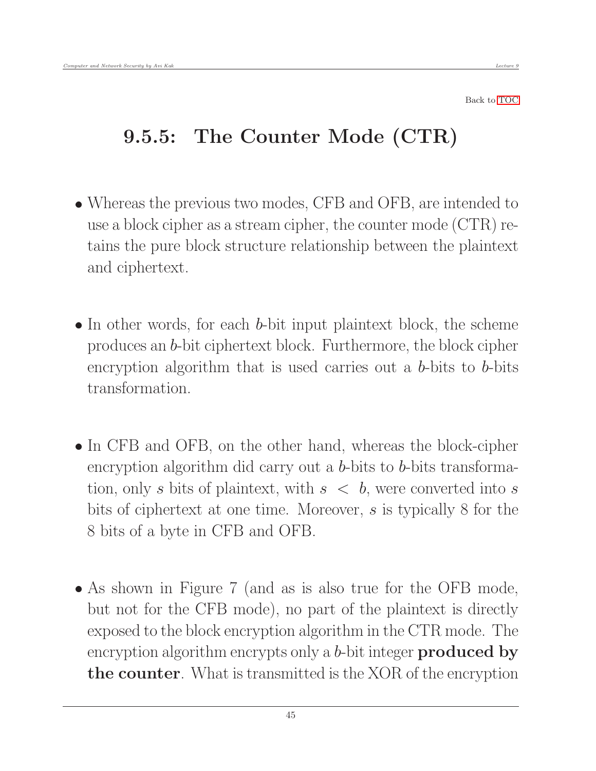## 9.5.5: The Counter Mode (CTR)

- Whereas the previous two modes, CFB and OFB, are intended to use a block cipher as a stream cipher, the counter mode (CTR) retains the pure block structure relationship between the plaintext and ciphertext.
- In other words, for each *b*-bit input plaintext block, the scheme produces an b-bit ciphertext block. Furthermore, the block cipher encryption algorithm that is used carries out a b-bits to b-bits transformation.
- In CFB and OFB, on the other hand, whereas the block-cipher encryption algorithm did carry out a b-bits to b-bits transformation, only s bits of plaintext, with  $s < b$ , were converted into s bits of ciphertext at one time. Moreover, s is typically 8 for the 8 bits of a byte in CFB and OFB.
- As shown in Figure 7 (and as is also true for the OFB mode, but not for the CFB mode), no part of the plaintext is directly exposed to the block encryption algorithm in the CTR mode. The encryption algorithm encrypts only a b-bit integer **produced by** the counter. What is transmitted is the XOR of the encryption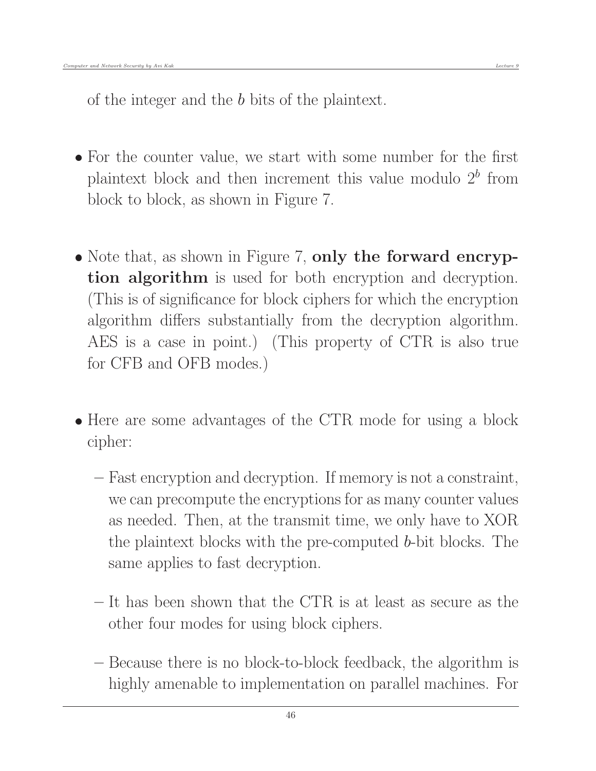of the integer and the b bits of the plaintext.

- For the counter value, we start with some number for the first plaintext block and then increment this value modulo  $2<sup>b</sup>$  from block to block, as shown in Figure 7.
- Note that, as shown in Figure 7, only the forward encryption algorithm is used for both encryption and decryption. (This is of significance for block ciphers for which the encryption algorithm differs substantially from the decryption algorithm. AES is a case in point.) (This property of CTR is also true for CFB and OFB modes.)
- Here are some advantages of the CTR mode for using a block cipher:
	- Fast encryption and decryption. If memory is not a constraint, we can precompute the encryptions for as many counter values as needed. Then, at the transmit time, we only have to XOR the plaintext blocks with the pre-computed b-bit blocks. The same applies to fast decryption.
	- It has been shown that the CTR is at least as secure as the other four modes for using block ciphers.
	- Because there is no block-to-block feedback, the algorithm is highly amenable to implementation on parallel machines. For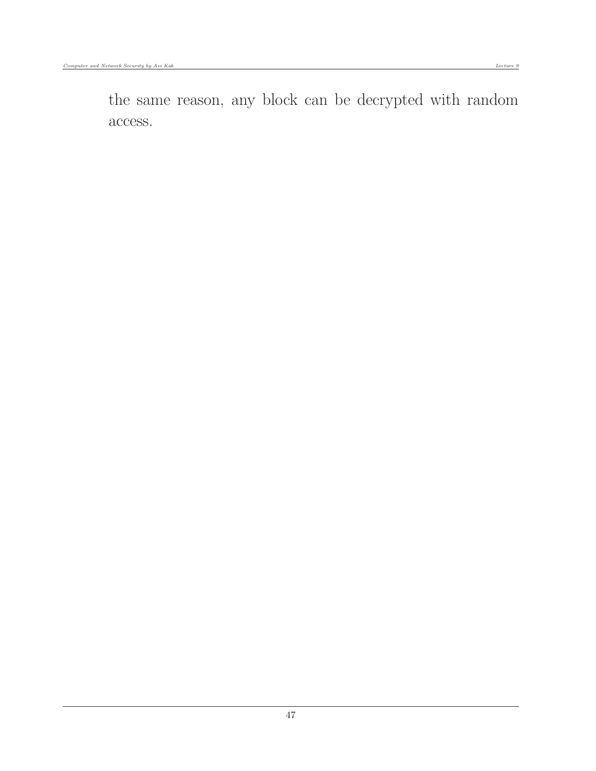the same reason, any block can be decrypted with random access.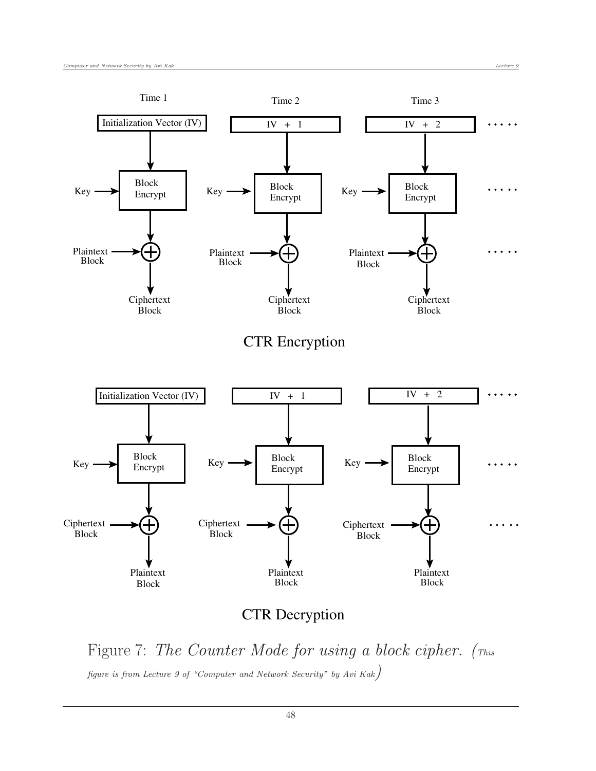

#### CTR Decryption

Figure 7: The Counter Mode for using a block cipher. (This figure is from Lecture 9 of "Computer and Network Security" by Avi Kak)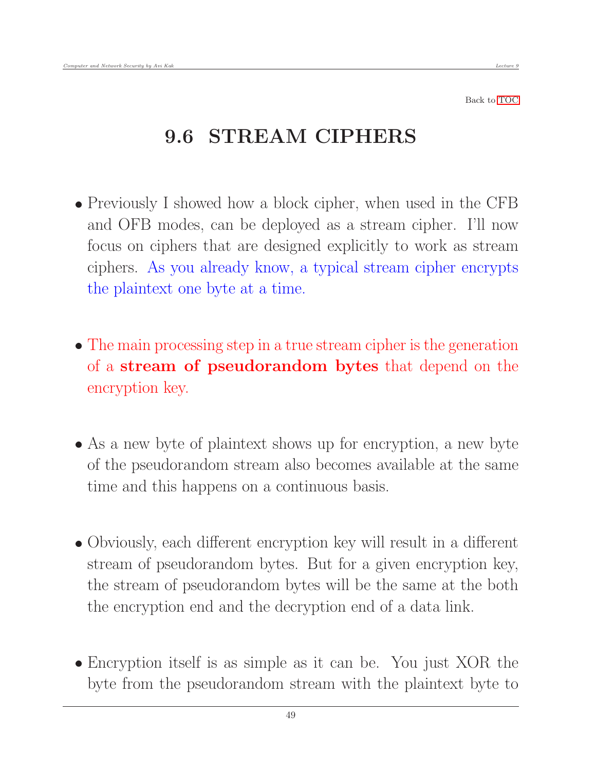## 9.6 STREAM CIPHERS

- Previously I showed how a block cipher, when used in the CFB and OFB modes, can be deployed as a stream cipher. I'll now focus on ciphers that are designed explicitly to work as stream ciphers. As you already know, a typical stream cipher encrypts the plaintext one byte at a time.
- The main processing step in a true stream cipher is the generation of a stream of pseudorandom bytes that depend on the encryption key.
- As a new byte of plaintext shows up for encryption, a new byte of the pseudorandom stream also becomes available at the same time and this happens on a continuous basis.
- Obviously, each different encryption key will result in a different stream of pseudorandom bytes. But for a given encryption key, the stream of pseudorandom bytes will be the same at the both the encryption end and the decryption end of a data link.
- Encryption itself is as simple as it can be. You just XOR the byte from the pseudorandom stream with the plaintext byte to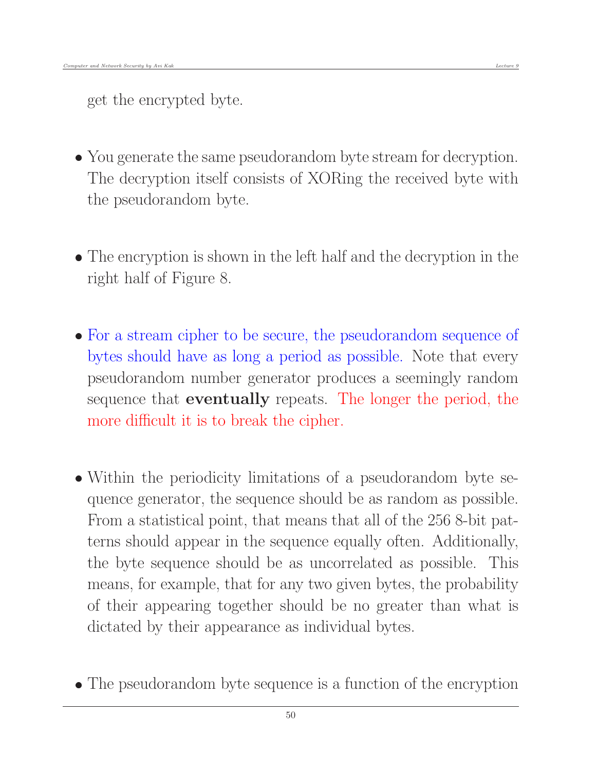get the encrypted byte.

- You generate the same pseudorandom byte stream for decryption. The decryption itself consists of XORing the received byte with the pseudorandom byte.
- The encryption is shown in the left half and the decryption in the right half of Figure 8.
- For a stream cipher to be secure, the pseudorandom sequence of bytes should have as long a period as possible. Note that every pseudorandom number generator produces a seemingly random sequence that eventually repeats. The longer the period, the more difficult it is to break the cipher.
- Within the periodicity limitations of a pseudorandom byte sequence generator, the sequence should be as random as possible. From a statistical point, that means that all of the 256 8-bit patterns should appear in the sequence equally often. Additionally, the byte sequence should be as uncorrelated as possible. This means, for example, that for any two given bytes, the probability of their appearing together should be no greater than what is dictated by their appearance as individual bytes.
- The pseudorandom byte sequence is a function of the encryption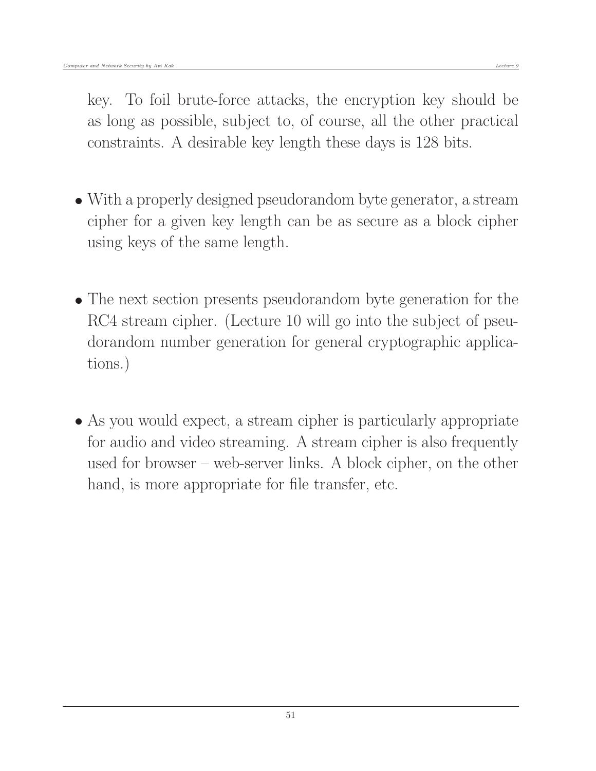key. To foil brute-force attacks, the encryption key should be as long as possible, subject to, of course, all the other practical constraints. A desirable key length these days is 128 bits.

- With a properly designed pseudorandom byte generator, a stream cipher for a given key length can be as secure as a block cipher using keys of the same length.
- The next section presents pseudorandom byte generation for the RC4 stream cipher. (Lecture 10 will go into the subject of pseudorandom number generation for general cryptographic applications.)
- As you would expect, a stream cipher is particularly appropriate for audio and video streaming. A stream cipher is also frequently used for browser – web-server links. A block cipher, on the other hand, is more appropriate for file transfer, etc.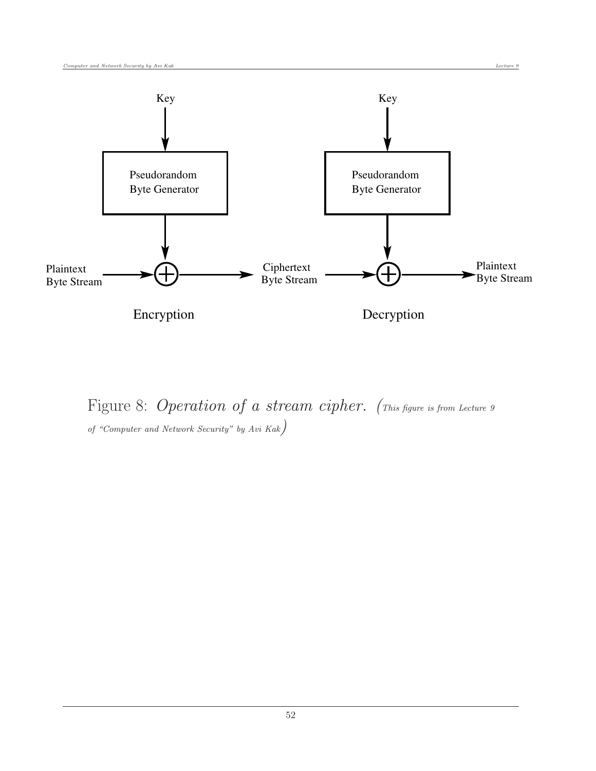

Figure 8: Operation of a stream cipher. (This figure is from Lecture 9) of "Computer and Network Security" by Avi Kak)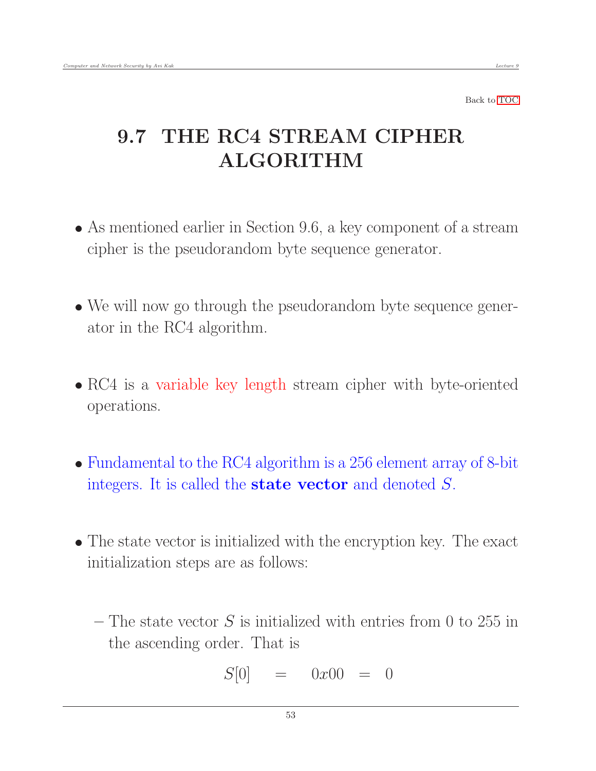# 9.7 THE RC4 STREAM CIPHER ALGORITHM

- As mentioned earlier in Section 9.6, a key component of a stream cipher is the pseudorandom byte sequence generator.
- We will now go through the pseudorandom byte sequence generator in the RC4 algorithm.
- RC4 is a variable key length stream cipher with byte-oriented operations.
- Fundamental to the RC4 algorithm is a 256 element array of 8-bit integers. It is called the **state vector** and denoted  $S$ .
- The state vector is initialized with the encryption key. The exact initialization steps are as follows:
	- The state vector  $S$  is initialized with entries from 0 to 255 in the ascending order. That is

$$
S[0] = 0x00 = 0
$$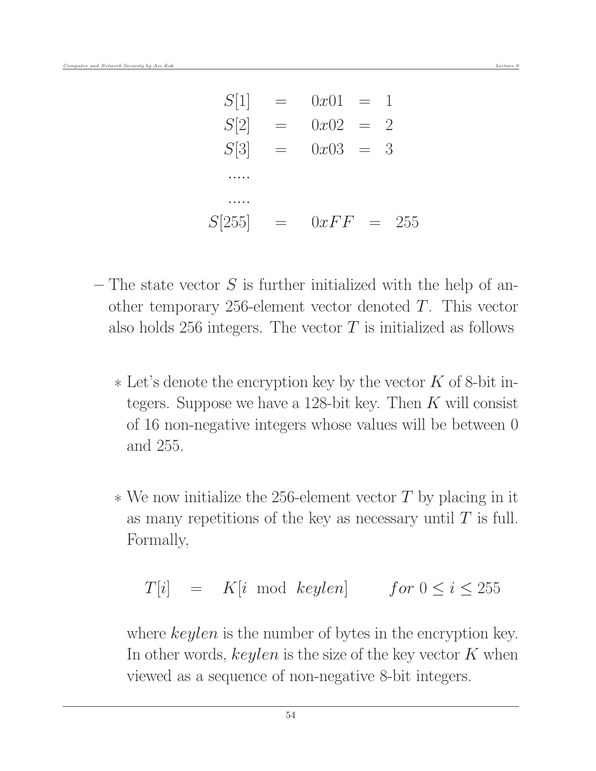| S[1]   | $=$      | $0x01 =$ |          |                |  |
|--------|----------|----------|----------|----------------|--|
| S[2]   | $\equiv$ | $0x02 =$ |          | $\overline{2}$ |  |
| S[3]   | $\equiv$ | $0x03 =$ |          | 3              |  |
|        |          |          |          |                |  |
|        |          |          |          |                |  |
| S[255] | $=$      | 0xFF     | $\equiv$ | 255            |  |

- The state vector  $S$  is further initialized with the help of another temporary 256-element vector denoted T. This vector also holds 256 integers. The vector  $T$  is initialized as follows
	- $*$  Let's denote the encryption key by the vector K of 8-bit integers. Suppose we have a 128-bit key. Then  $K$  will consist of 16 non-negative integers whose values will be between 0 and 255.
	- $*$  We now initialize the 256-element vector T by placing in it as many repetitions of the key as necessary until  $T$  is full. Formally,

$$
T[i] = K[i \mod keylen] \qquad for \ 0 \le i \le 255
$$

where *keylen* is the number of bytes in the encryption key. In other words,  $keylen$  is the size of the key vector  $K$  when viewed as a sequence of non-negative 8-bit integers.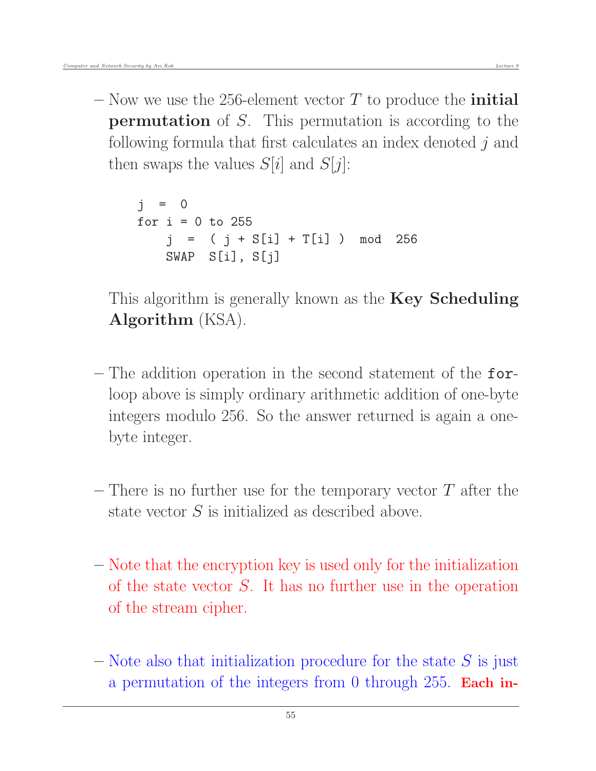– Now we use the 256-element vector  $T$  to produce the **initial** permutation of S. This permutation is according to the following formula that first calculates an index denoted j and then swaps the values  $S[i]$  and  $S[j]$ :

```
i = 0for i = 0 to 255
   j = ( j + S[i] + T[i] ) mod 256
   SWAP S[i], S[j]
```
This algorithm is generally known as the **Key Scheduling** Algorithm (KSA).

- The addition operation in the second statement of the forloop above is simply ordinary arithmetic addition of one-byte integers modulo 256. So the answer returned is again a onebyte integer.
- There is no further use for the temporary vector  $T$  after the state vector S is initialized as described above.
- Note that the encryption key is used only for the initialization of the state vector  $S$ . It has no further use in the operation of the stream cipher.
- Note also that initialization procedure for the state  $S$  is just a permutation of the integers from 0 through 255. Each in-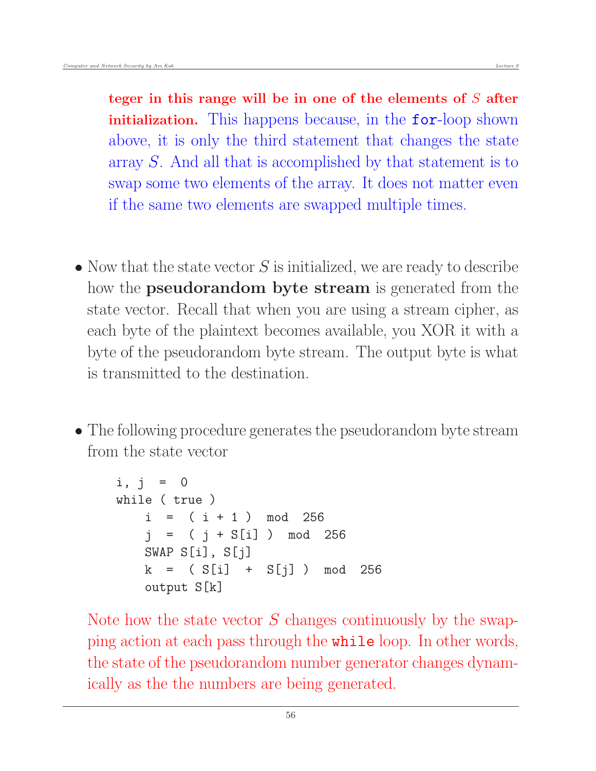teger in this range will be in one of the elements of  $S$  after initialization. This happens because, in the for-loop shown above, it is only the third statement that changes the state array S. And all that is accomplished by that statement is to swap some two elements of the array. It does not matter even if the same two elements are swapped multiple times.

- $\bullet$  Now that the state vector S is initialized, we are ready to describe how the **pseudorandom byte stream** is generated from the state vector. Recall that when you are using a stream cipher, as each byte of the plaintext becomes available, you XOR it with a byte of the pseudorandom byte stream. The output byte is what is transmitted to the destination.
- The following procedure generates the pseudorandom byte stream from the state vector

```
i, j = 0while ( true )
   i = (i + 1) \mod 256j = (j + S[i]) mod 256
   SWAP S[i], S[j]
   k = (S[i] + S[j]) mod 256
   output S[k]
```
Note how the state vector  $S$  changes continuously by the swapping action at each pass through the while loop. In other words, the state of the pseudorandom number generator changes dynamically as the the numbers are being generated.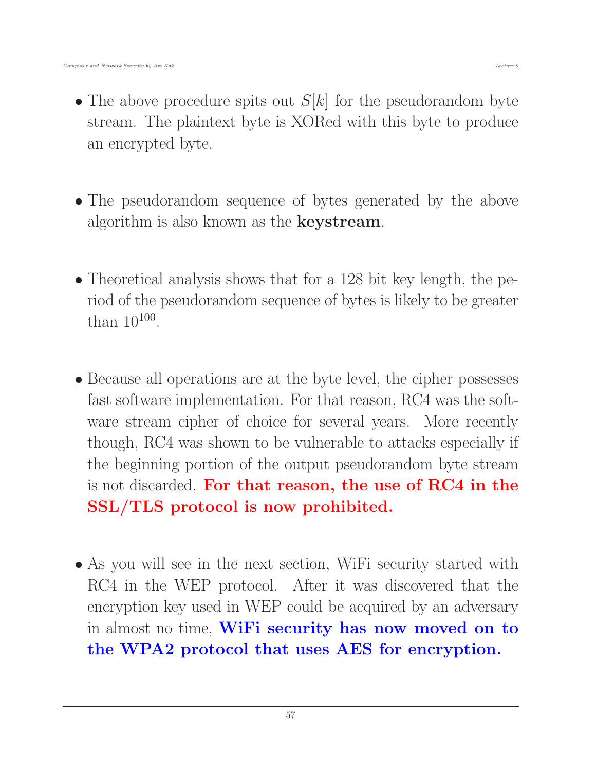- The above procedure spits out  $S[k]$  for the pseudorandom byte stream. The plaintext byte is XORed with this byte to produce an encrypted byte.
- The pseudorandom sequence of bytes generated by the above algorithm is also known as the keystream.
- Theoretical analysis shows that for a 128 bit key length, the period of the pseudorandom sequence of bytes is likely to be greater than  $10^{100}$ .
- Because all operations are at the byte level, the cipher possesses fast software implementation. For that reason, RC4 was the software stream cipher of choice for several years. More recently though, RC4 was shown to be vulnerable to attacks especially if the beginning portion of the output pseudorandom byte stream is not discarded. For that reason, the use of RC4 in the SSL/TLS protocol is now prohibited.
- As you will see in the next section, WiFi security started with RC4 in the WEP protocol. After it was discovered that the encryption key used in WEP could be acquired by an adversary in almost no time, WiFi security has now moved on to the WPA2 protocol that uses AES for encryption.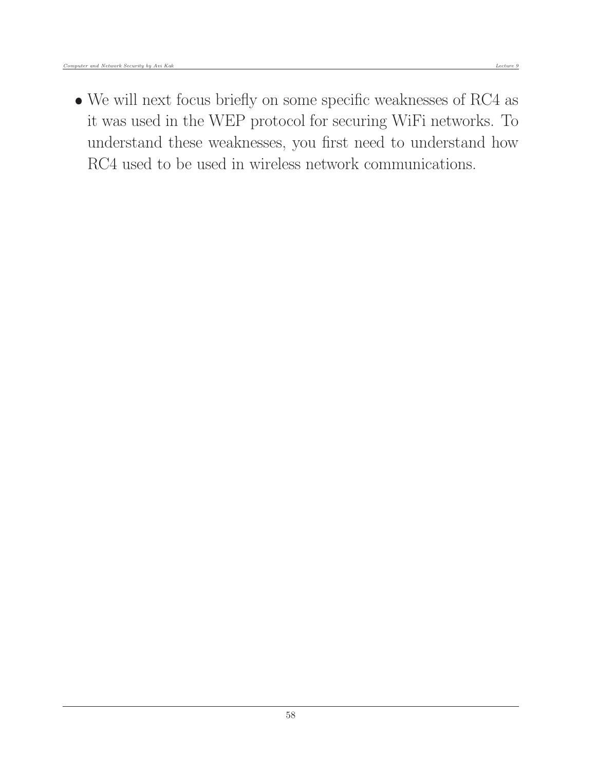RC4 used to be used in wireless network communications.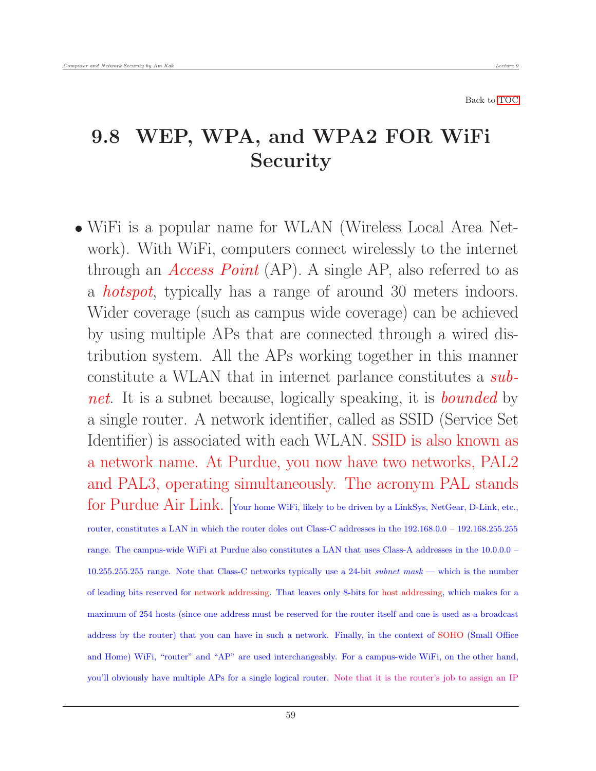#### 9.8 WEP, WPA, and WPA2 FOR WiFi Security

 WiFi is a popular name for WLAN (Wireless Local Area Network). With WiFi, computers connect wirelessly to the internet through an *Access Point* (AP). A single AP, also referred to as a hotspot, typically has a range of around 30 meters indoors. Wider coverage (such as campus wide coverage) can be achieved by using multiple APs that are connected through a wired distribution system. All the APs working together in this manner constitute a WLAN that in internet parlance constitutes a subnet. It is a subnet because, logically speaking, it is **bounded** by a single router. A network identifier, called as SSID (Service Set Identifier) is associated with each WLAN. SSID is also known as a network name. At Purdue, you now have two networks, PAL2 and PAL3, operating simultaneously. The acronym PAL stands for Purdue Air Link. [Your home WiFi, likely to be driven by a LinkSys, NetGear, D-Link, etc., router, constitutes a LAN in which the router doles out Class-C addresses in the 192.168.0.0 – 192.168.255.255 range. The campus-wide WiFi at Purdue also constitutes a LAN that uses Class-A addresses in the 10.0.0.0 – 10.255.255.255 range. Note that Class-C networks typically use a 24-bit subnet mask — which is the number of leading bits reserved for network addressing. That leaves only 8-bits for host addressing, which makes for a maximum of 254 hosts (since one address must be reserved for the router itself and one is used as a broadcast address by the router) that you can have in such a network. Finally, in the context of SOHO (Small Office and Home) WiFi, "router" and "AP" are used interchangeably. For a campus-wide WiFi, on the other hand, you'll obviously have multiple APs for a single logical router. Note that it is the router's job to assign an IP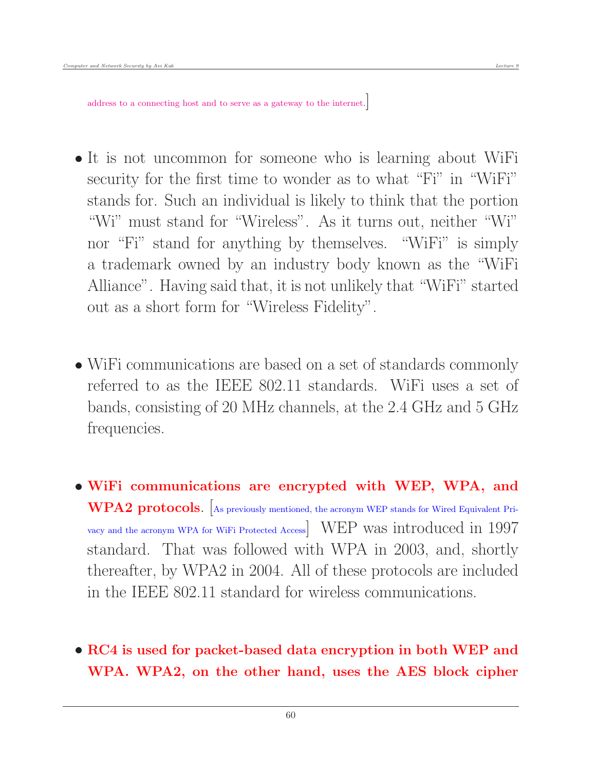- It is not uncommon for someone who is learning about WiFi security for the first time to wonder as to what "Fi" in "WiFi" stands for. Such an individual is likely to think that the portion "Wi" must stand for "Wireless". As it turns out, neither "Wi" nor "Fi" stand for anything by themselves. "WiFi" is simply a trademark owned by an industry body known as the "WiFi Alliance". Having said that, it is not unlikely that "WiFi" started out as a short form for "Wireless Fidelity".
- WiFi communications are based on a set of standards commonly referred to as the IEEE 802.11 standards. WiFi uses a set of bands, consisting of 20 MHz channels, at the 2.4 GHz and 5 GHz frequencies.
- WiFi communications are encrypted with WEP, WPA, and WPA2 protocols. [As previously mentioned, the acronym WEP stands for Wired Equivalent Privacy and the acronym WPA for WiFi Protected Access] WEP was introduced in 1997 standard. That was followed with WPA in 2003, and, shortly thereafter, by WPA2 in 2004. All of these protocols are included in the IEEE 802.11 standard for wireless communications.
- RC4 is used for packet-based data encryption in both WEP and WPA. WPA2, on the other hand, uses the AES block cipher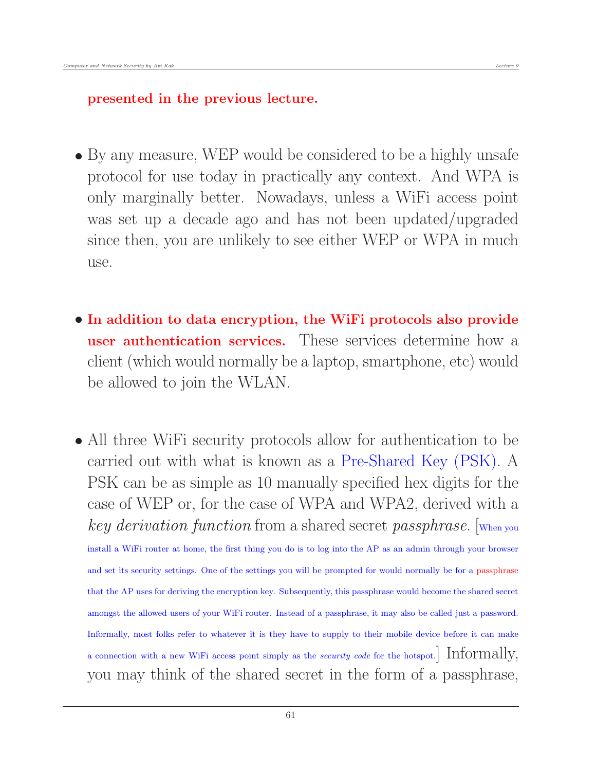- By any measure, WEP would be considered to be a highly unsafe protocol for use today in practically any context. And WPA is only marginally better. Nowadays, unless a WiFi access point was set up a decade ago and has not been updated/upgraded since then, you are unlikely to see either WEP or WPA in much use.
- In addition to data encryption, the WiFi protocols also provide user authentication services. These services determine how a client (which would normally be a laptop, smartphone, etc) would be allowed to join the WLAN.
- All three WiFi security protocols allow for authentication to be carried out with what is known as a Pre-Shared Key (PSK). A PSK can be as simple as 10 manually specified hex digits for the case of WEP or, for the case of WPA and WPA2, derived with a key derivation function from a shared secret passphrase. [When you install a WiFi router at home, the first thing you do is to log into the AP as an admin through your browser and set its security settings. One of the settings you will be prompted for would normally be for a passphrase that the AP uses for deriving the encryption key. Subsequently, this passphrase would become the shared secret amongst the allowed users of your WiFi router. Instead of a passphrase, it may also be called just a password. Informally, most folks refer to whatever it is they have to supply to their mobile device before it can make a connection with a new WiFi access point simply as the *security code* for the hotspot. Informally, you may think of the shared secret in the form of a passphrase,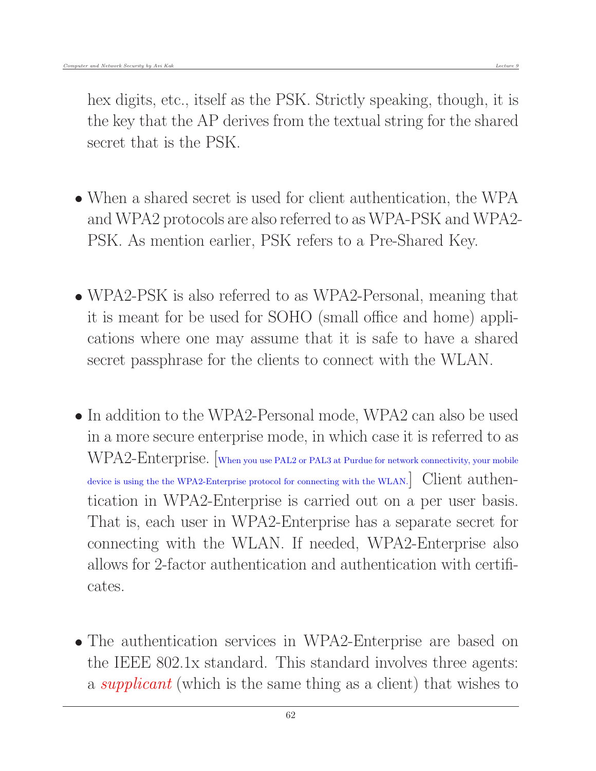- When a shared secret is used for client authentication, the WPA and WPA2 protocols are also referred to as WPA-PSK and WPA2- PSK. As mention earlier, PSK refers to a Pre-Shared Key.
- WPA2-PSK is also referred to as WPA2-Personal, meaning that it is meant for be used for SOHO (small office and home) applications where one may assume that it is safe to have a shared secret passphrase for the clients to connect with the WLAN.
- In addition to the WPA2-Personal mode, WPA2 can also be used in a more secure enterprise mode, in which case it is referred to as WPA2-Enterprise. [When you use PAL2 or PAL3 at Purdue for network connectivity, your mobile device is using the the WPA2-Enterprise protocol for connecting with the WLAN. Client authentication in WPA2-Enterprise is carried out on a per user basis. That is, each user in WPA2-Enterprise has a separate secret for connecting with the WLAN. If needed, WPA2-Enterprise also allows for 2-factor authentication and authentication with certificates.
- The authentication services in WPA2-Enterprise are based on the IEEE 802.1x standard. This standard involves three agents: a *supplicant* (which is the same thing as a client) that wishes to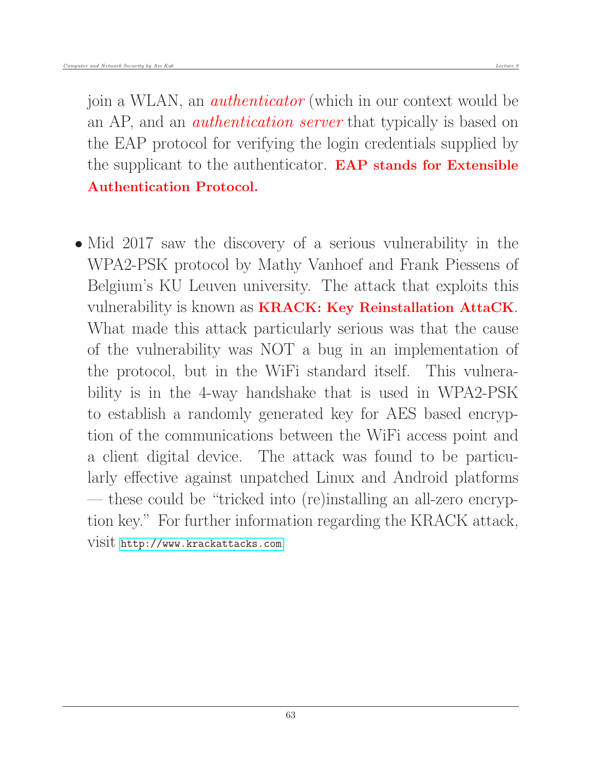join a WLAN, an *authenticator* (which in our context would be an AP, and an *authentication server* that typically is based on the EAP protocol for verifying the login credentials supplied by the supplicant to the authenticator. EAP stands for Extensible Authentication Protocol.

• Mid 2017 saw the discovery of a serious vulnerability in the WPA2-PSK protocol by Mathy Vanhoef and Frank Piessens of Belgium's KU Leuven university. The attack that exploits this vulnerability is known as KRACK: Key Reinstallation AttaCK. What made this attack particularly serious was that the cause of the vulnerability was NOT a bug in an implementation of the protocol, but in the WiFi standard itself. This vulnerability is in the 4-way handshake that is used in WPA2-PSK to establish a randomly generated key for AES based encryption of the communications between the WiFi access point and a client digital device. The attack was found to be particularly effective against unpatched Linux and Android platforms — these could be "tricked into (re)installing an all-zero encryption key." For further information regarding the KRACK attack, visit <http://www.krackattacks.com>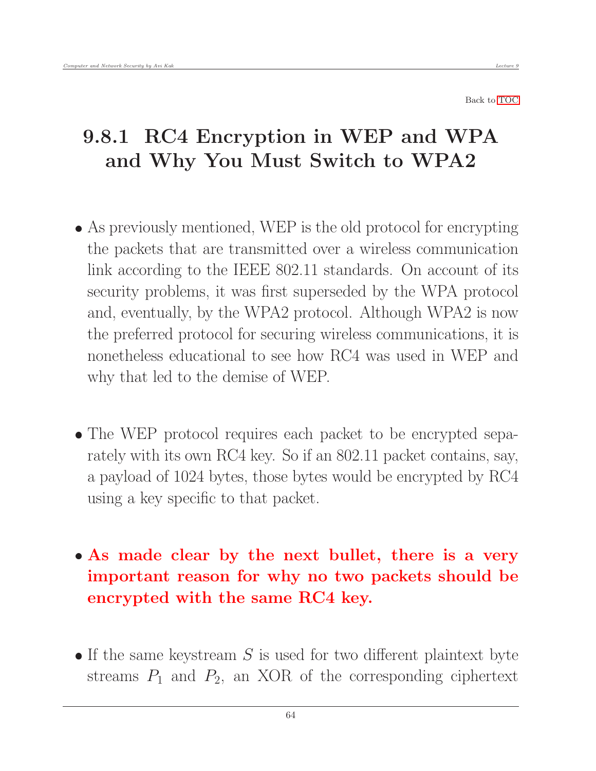# 9.8.1 RC4 Encryption in WEP and WPA and Why You Must Switch to WPA2

- As previously mentioned, WEP is the old protocol for encrypting the packets that are transmitted over a wireless communication link according to the IEEE 802.11 standards. On account of its security problems, it was first superseded by the WPA protocol and, eventually, by the WPA2 protocol. Although WPA2 is now the preferred protocol for securing wireless communications, it is nonetheless educational to see how RC4 was used in WEP and why that led to the demise of WEP.
- The WEP protocol requires each packet to be encrypted separately with its own RC4 key. So if an 802.11 packet contains, say, a payload of 1024 bytes, those bytes would be encrypted by RC4 using a key specific to that packet.
- As made clear by the next bullet, there is a very important reason for why no two packets should be encrypted with the same RC4 key.
- $\bullet$  If the same keystream S is used for two different plaintext byte streams  $P_1$  and  $P_2$ , an XOR of the corresponding ciphertext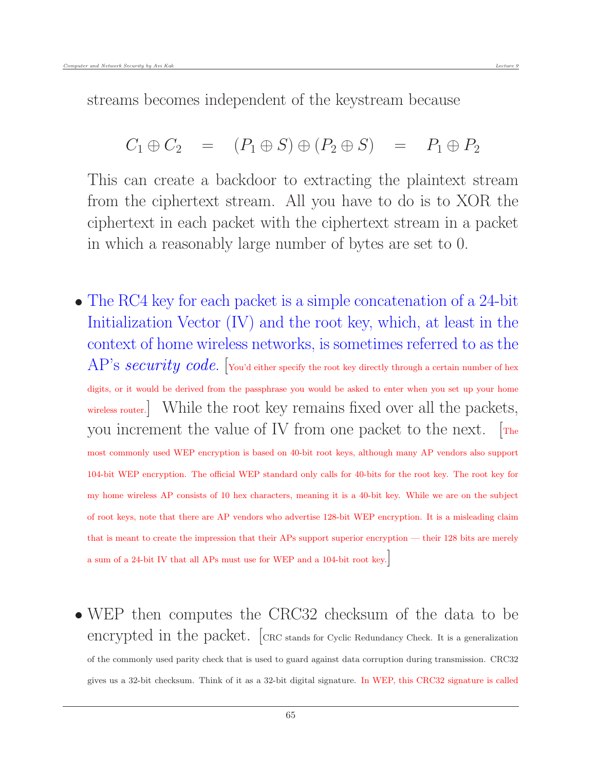streams becomes independent of the keystream because

$$
C_1 \oplus C_2 = (P_1 \oplus S) \oplus (P_2 \oplus S) = P_1 \oplus P_2
$$

This can create a backdoor to extracting the plaintext stream from the ciphertext stream. All you have to do is to XOR the ciphertext in each packet with the ciphertext stream in a packet in which a reasonably large number of bytes are set to 0.

- The RC4 key for each packet is a simple concatenation of a 24-bit Initialization Vector (IV) and the root key, which, at least in the context of home wireless networks, is sometimes referred to as the  $AP$ 'S  $security\ code$ . Tou'd either specify the root key directly through a certain number of hex digits, or it would be derived from the passphrase you would be asked to enter when you set up your home wireless router. While the root key remains fixed over all the packets, you increment the value of IV from one packet to the next.  $r_{\text{The}}$ most commonly used WEP encryption is based on 40-bit root keys, although many AP vendors also support 104-bit WEP encryption. The official WEP standard only calls for 40-bits for the root key. The root key for my home wireless AP consists of 10 hex characters, meaning it is a 40-bit key. While we are on the subject of root keys, note that there are AP vendors who advertise 128-bit WEP encryption. It is a misleading claim that is meant to create the impression that their APs support superior encryption — their 128 bits are merely a sum of a 24-bit IV that all APs must use for WEP and a 104-bit root key.]
- WEP then computes the CRC32 checksum of the data to be encrypted in the packet.  $|{\rm CRC\, stands\, for\, Cyclic\, Redundancy\, Check. It is a generalization$ of the commonly used parity check that is used to guard against data corruption during transmission. CRC32 gives us a 32-bit checksum. Think of it as a 32-bit digital signature. In WEP, this CRC32 signature is called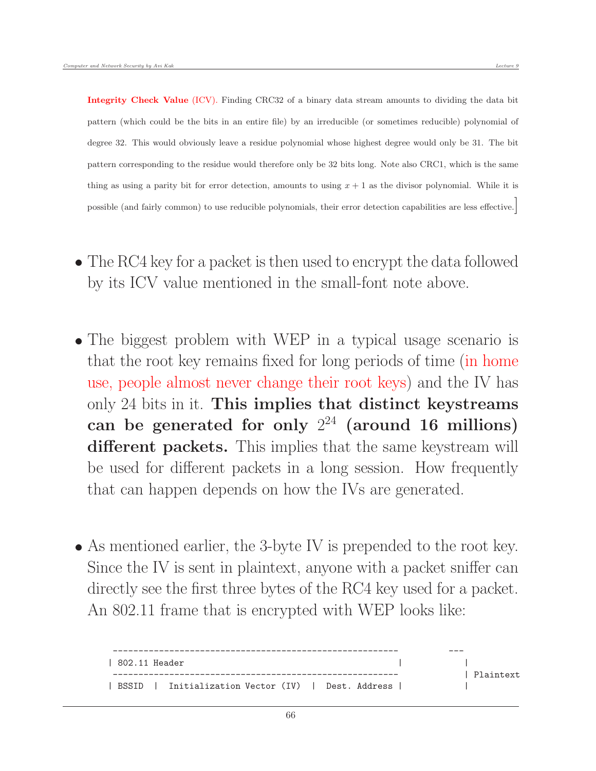Integrity Check Value (ICV). Finding CRC32 of a binary data stream amounts to dividing the data bit pattern (which could be the bits in an entire file) by an irreducible (or sometimes reducible) polynomial of degree 32. This would obviously leave a residue polynomial whose highest degree would only be 31. The bit pattern corresponding to the residue would therefore only be 32 bits long. Note also CRC1, which is the same thing as using a parity bit for error detection, amounts to using  $x + 1$  as the divisor polynomial. While it is possible (and fairly common) to use reducible polynomials, their error detection capabilities are less effective.]

- The RC4 key for a packet is then used to encrypt the data followed by its ICV value mentioned in the small-font note above.
- The biggest problem with WEP in a typical usage scenario is that the root key remains fixed for long periods of time (in home use, people almost never change their root keys) and the IV has only 24 bits in it. This implies that distinct keystreams can be generated for only  $2^{24}$  (around 16 millions) different packets. This implies that the same keystream will be used for different packets in a long session. How frequently that can happen depends on how the IVs are generated.
- As mentioned earlier, the 3-byte IV is prepended to the root key. Since the IV is sent in plaintext, anyone with a packet sniffer can directly see the first three bytes of the RC4 key used for a packet. An 802.11 frame that is encrypted with WEP looks like:

| 802.11 Header |                                                    |  |  |  |           |
|---------------|----------------------------------------------------|--|--|--|-----------|
|               |                                                    |  |  |  | Plaintext |
|               | BSSID   Initialization Vector (IV)   Dest. Address |  |  |  |           |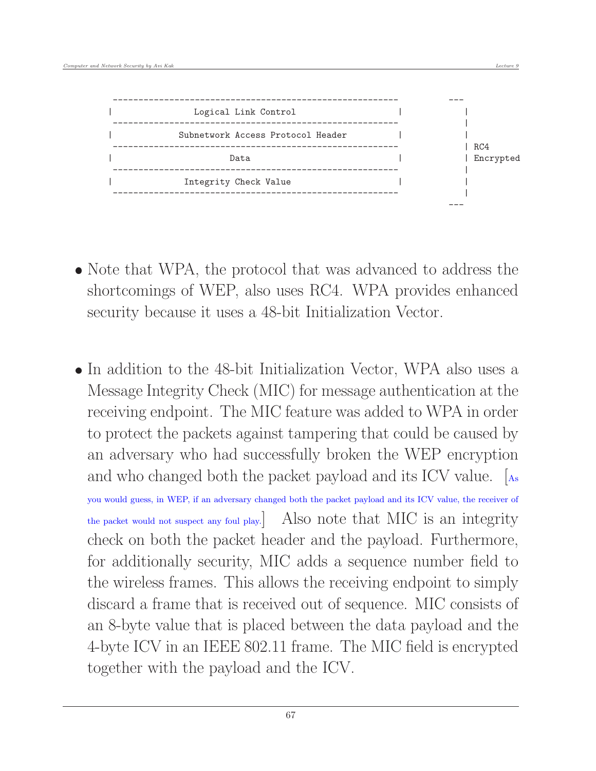

- Note that WPA, the protocol that was advanced to address the shortcomings of WEP, also uses RC4. WPA provides enhanced security because it uses a 48-bit Initialization Vector.
- In addition to the 48-bit Initialization Vector, WPA also uses a Message Integrity Check (MIC) for message authentication at the receiving endpoint. The MIC feature was added to WPA in order to protect the packets against tampering that could be caused by an adversary who had successfully broken the WEP encryption and who changed both the packet payload and its ICV value. [As

you would guess, in WEP, if an adversary changed both the packet payload and its ICV value, the receiver of the packet would not suspect any foul play.] Also note that MIC is an integrity check on both the packet header and the payload. Furthermore, for additionally security, MIC adds a sequence number field to the wireless frames. This allows the receiving endpoint to simply discard a frame that is received out of sequence. MIC consists of an 8-byte value that is placed between the data payload and the 4-byte ICV in an IEEE 802.11 frame. The MIC field is encrypted together with the payload and the ICV.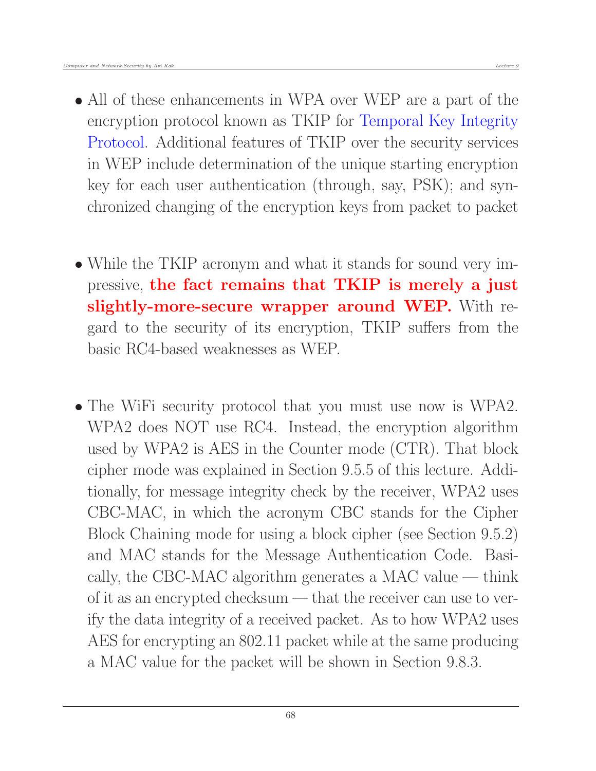- All of these enhancements in WPA over WEP are a part of the encryption protocol known as TKIP for Temporal Key Integrity Protocol. Additional features of TKIP over the security services in WEP include determination of the unique starting encryption key for each user authentication (through, say, PSK); and synchronized changing of the encryption keys from packet to packet
- While the TKIP acronym and what it stands for sound very impressive, the fact remains that TKIP is merely a just slightly-more-secure wrapper around WEP. With regard to the security of its encryption, TKIP suffers from the basic RC4-based weaknesses as WEP.
- The WiFi security protocol that you must use now is WPA2. WPA2 does NOT use RC4. Instead, the encryption algorithm used by WPA2 is AES in the Counter mode (CTR). That block cipher mode was explained in Section 9.5.5 of this lecture. Additionally, for message integrity check by the receiver, WPA2 uses CBC-MAC, in which the acronym CBC stands for the Cipher Block Chaining mode for using a block cipher (see Section 9.5.2) and MAC stands for the Message Authentication Code. Basically, the CBC-MAC algorithm generates a MAC value — think of it as an encrypted checksum — that the receiver can use to verify the data integrity of a received packet. As to how WPA2 uses AES for encrypting an 802.11 packet while at the same producing a MAC value for the packet will be shown in Section 9.8.3.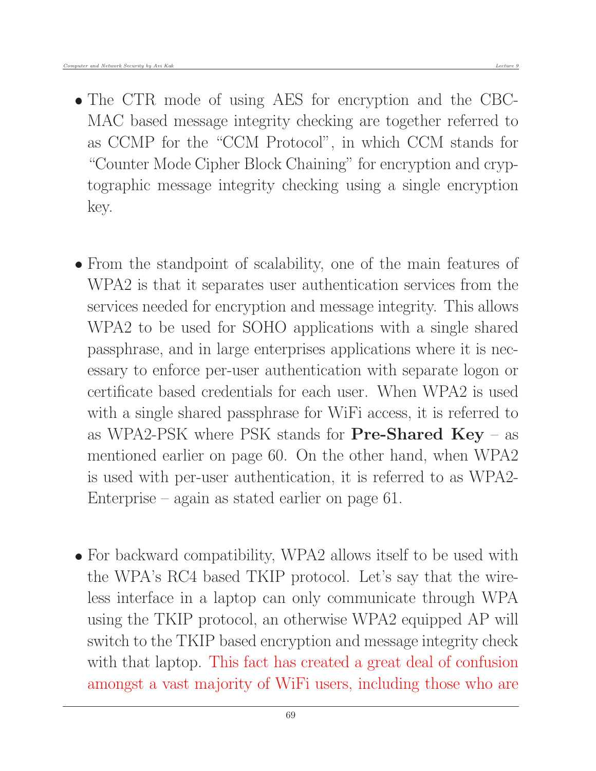- The CTR mode of using AES for encryption and the CBC-MAC based message integrity checking are together referred to as CCMP for the "CCM Protocol", in which CCM stands for "Counter Mode Cipher Block Chaining" for encryption and cryptographic message integrity checking using a single encryption key.
- From the standpoint of scalability, one of the main features of WPA2 is that it separates user authentication services from the services needed for encryption and message integrity. This allows WPA2 to be used for SOHO applications with a single shared passphrase, and in large enterprises applications where it is necessary to enforce per-user authentication with separate logon or certificate based credentials for each user. When WPA2 is used with a single shared passphrase for WiFi access, it is referred to as WPA2-PSK where PSK stands for  $Pre-Shared Key - as$ mentioned earlier on page 60. On the other hand, when WPA2 is used with per-user authentication, it is referred to as WPA2- Enterprise – again as stated earlier on page 61.
- For backward compatibility, WPA2 allows itself to be used with the WPA's RC4 based TKIP protocol. Let's say that the wireless interface in a laptop can only communicate through WPA using the TKIP protocol, an otherwise WPA2 equipped AP will switch to the TKIP based encryption and message integrity check with that laptop. This fact has created a great deal of confusion amongst a vast majority of WiFi users, including those who are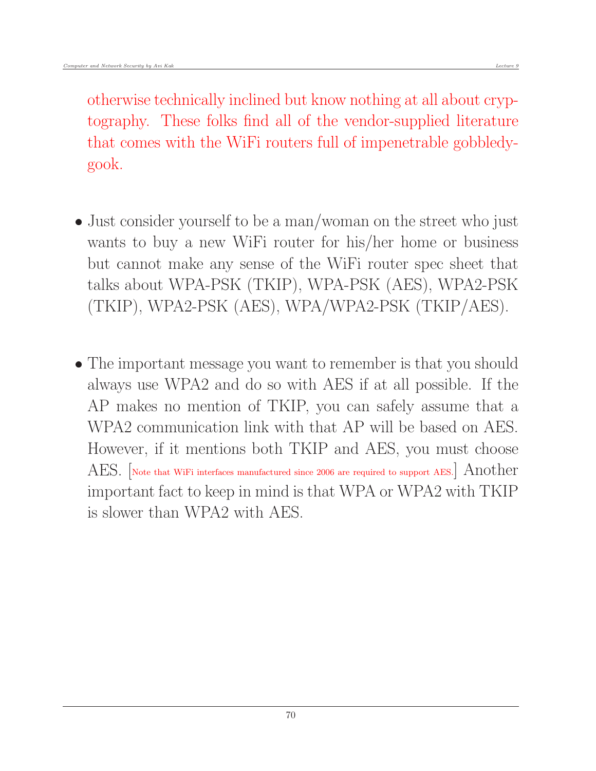otherwise technically inclined but know nothing at all about cryptography. These folks find all of the vendor-supplied literature that comes with the WiFi routers full of impenetrable gobbledygook.

- Just consider yourself to be a man/woman on the street who just wants to buy a new WiFi router for his/her home or business but cannot make any sense of the WiFi router spec sheet that talks about WPA-PSK (TKIP), WPA-PSK (AES), WPA2-PSK (TKIP), WPA2-PSK (AES), WPA/WPA2-PSK (TKIP/AES).
- The important message you want to remember is that you should always use WPA2 and do so with AES if at all possible. If the AP makes no mention of TKIP, you can safely assume that a WPA2 communication link with that AP will be based on AES. However, if it mentions both TKIP and AES, you must choose AES. [Note that WiFi interfaces manufactured since 2006 are required to support AES.] Another important fact to keep in mind is that WPA or WPA2 with TKIP is slower than WPA2 with AES.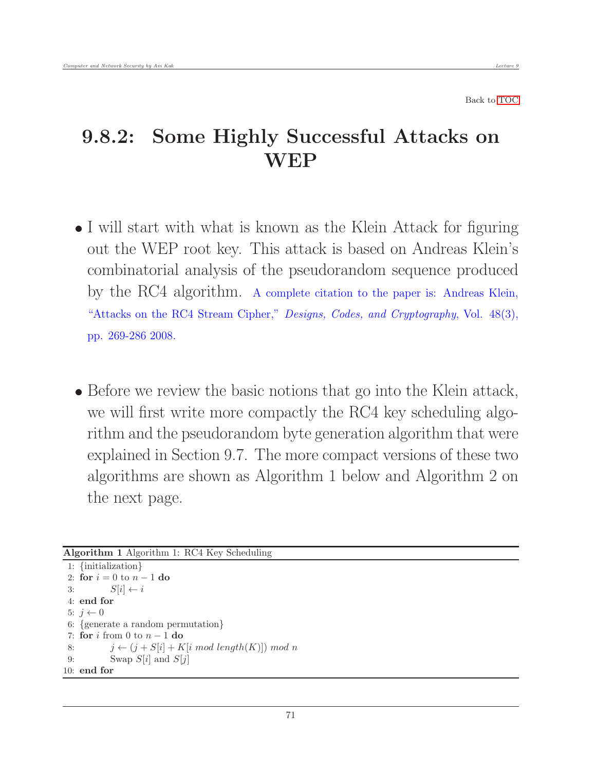#### 9.8.2: Some Highly Successful Attacks on **WEP**

- I will start with what is known as the Klein Attack for figuring out the WEP root key. This attack is based on Andreas Klein's combinatorial analysis of the pseudorandom sequence produced by the RC4 algorithm. A complete citation to the paper is: Andreas Klein, "Attacks on the RC4 Stream Cipher," Designs, Codes, and Cryptography, Vol. 48(3), pp. 269-286 2008.
- Before we review the basic notions that go into the Klein attack, we will first write more compactly the RC4 key scheduling algorithm and the pseudorandom byte generation algorithm that were explained in Section 9.7. The more compact versions of these two algorithms are shown as Algorithm 1 below and Algorithm 2 on the next page.

```
Algorithm 1 Algorithm 1: RC4 Key Scheduling
```

```
1: {initialization}
2: for i = 0 to n - 1 do
3: S[i] \leftarrow i4: end for
5: j \leftarrow 06: {generate a random permutation}
7: for i from 0 to n-1 do
8: j \leftarrow (j + S[i] + K[i \mod length(K)]) \mod n9: Swap S[i] and S[j]10: end for
```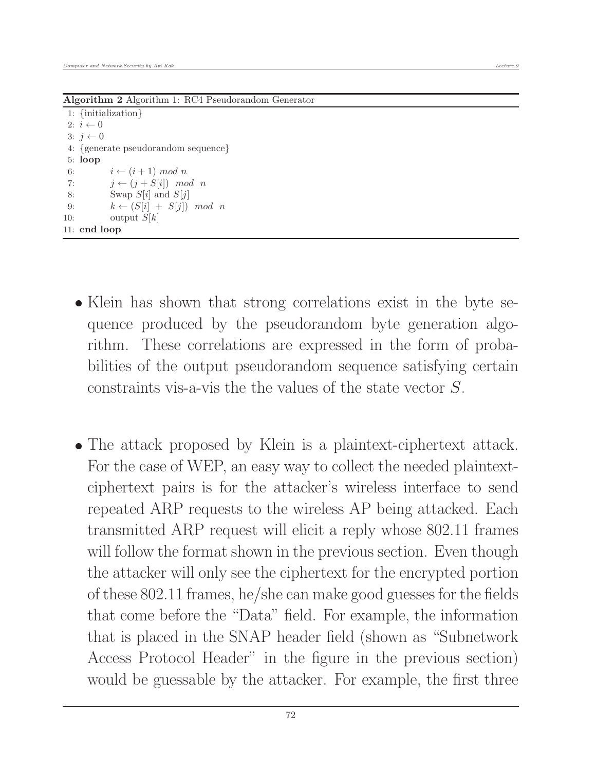Algorithm 2 Algorithm 1: RC4 Pseudorandom Generator

1: {initialization} 2:  $i \leftarrow 0$  $3: j \leftarrow 0$ 4: {generate pseudorandom sequence} 5: loop 6:  $i \leftarrow (i+1) \mod n$ 7:  $j \leftarrow (j + S[i]) \mod n$ 8: Swap  $S[i]$  and  $S[j]$ 9:  $k \leftarrow (S[i] + S[j]) \mod n$ 10: output  $S[k]$ 11: end loop

- Klein has shown that strong correlations exist in the byte sequence produced by the pseudorandom byte generation algorithm. These correlations are expressed in the form of probabilities of the output pseudorandom sequence satisfying certain constraints vis-a-vis the the values of the state vector S.
- The attack proposed by Klein is a plaintext-ciphertext attack. For the case of WEP, an easy way to collect the needed plaintextciphertext pairs is for the attacker's wireless interface to send repeated ARP requests to the wireless AP being attacked. Each transmitted ARP request will elicit a reply whose 802.11 frames will follow the format shown in the previous section. Even though the attacker will only see the ciphertext for the encrypted portion of these 802.11 frames, he/she can make good guesses for the fields that come before the "Data" field. For example, the information that is placed in the SNAP header field (shown as "Subnetwork Access Protocol Header" in the figure in the previous section) would be guessable by the attacker. For example, the first three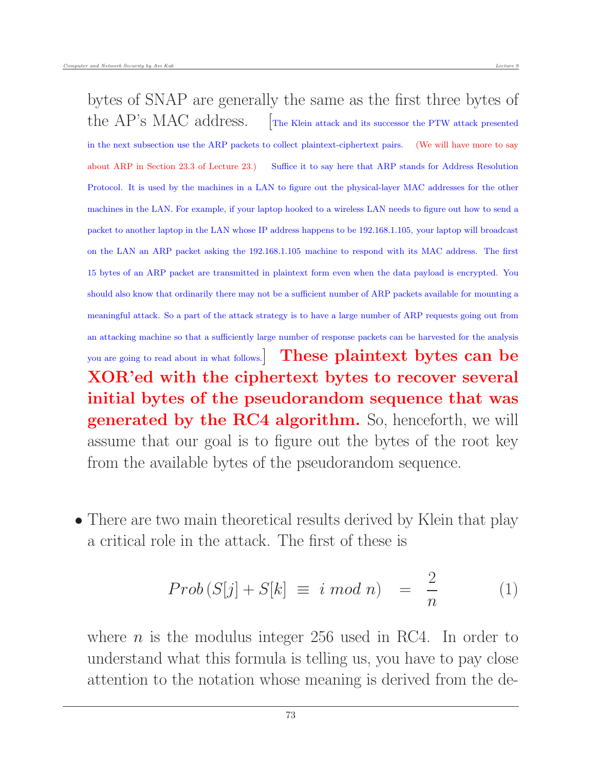bytes of SNAP are generally the same as the first three bytes of the  $AP$ 's MAC address.  $\Box$  The Klein attack and its successor the PTW attack presented in the next subsection use the ARP packets to collect plaintext-ciphertext pairs. (We will have more to say about ARP in Section 23.3 of Lecture 23.) Suffice it to say here that ARP stands for Address Resolution Protocol. It is used by the machines in a LAN to figure out the physical-layer MAC addresses for the other machines in the LAN. For example, if your laptop hooked to a wireless LAN needs to figure out how to send a packet to another laptop in the LAN whose IP address happens to be 192.168.1.105, your laptop will broadcast on the LAN an ARP packet asking the 192.168.1.105 machine to respond with its MAC address. The first 15 bytes of an ARP packet are transmitted in plaintext form even when the data payload is encrypted. You should also know that ordinarily there may not be a sufficient number of ARP packets available for mounting a meaningful attack. So a part of the attack strategy is to have a large number of ARP requests going out from an attacking machine so that a sufficiently large number of response packets can be harvested for the analysis you are going to read about in what follows. These plaintext bytes can be XOR'ed with the ciphertext bytes to recover several initial bytes of the pseudorandom sequence that was generated by the RC4 algorithm. So, henceforth, we will assume that our goal is to figure out the bytes of the root key from the available bytes of the pseudorandom sequence.

• There are two main theoretical results derived by Klein that play a critical role in the attack. The first of these is

$$
Prob(S[j] + S[k] \equiv i \mod n) = \frac{2}{n} \tag{1}
$$

where  $n$  is the modulus integer 256 used in RC4. In order to understand what this formula is telling us, you have to pay close attention to the notation whose meaning is derived from the de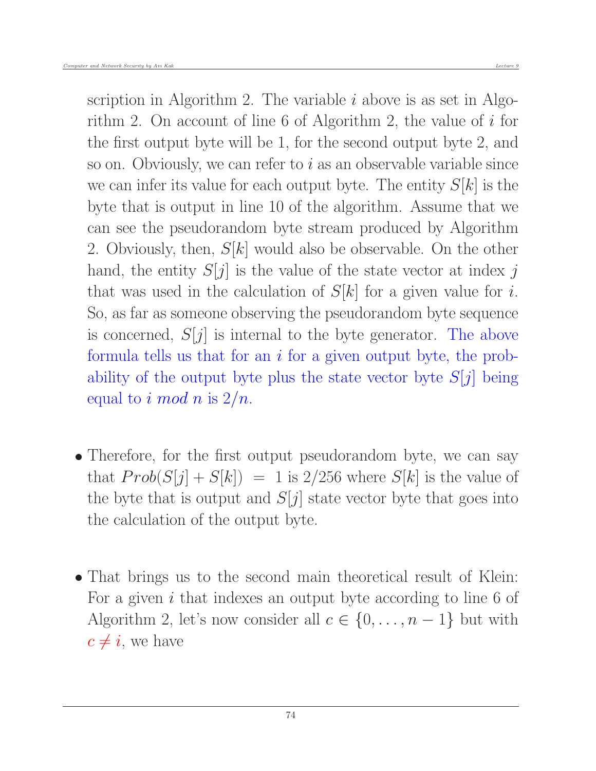scription in Algorithm 2. The variable  $i$  above is as set in Algorithm 2. On account of line 6 of Algorithm 2, the value of i for the first output byte will be 1, for the second output byte 2, and so on. Obviously, we can refer to  $i$  as an observable variable since we can infer its value for each output byte. The entity  $S[k]$  is the byte that is output in line 10 of the algorithm. Assume that we can see the pseudorandom byte stream produced by Algorithm 2. Obviously, then,  $S[k]$  would also be observable. On the other hand, the entity  $S[j]$  is the value of the state vector at index j that was used in the calculation of  $S[k]$  for a given value for i. So, as far as someone observing the pseudorandom byte sequence is concerned,  $S[j]$  is internal to the byte generator. The above formula tells us that for an  $i$  for a given output byte, the probability of the output byte plus the state vector byte  $S[j]$  being equal to i mod n is  $2/n$ .

- Therefore, for the first output pseudorandom byte, we can say that  $Prob(S[j] + S[k]) = 1$  is 2/256 where  $S[k]$  is the value of the byte that is output and  $S[j]$  state vector byte that goes into the calculation of the output byte.
- That brings us to the second main theoretical result of Klein: For a given i that indexes an output byte according to line 6 of Algorithm 2, let's now consider all  $c \in \{0, \ldots, n-1\}$  but with  $c \neq i$ , we have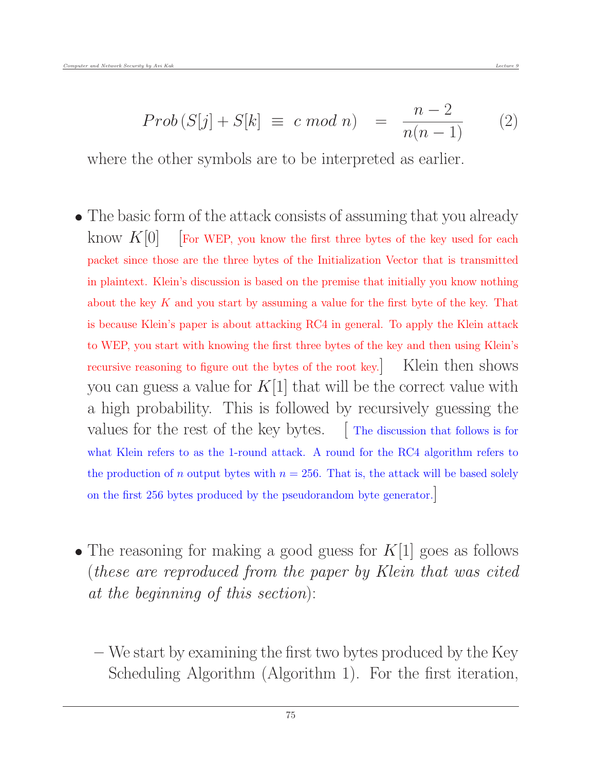$$
Prob (S[j] + S[k] \equiv c \; mod \; n) = \frac{n-2}{n(n-1)} \qquad (2)
$$

where the other symbols are to be interpreted as earlier.

- The basic form of the attack consists of assuming that you already know  $K[0]$  [For WEP, you know the first three bytes of the key used for each packet since those are the three bytes of the Initialization Vector that is transmitted in plaintext. Klein's discussion is based on the premise that initially you know nothing about the key K and you start by assuming a value for the first byte of the key. That is because Klein's paper is about attacking RC4 in general. To apply the Klein attack to WEP, you start with knowing the first three bytes of the key and then using Klein's recursive reasoning to figure out the bytes of the root key.] Klein then shows you can guess a value for  $K[1]$  that will be the correct value with a high probability. This is followed by recursively guessing the values for the rest of the key bytes. [The discussion that follows is for what Klein refers to as the 1-round attack. A round for the RC4 algorithm refers to the production of n output bytes with  $n = 256$ . That is, the attack will be based solely on the first 256 bytes produced by the pseudorandom byte generator.]
- The reasoning for making a good guess for  $K[1]$  goes as follows (these are reproduced from the paper by Klein that was cited at the beginning of this section):
	- We start by examining the first two bytes produced by the Key Scheduling Algorithm (Algorithm 1). For the first iteration,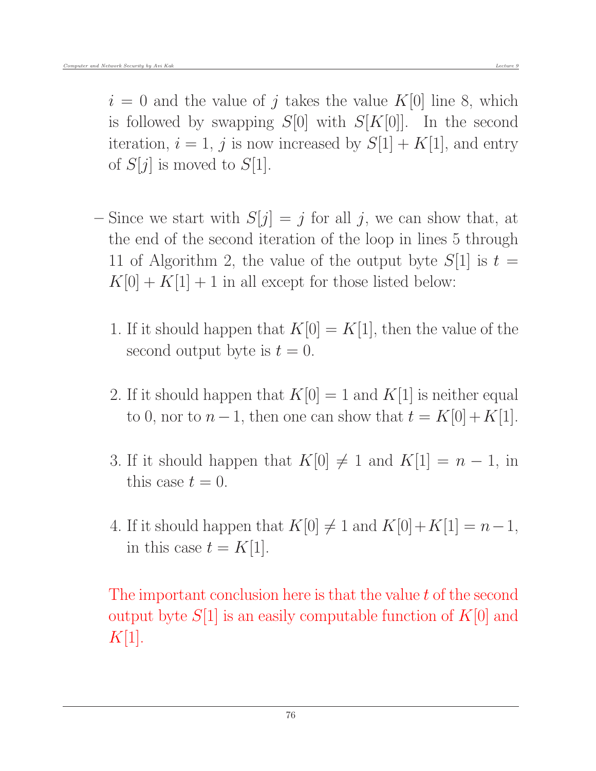$i = 0$  and the value of j takes the value K[0] line 8, which is followed by swapping  $S[0]$  with  $S[K[0]]$ . In the second iteration,  $i = 1$ , j is now increased by  $S[1] + K[1]$ , and entry of  $S[j]$  is moved to  $S[1]$ .

- Since we start with  $S[j] = j$  for all j, we can show that, at the end of the second iteration of the loop in lines 5 through 11 of Algorithm 2, the value of the output byte  $S[1]$  is  $t =$  $K[0] + K[1] + 1$  in all except for those listed below:
	- 1. If it should happen that  $K[0] = K[1]$ , then the value of the second output byte is  $t = 0$ .
	- 2. If it should happen that  $K[0] = 1$  and  $K[1]$  is neither equal to 0, nor to  $n-1$ , then one can show that  $t = K[0] + K[1]$ .
	- 3. If it should happen that  $K[0] \neq 1$  and  $K[1] = n 1$ , in this case  $t = 0$ .
	- 4. If it should happen that  $K[0] \neq 1$  and  $K[0]+K[1] = n-1$ , in this case  $t = K[1]$ .

The important conclusion here is that the value t of the second output byte  $S[1]$  is an easily computable function of  $K[0]$  and  $K[1]$ .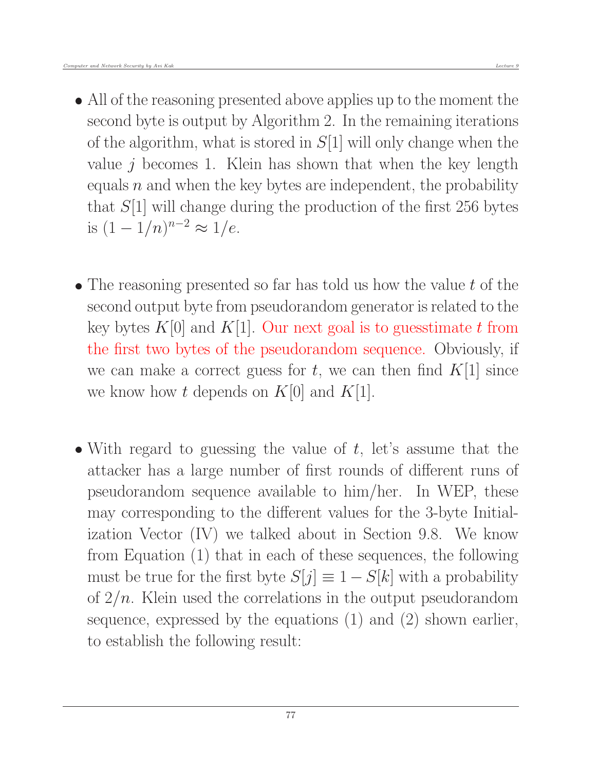- All of the reasoning presented above applies up to the moment the second byte is output by Algorithm 2. In the remaining iterations of the algorithm, what is stored in  $S[1]$  will only change when the value  $j$  becomes 1. Klein has shown that when the key length equals  $n$  and when the key bytes are independent, the probability that  $S[1]$  will change during the production of the first 256 bytes is  $(1 - 1/n)^{n-2} \approx 1/e$ .
- $\bullet$  The reasoning presented so far has told us how the value t of the second output byte from pseudorandom generator is related to the key bytes  $K[0]$  and  $K[1]$ . Our next goal is to guesstimate t from the first two bytes of the pseudorandom sequence. Obviously, if we can make a correct guess for t, we can then find  $K[1]$  since we know how t depends on  $K[0]$  and  $K[1]$ .
- With regard to guessing the value of  $t$ , let's assume that the attacker has a large number of first rounds of different runs of pseudorandom sequence available to him/her. In WEP, these may corresponding to the different values for the 3-byte Initialization Vector (IV) we talked about in Section 9.8. We know from Equation (1) that in each of these sequences, the following must be true for the first byte  $S[j] \equiv 1 - S[k]$  with a probability of  $2/n$ . Klein used the correlations in the output pseudorandom sequence, expressed by the equations (1) and (2) shown earlier, to establish the following result: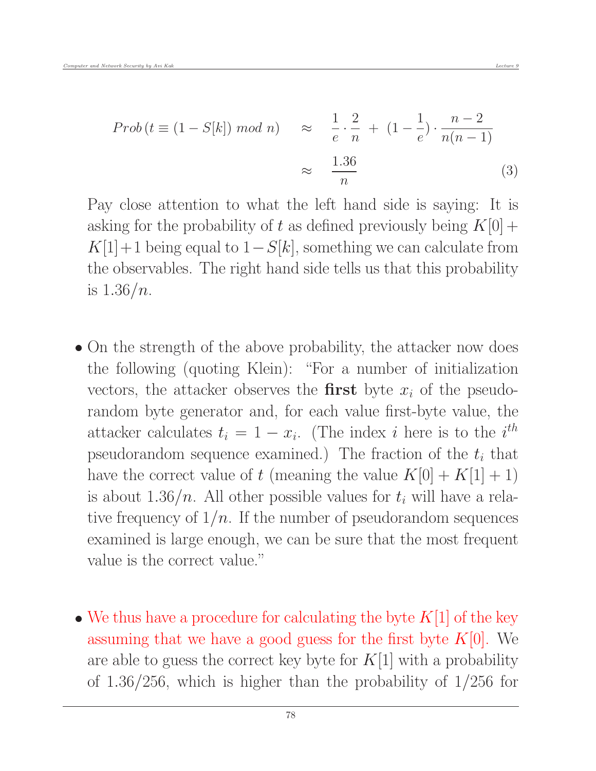$$
Prob(t \equiv (1 - S[k]) \mod n) \approx \frac{1}{e} \cdot \frac{2}{n} + (1 - \frac{1}{e}) \cdot \frac{n - 2}{n(n - 1)}
$$

$$
\approx \frac{1.36}{n}
$$
(3)

Pay close attention to what the left hand side is saying: It is asking for the probability of t as defined previously being  $K[0]$  +  $K[1]+1$  being equal to  $1-S[k]$ , something we can calculate from the observables. The right hand side tells us that this probability is  $1.36/n$ .

- On the strength of the above probability, the attacker now does the following (quoting Klein): "For a number of initialization vectors, the attacker observes the **first** byte  $x_i$  of the pseudorandom byte generator and, for each value first-byte value, the attacker calculates  $t_i = 1 - x_i$ . (The index i here is to the i<sup>th</sup> pseudorandom sequence examined.) The fraction of the  $t_i$  that have the correct value of t (meaning the value  $K[0] + K[1] + 1$ ) is about 1.36/n. All other possible values for  $t_i$  will have a relative frequency of  $1/n$ . If the number of pseudorandom sequences examined is large enough, we can be sure that the most frequent value is the correct value."
- We thus have a procedure for calculating the byte  $K[1]$  of the key assuming that we have a good guess for the first byte  $K[0]$ . We are able to guess the correct key byte for  $K[1]$  with a probability of 1.36/256, which is higher than the probability of 1/256 for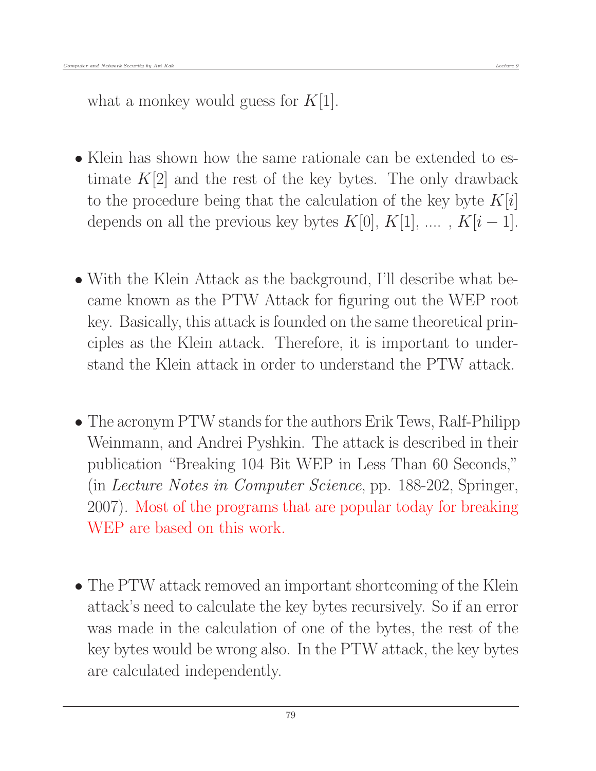what a monkey would guess for  $K[1]$ .

- Klein has shown how the same rationale can be extended to estimate  $K[2]$  and the rest of the key bytes. The only drawback to the procedure being that the calculation of the key byte  $K[i]$ depends on all the previous key bytes  $K[0], K[1], \ldots, K[i-1]$ .
- With the Klein Attack as the background, I'll describe what became known as the PTW Attack for figuring out the WEP root key. Basically, this attack is founded on the same theoretical principles as the Klein attack. Therefore, it is important to understand the Klein attack in order to understand the PTW attack.
- The acronym PTW stands for the authors Erik Tews, Ralf-Philipp Weinmann, and Andrei Pyshkin. The attack is described in their publication "Breaking 104 Bit WEP in Less Than 60 Seconds," (in Lecture Notes in Computer Science, pp. 188-202, Springer, 2007). Most of the programs that are popular today for breaking WEP are based on this work.
- The PTW attack removed an important shortcoming of the Klein attack's need to calculate the key bytes recursively. So if an error was made in the calculation of one of the bytes, the rest of the key bytes would be wrong also. In the PTW attack, the key bytes are calculated independently.

79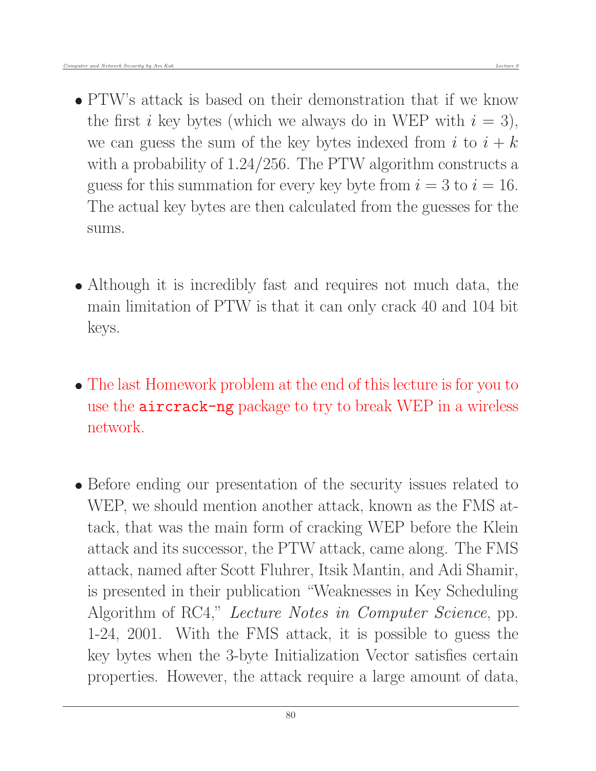- PTW's attack is based on their demonstration that if we know the first i key bytes (which we always do in WEP with  $i = 3$ ), we can guess the sum of the key bytes indexed from i to  $i + k$ with a probability of 1.24/256. The PTW algorithm constructs a guess for this summation for every key byte from  $i = 3$  to  $i = 16$ . The actual key bytes are then calculated from the guesses for the sums.
- Although it is incredibly fast and requires not much data, the main limitation of PTW is that it can only crack 40 and 104 bit keys.
- The last Homework problem at the end of this lecture is for you to use the aircrack-ng package to try to break WEP in a wireless network.
- Before ending our presentation of the security issues related to WEP, we should mention another attack, known as the FMS attack, that was the main form of cracking WEP before the Klein attack and its successor, the PTW attack, came along. The FMS attack, named after Scott Fluhrer, Itsik Mantin, and Adi Shamir, is presented in their publication "Weaknesses in Key Scheduling Algorithm of RC4," Lecture Notes in Computer Science, pp. 1-24, 2001. With the FMS attack, it is possible to guess the key bytes when the 3-byte Initialization Vector satisfies certain properties. However, the attack require a large amount of data,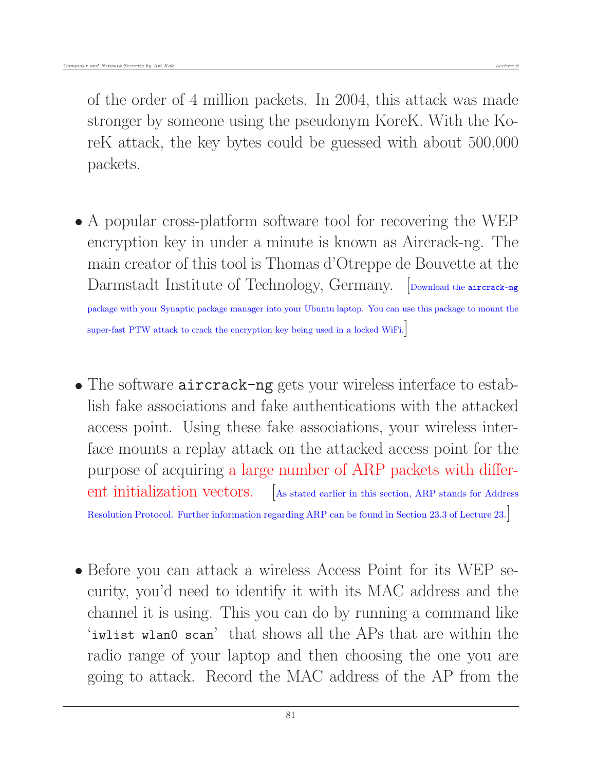of the order of 4 million packets. In 2004, this attack was made stronger by someone using the pseudonym KoreK. With the KoreK attack, the key bytes could be guessed with about 500,000 packets.

 A popular cross-platform software tool for recovering the WEP encryption key in under a minute is known as Aircrack-ng. The main creator of this tool is Thomas d'Otreppe de Bouvette at the Darmstadt Institute of Technology, Germany. [Download the aircrack-ng]

package with your Synaptic package manager into your Ubuntu laptop. You can use this package to mount the super-fast PTW attack to crack the encryption key being used in a locked WiFi.]

- The software **aircrack-ng** gets your wireless interface to establish fake associations and fake authentications with the attacked access point. Using these fake associations, your wireless interface mounts a replay attack on the attacked access point for the purpose of acquiring a large number of ARP packets with different initialization vectors. [As stated earlier in this section, ARP stands for Address] Resolution Protocol. Further information regarding ARP can be found in Section 23.3 of Lecture 23.]
- Before you can attack a wireless Access Point for its WEP security, you'd need to identify it with its MAC address and the channel it is using. This you can do by running a command like 'iwlist wlan0 scan' that shows all the APs that are within the radio range of your laptop and then choosing the one you are going to attack. Record the MAC address of the AP from the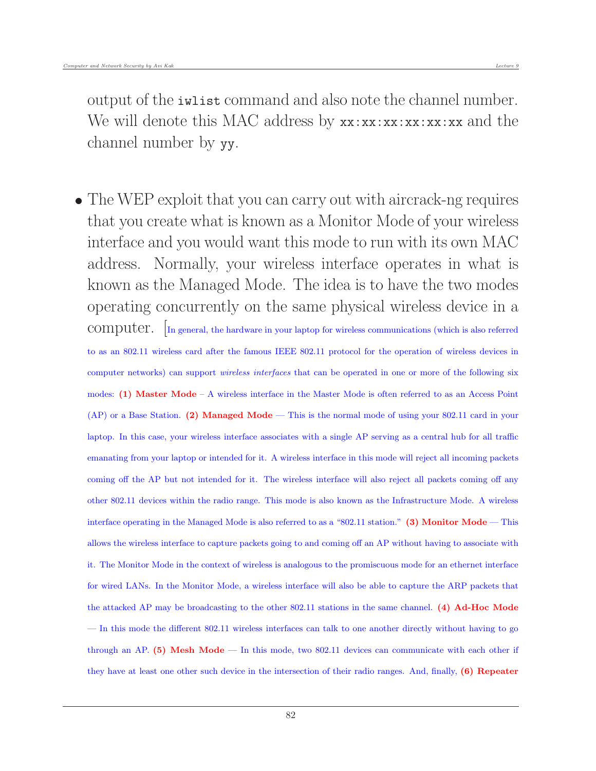output of the iwlist command and also note the channel number. We will denote this MAC address by  $xx:xx:xx:xx:xx:ax$  and the channel number by yy.

 The WEP exploit that you can carry out with aircrack-ng requires that you create what is known as a Monitor Mode of your wireless interface and you would want this mode to run with its own MAC address. Normally, your wireless interface operates in what is known as the Managed Mode. The idea is to have the two modes operating concurrently on the same physical wireless device in a computer. [In general, the hardware in your laptop for wireless communications (which is also referred to as an 802.11 wireless card after the famous IEEE 802.11 protocol for the operation of wireless devices in computer networks) can support *wireless interfaces* that can be operated in one or more of the following six modes: (1) Master Mode – A wireless interface in the Master Mode is often referred to as an Access Point  $(AP)$  or a Base Station. (2) Managed Mode — This is the normal mode of using your 802.11 card in your laptop. In this case, your wireless interface associates with a single AP serving as a central hub for all traffic emanating from your laptop or intended for it. A wireless interface in this mode will reject all incoming packets coming off the AP but not intended for it. The wireless interface will also reject all packets coming off any other 802.11 devices within the radio range. This mode is also known as the Infrastructure Mode. A wireless interface operating in the Managed Mode is also referred to as a "802.11 station." (3) Monitor Mode — This allows the wireless interface to capture packets going to and coming off an AP without having to associate with it. The Monitor Mode in the context of wireless is analogous to the promiscuous mode for an ethernet interface for wired LANs. In the Monitor Mode, a wireless interface will also be able to capture the ARP packets that the attacked AP may be broadcasting to the other 802.11 stations in the same channel. (4) Ad-Hoc Mode — In this mode the different 802.11 wireless interfaces can talk to one another directly without having to go through an AP. (5) Mesh Mode — In this mode, two 802.11 devices can communicate with each other if they have at least one other such device in the intersection of their radio ranges. And, finally, (6) Repeater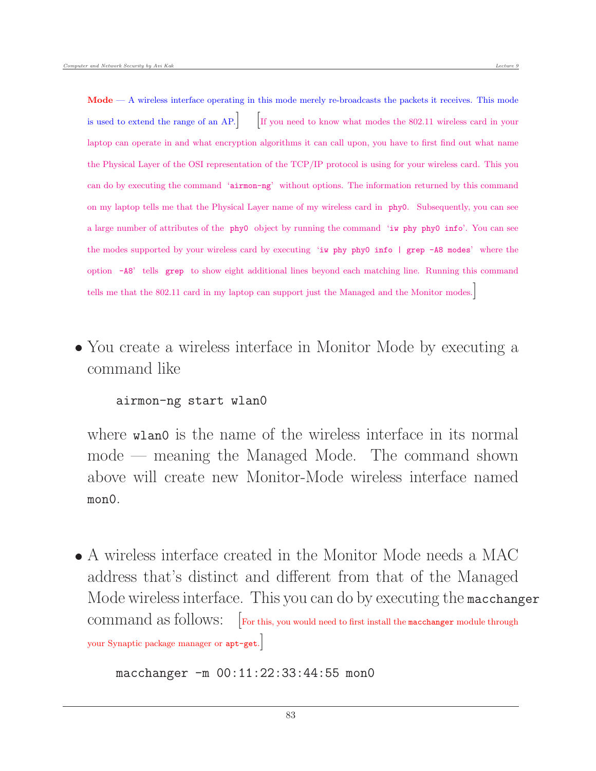Mode — A wireless interface operating in this mode merely re-broadcasts the packets it receives. This mode is used to extend the range of an AP. If you need to know what modes the 802.11 wireless card in your laptop can operate in and what encryption algorithms it can call upon, you have to first find out what name the Physical Layer of the OSI representation of the TCP/IP protocol is using for your wireless card. This you can do by executing the command 'airmon-ng' without options. The information returned by this command on my laptop tells me that the Physical Layer name of my wireless card in phy0. Subsequently, you can see a large number of attributes of the phy0 object by running the command 'iw phy phy0 info'. You can see the modes supported by your wireless card by executing 'iw phy phy0 info | grep -A8 modes' where the option -A8' tells grep to show eight additional lines beyond each matching line. Running this command tells me that the 802.11 card in my laptop can support just the Managed and the Monitor modes.]

• You create a wireless interface in Monitor Mode by executing a command like

## airmon-ng start wlan0

where wlan0 is the name of the wireless interface in its normal mode — meaning the Managed Mode. The command shown above will create new Monitor-Mode wireless interface named mon0.

 A wireless interface created in the Monitor Mode needs a MAC address that's distinct and different from that of the Managed Mode wireless interface. This you can do by executing the macchanger command as follows:  $\boxed{\phantom{a}}$  For this, you would need to first install the macchanger module through your Synaptic package manager or apt-get.]

macchanger -m 00:11:22:33:44:55 mon0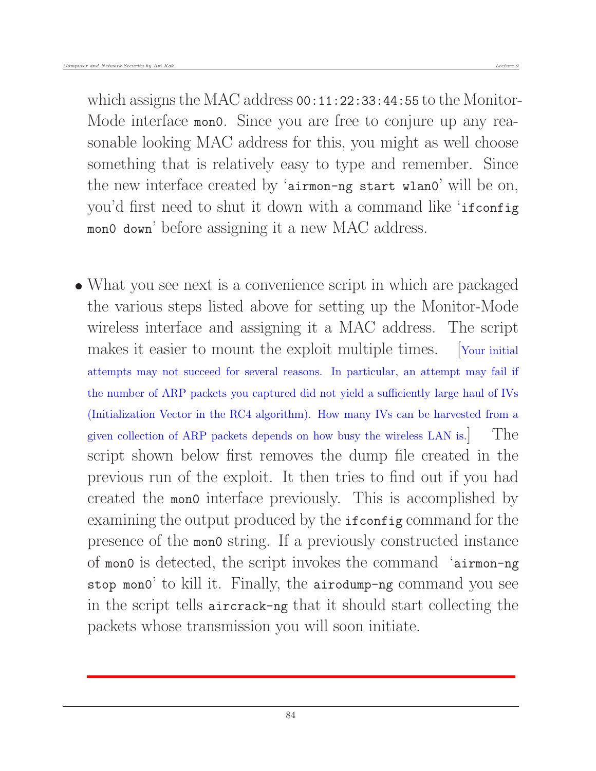which assigns the MAC address 00:11:22:33:44:55 to the Monitor-Mode interface mono. Since you are free to conjure up any reasonable looking MAC address for this, you might as well choose something that is relatively easy to type and remember. Since the new interface created by 'airmon-ng start wlan0' will be on, you'd first need to shut it down with a command like 'ifconfig mon0 down' before assigning it a new MAC address.

 What you see next is a convenience script in which are packaged the various steps listed above for setting up the Monitor-Mode wireless interface and assigning it a MAC address. The script makes it easier to mount the exploit multiple times. [Your initial] attempts may not succeed for several reasons. In particular, an attempt may fail if the number of ARP packets you captured did not yield a sufficiently large haul of IVs (Initialization Vector in the RC4 algorithm). How many IVs can be harvested from a given collection of ARP packets depends on how busy the wireless LAN is. The script shown below first removes the dump file created in the previous run of the exploit. It then tries to find out if you had created the mon0 interface previously. This is accomplished by examining the output produced by the ifconfig command for the presence of the mon0 string. If a previously constructed instance of mon0 is detected, the script invokes the command 'airmon-ng stop mon0' to kill it. Finally, the airodump-ng command you see in the script tells aircrack-ng that it should start collecting the packets whose transmission you will soon initiate.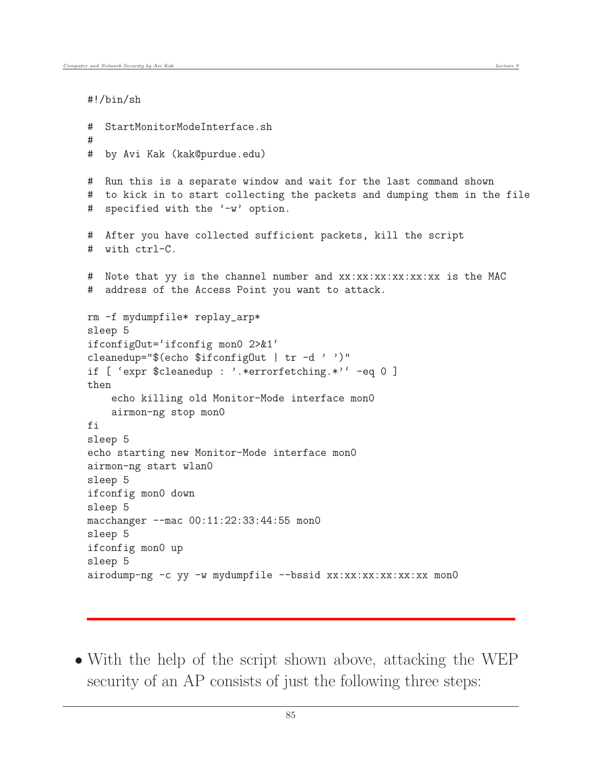#!/bin/sh

```
# StartMonitorModeInterface.sh
#
# by Avi Kak (kak@purdue.edu)
# Run this is a separate window and wait for the last command shown
# to kick in to start collecting the packets and dumping them in the file
# specified with the '-w' option.
# After you have collected sufficient packets, kill the script
# with ctrl-C.
# Note that yy is the channel number and xx:xx:xx:xx:xx:xx is the MAC
# address of the Access Point you want to attack.
rm -f mydumpfile* replay_arp*
sleep 5
ifconfigOut='ifconfig mon0 2>&1'
cleanedup="$(echo $ifconfigOut | tr -d ' ')"
if [ 'expr $cleanedup : '.*errorfetching.*'' -eq 0 ]
then
    echo killing old Monitor-Mode interface mon0
    airmon-ng stop mon0
fi
sleep 5
echo starting new Monitor-Mode interface mon0
airmon-ng start wlan0
sleep 5
ifconfig mon0 down
sleep 5
macchanger --mac 00:11:22:33:44:55 mon0
sleep 5
ifconfig mon0 up
sleep 5
airodump-ng -c yy -w mydumpfile --bssid xx:xx:xx:xx:xx:xx mon0
```
 With the help of the script shown above, attacking the WEP security of an AP consists of just the following three steps: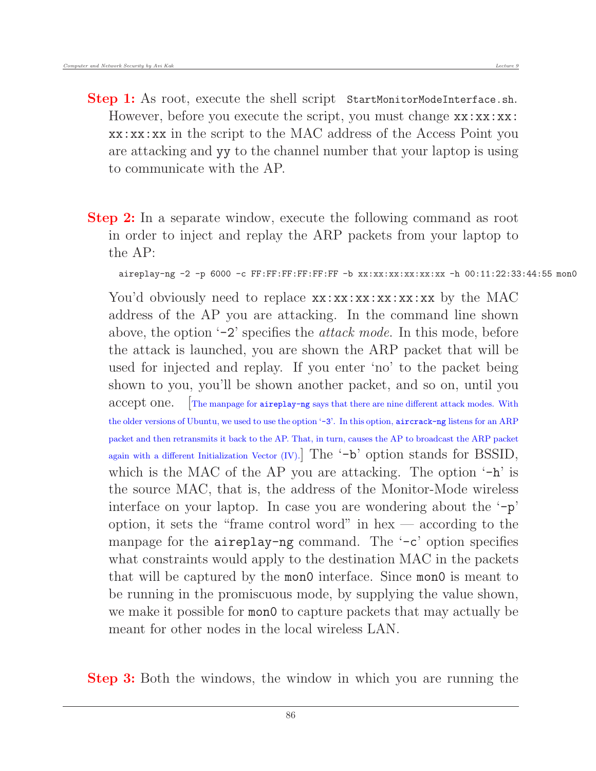- **Step 1:** As root, execute the shell script StartMonitorModeInterface.sh. However, before you execute the script, you must change  $xx:xx:x$ : xx:xx:xx in the script to the MAC address of the Access Point you are attacking and yy to the channel number that your laptop is using to communicate with the AP.
- **Step 2:** In a separate window, execute the following command as root in order to inject and replay the ARP packets from your laptop to the AP:

```
aireplay-ng -2 -p 6000 -c FF:FF:FF:FF:FF:FF -b xx:xx:xx:xx:xx:xx -h 00:11:22:33:44:55 mon0
```
You'd obviously need to replace  $xx:xx:xx:xx:xx:xx$  by the MAC address of the AP you are attacking. In the command line shown above, the option  $-2$ ' specifies the *attack mode*. In this mode, before the attack is launched, you are shown the ARP packet that will be used for injected and replay. If you enter 'no' to the packet being shown to you, you'll be shown another packet, and so on, until you accept one. The manpage for aireplay-ng says that there are nine different attack modes. With the older versions of Ubuntu, we used to use the option '-3'. In this option, aircrack-ng listens for an ARP packet and then retransmits it back to the AP. That, in turn, causes the AP to broadcast the ARP packet again with a different Initialization Vector (IV). The  $\rightarrow$ b' option stands for BSSID, which is the MAC of the AP you are attacking. The option  $-h$  is the source MAC, that is, the address of the Monitor-Mode wireless interface on your laptop. In case you are wondering about the  $-\mathbf{p}'$ option, it sets the "frame control word" in hex — according to the manpage for the aireplay-ng command. The '-c' option specifies what constraints would apply to the destination MAC in the packets that will be captured by the mon0 interface. Since mon0 is meant to be running in the promiscuous mode, by supplying the value shown, we make it possible for mon0 to capture packets that may actually be meant for other nodes in the local wireless LAN.

Step 3: Both the windows, the window in which you are running the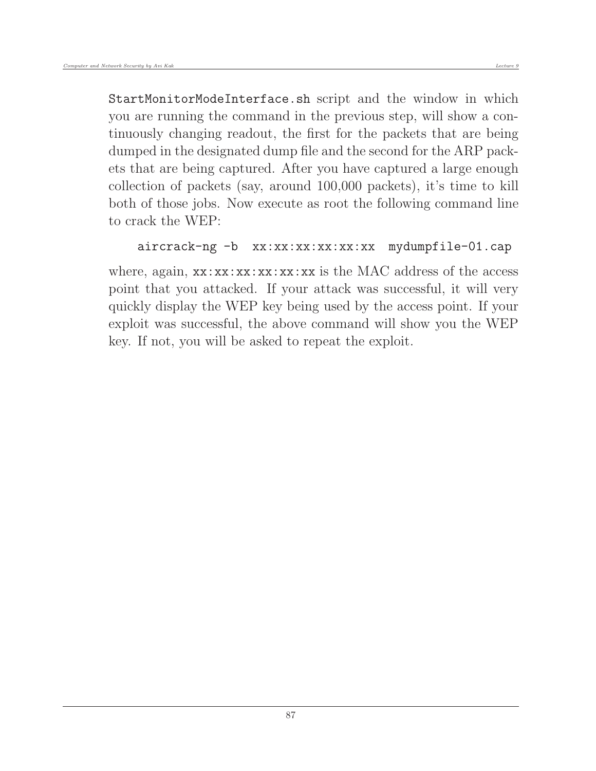StartMonitorModeInterface.sh script and the window in which you are running the command in the previous step, will show a continuously changing readout, the first for the packets that are being dumped in the designated dump file and the second for the ARP packets that are being captured. After you have captured a large enough collection of packets (say, around 100,000 packets), it's time to kill both of those jobs. Now execute as root the following command line to crack the WEP:

```
aircrack-ng -b xx:xx:xx:xx:xx:xx mydumpfile-01.cap
```
where, again,  $xx:xx:xx:xx:xx:xx$  is the MAC address of the access point that you attacked. If your attack was successful, it will very quickly display the WEP key being used by the access point. If your exploit was successful, the above command will show you the WEP key. If not, you will be asked to repeat the exploit.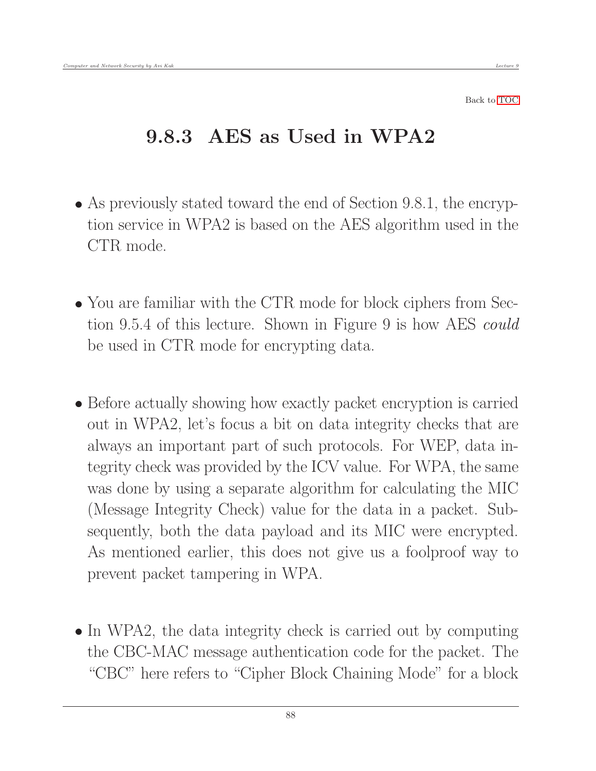Back to [TOC](#page-1-0)

## 9.8.3 AES as Used in WPA2

- As previously stated toward the end of Section 9.8.1, the encryption service in WPA2 is based on the AES algorithm used in the CTR mode.
- You are familiar with the CTR mode for block ciphers from Section 9.5.4 of this lecture. Shown in Figure 9 is how AES could be used in CTR mode for encrypting data.
- Before actually showing how exactly packet encryption is carried out in WPA2, let's focus a bit on data integrity checks that are always an important part of such protocols. For WEP, data integrity check was provided by the ICV value. For WPA, the same was done by using a separate algorithm for calculating the MIC (Message Integrity Check) value for the data in a packet. Subsequently, both the data payload and its MIC were encrypted. As mentioned earlier, this does not give us a foolproof way to prevent packet tampering in WPA.
- In WPA2, the data integrity check is carried out by computing the CBC-MAC message authentication code for the packet. The "CBC" here refers to "Cipher Block Chaining Mode" for a block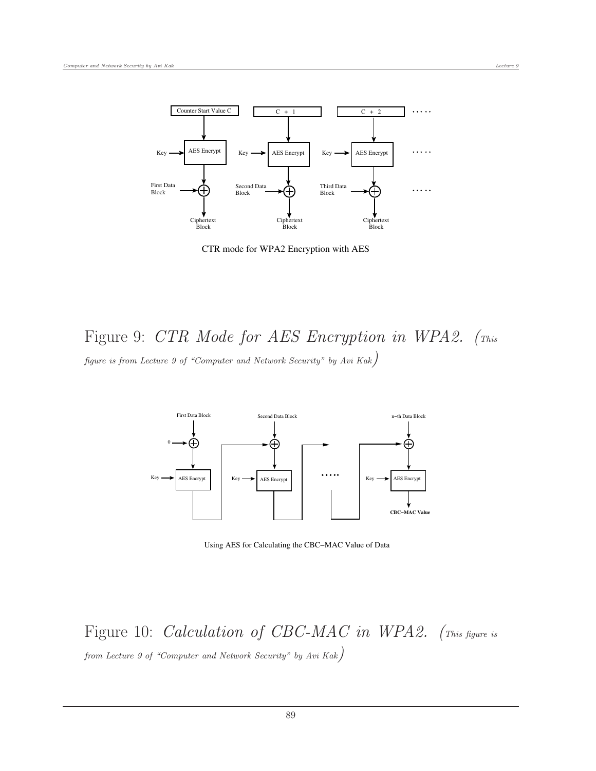

CTR mode for WPA2 Encryption with AES

Figure 9: CTR Mode for AES Encryption in WPA2. (This figure is from Lecture 9 of "Computer and Network Security" by Avi Kak)



Using AES for Calculating the CBC−MAC Value of Data

Figure 10: *Calculation of CBC-MAC in WPA2.* (This figure is from Lecture 9 of "Computer and Network Security" by Avi Kak)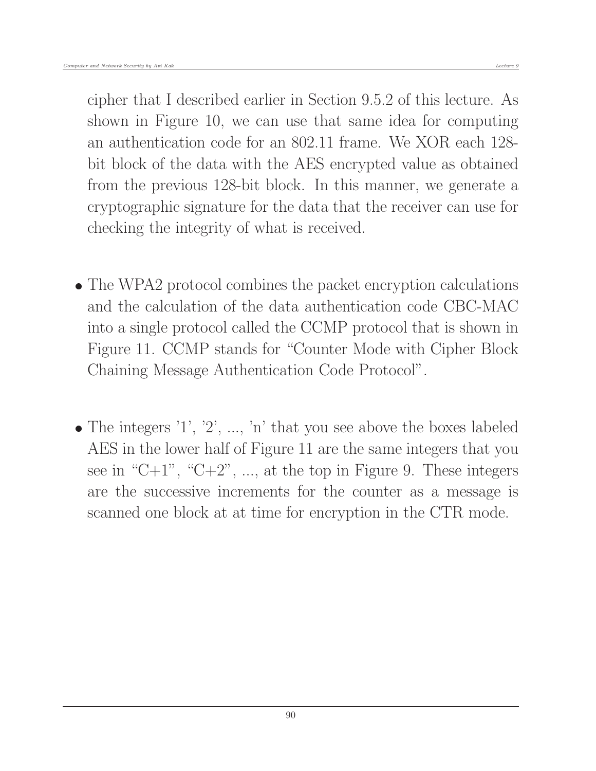cipher that I described earlier in Section 9.5.2 of this lecture. As shown in Figure 10, we can use that same idea for computing an authentication code for an 802.11 frame. We XOR each 128 bit block of the data with the AES encrypted value as obtained from the previous 128-bit block. In this manner, we generate a cryptographic signature for the data that the receiver can use for checking the integrity of what is received.

- The WPA2 protocol combines the packet encryption calculations and the calculation of the data authentication code CBC-MAC into a single protocol called the CCMP protocol that is shown in Figure 11. CCMP stands for "Counter Mode with Cipher Block Chaining Message Authentication Code Protocol".
- $\bullet$  The integers '1', '2', ..., 'n' that you see above the boxes labeled AES in the lower half of Figure 11 are the same integers that you see in "C+1", "C+2", ..., at the top in Figure 9. These integers are the successive increments for the counter as a message is scanned one block at at time for encryption in the CTR mode.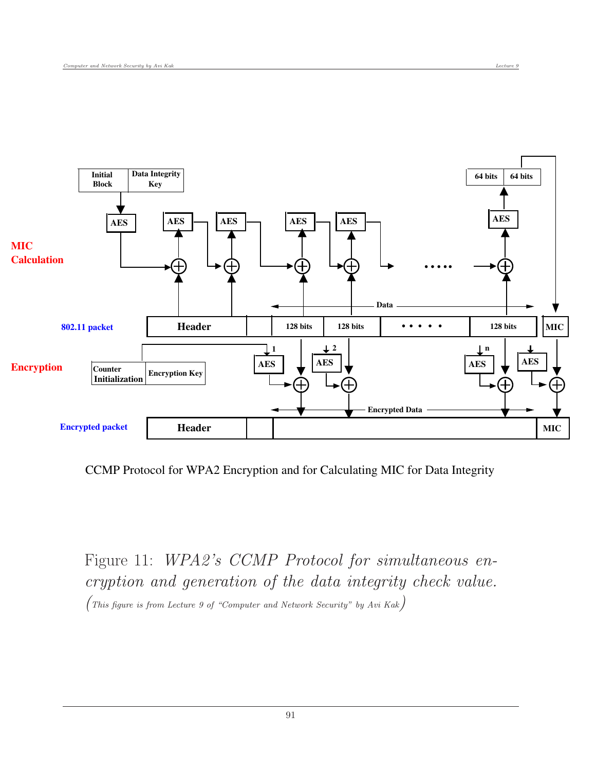

CCMP Protocol for WPA2 Encryption and for Calculating MIC for Data Integrity

Figure 11: WPA2's CCMP Protocol for simultaneous encryption and generation of the data integrity check value. (This figure is from Lecture 9 of "Computer and Network Security" by Avi Kak)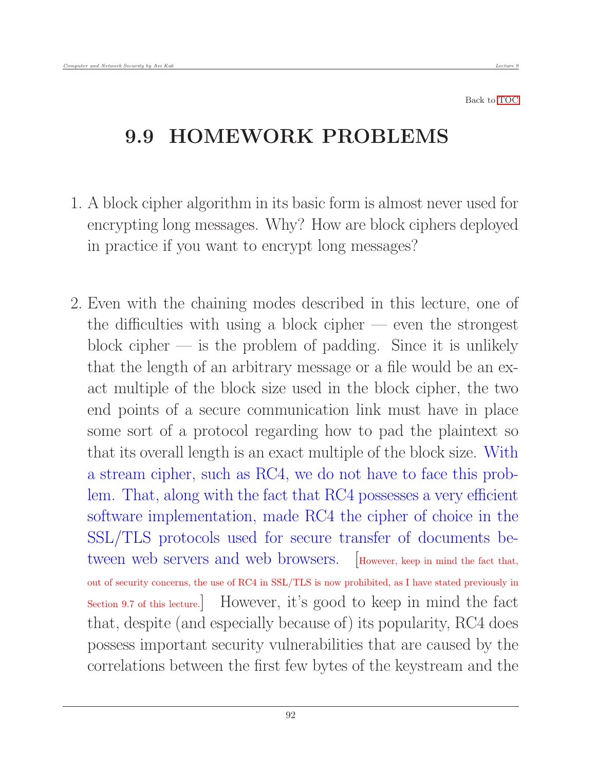Back to [TOC](#page-1-0)

## 9.9 HOMEWORK PROBLEMS

- 1. A block cipher algorithm in its basic form is almost never used for encrypting long messages. Why? How are block ciphers deployed in practice if you want to encrypt long messages?
- 2. Even with the chaining modes described in this lecture, one of the difficulties with using a block cipher — even the strongest block cipher  $\overline{\phantom{a}}$  is the problem of padding. Since it is unlikely that the length of an arbitrary message or a file would be an exact multiple of the block size used in the block cipher, the two end points of a secure communication link must have in place some sort of a protocol regarding how to pad the plaintext so that its overall length is an exact multiple of the block size. With a stream cipher, such as RC4, we do not have to face this problem. That, along with the fact that RC4 possesses a very efficient software implementation, made RC4 the cipher of choice in the SSL/TLS protocols used for secure transfer of documents between web servers and web browsers. [However, keep in mind the fact that, out of security concerns, the use of RC4 in SSL/TLS is now prohibited, as I have stated previously in Section 9.7 of this lecture.] However, it's good to keep in mind the fact that, despite (and especially because of) its popularity, RC4 does possess important security vulnerabilities that are caused by the correlations between the first few bytes of the keystream and the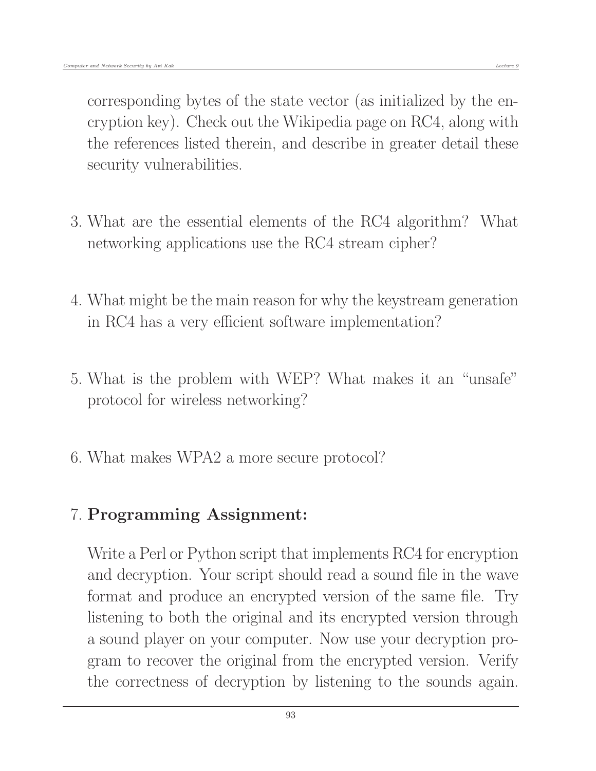security vulnerabilities.

- 3. What are the essential elements of the RC4 algorithm? What networking applications use the RC4 stream cipher?
- 4. What might be the main reason for why the keystream generation in RC4 has a very efficient software implementation?
- 5. What is the problem with WEP? What makes it an "unsafe" protocol for wireless networking?
- 6. What makes WPA2 a more secure protocol?

## 7. Programming Assignment:

Write a Perl or Python script that implements RC4 for encryption and decryption. Your script should read a sound file in the wave format and produce an encrypted version of the same file. Try listening to both the original and its encrypted version through a sound player on your computer. Now use your decryption program to recover the original from the encrypted version. Verify the correctness of decryption by listening to the sounds again.